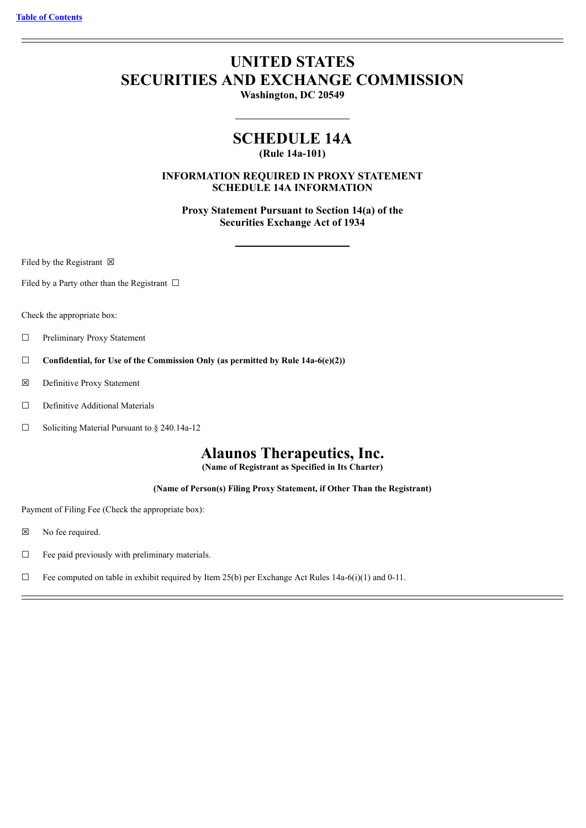# **UNITED STATES SECURITIES AND EXCHANGE COMMISSION**

**Washington, DC 20549**

## **SCHEDULE 14A**

**(Rule 14a-101)**

**INFORMATION REQUIRED IN PROXY STATEMENT SCHEDULE 14A INFORMATION**

**Proxy Statement Pursuant to Section 14(a) of the Securities Exchange Act of 1934**

Filed by the Registrant  $\boxtimes$ 

Filed by a Party other than the Registrant  $\Box$ 

Check the appropriate box:

- ☐ Preliminary Proxy Statement
- ☐ **Confidential, for Use of the Commission Only (as permitted by Rule 14a-6(e)(2))**
- ☒ Definitive Proxy Statement
- □ Definitive Additional Materials
- ☐ Soliciting Material Pursuant to § 240.14a-12

## **Alaunos Therapeutics, Inc.**

**(Name of Registrant as Specified in Its Charter)**

**(Name of Person(s) Filing Proxy Statement, if Other Than the Registrant)**

Payment of Filing Fee (Check the appropriate box):

- ☒ No fee required.
- ☐ Fee paid previously with preliminary materials.
- $\Box$  Fee computed on table in exhibit required by Item 25(b) per Exchange Act Rules 14a-6(i)(1) and 0-11.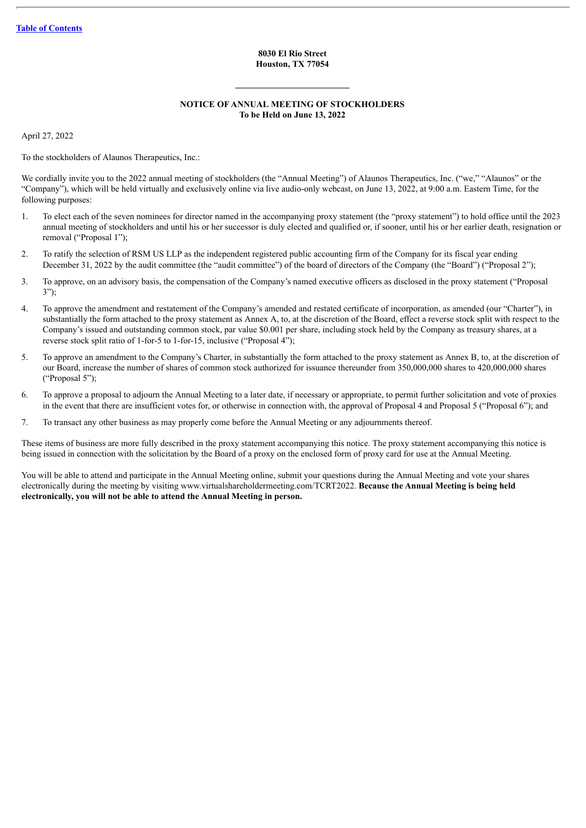#### **8030 El Rio Street Houston, TX 77054**

### **NOTICE OF ANNUAL MEETING OF STOCKHOLDERS To be Held on June 13, 2022**

April 27, 2022

To the stockholders of Alaunos Therapeutics, Inc.:

We cordially invite you to the 2022 annual meeting of stockholders (the "Annual Meeting") of Alaunos Therapeutics, Inc. ("we," "Alaunos" or the "Company"), which will be held virtually and exclusively online via live audio-only webcast, on June 13, 2022, at 9:00 a.m. Eastern Time, for the following purposes:

- 1. To elect each of the seven nominees for director named in the accompanying proxy statement (the "proxy statement") to hold office until the 2023 annual meeting of stockholders and until his or her successor is duly elected and qualified or, if sooner, until his or her earlier death, resignation or removal ("Proposal 1");
- 2. To ratify the selection of RSM US LLP as the independent registered public accounting firm of the Company for its fiscal year ending December 31, 2022 by the audit committee (the "audit committee") of the board of directors of the Company (the "Board") ("Proposal 2");
- 3. To approve, on an advisory basis, the compensation of the Company's named executive officers as disclosed in the proxy statement ("Proposal 3");
- 4. To approve the amendment and restatement of the Company's amended and restated certificate of incorporation, as amended (our "Charter"), in substantially the form attached to the proxy statement as Annex A, to, at the discretion of the Board, effect a reverse stock split with respect to the Company's issued and outstanding common stock, par value \$0.001 per share, including stock held by the Company as treasury shares, at a reverse stock split ratio of 1-for-5 to 1-for-15, inclusive ("Proposal 4");
- 5. To approve an amendment to the Company's Charter, in substantially the form attached to the proxy statement as Annex B, to, at the discretion of our Board, increase the number of shares of common stock authorized for issuance thereunder from 350,000,000 shares to 420,000,000 shares ("Proposal 5");
- 6. To approve a proposal to adjourn the Annual Meeting to a later date, if necessary or appropriate, to permit further solicitation and vote of proxies in the event that there are insufficient votes for, or otherwise in connection with, the approval of Proposal 4 and Proposal 5 ("Proposal 6"); and
- 7. To transact any other business as may properly come before the Annual Meeting or any adjournments thereof.

These items of business are more fully described in the proxy statement accompanying this notice. The proxy statement accompanying this notice is being issued in connection with the solicitation by the Board of a proxy on the enclosed form of proxy card for use at the Annual Meeting.

You will be able to attend and participate in the Annual Meeting online, submit your questions during the Annual Meeting and vote your shares electronically during the meeting by visiting www.virtualshareholdermeeting.com/TCRT2022. **Because the Annual Meeting is being held electronically, you will not be able to attend the Annual Meeting in person.**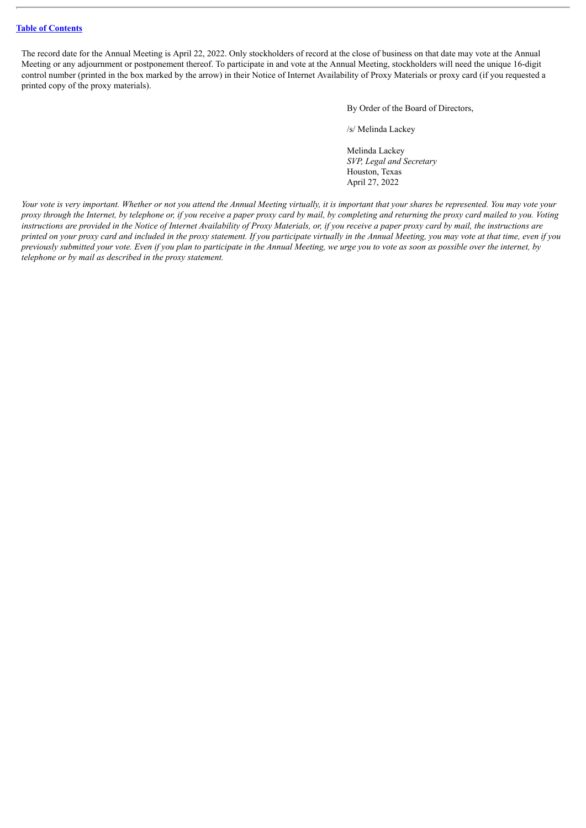The record date for the Annual Meeting is April 22, 2022. Only stockholders of record at the close of business on that date may vote at the Annual Meeting or any adjournment or postponement thereof. To participate in and vote at the Annual Meeting, stockholders will need the unique 16-digit control number (printed in the box marked by the arrow) in their Notice of Internet Availability of Proxy Materials or proxy card (if you requested a printed copy of the proxy materials).

By Order of the Board of Directors,

/s/ Melinda Lackey

Melinda Lackey *SVP, Legal and Secretary* Houston, Texas April 27, 2022

Your vote is very important. Whether or not you attend the Annual Meeting virtually, it is important that your shares be represented. You may vote your proxy through the Internet, by telephone or, if you receive a paper proxy card by mail, by completing and returning the proxy card mailed to you. Voting instructions are provided in the Notice of Internet Availability of Proxy Materials, or, if you receive a paper proxy card by mail, the instructions are printed on your proxy card and included in the proxy statement. If you participate virtually in the Annual Meeting, you may vote at that time, even if you previously submitted your vote. Even if you plan to participate in the Annual Meeting, we urge you to vote as soon as possible over the internet, by *telephone or by mail as described in the proxy statement.*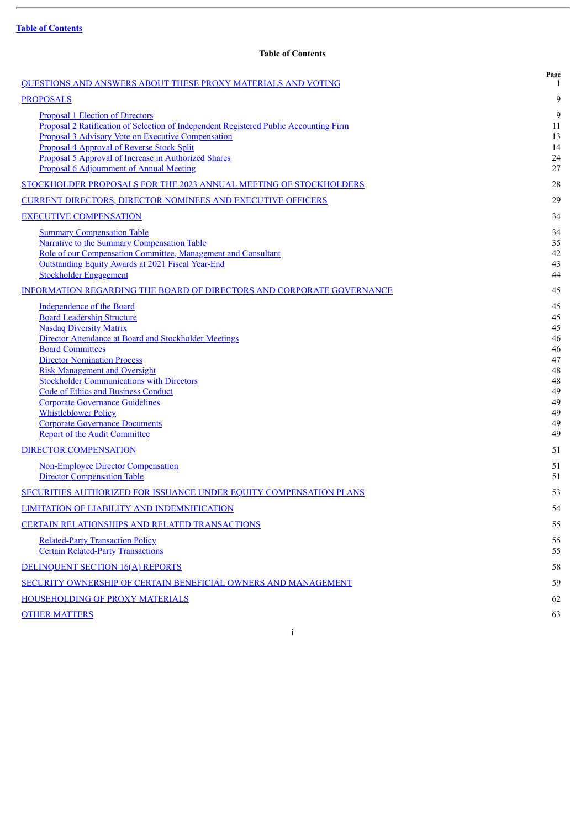## **Table of Contents**

<span id="page-3-0"></span>

| <b>QUESTIONS AND ANSWERS ABOUT THESE PROXY MATERIALS AND VOTING</b>                                                                                                                                                                                                                                                                                                                                                                                                                                                                                                   | Page<br>1                                                                        |
|-----------------------------------------------------------------------------------------------------------------------------------------------------------------------------------------------------------------------------------------------------------------------------------------------------------------------------------------------------------------------------------------------------------------------------------------------------------------------------------------------------------------------------------------------------------------------|----------------------------------------------------------------------------------|
| <b>PROPOSALS</b>                                                                                                                                                                                                                                                                                                                                                                                                                                                                                                                                                      | 9                                                                                |
| <b>Proposal 1 Election of Directors</b><br>Proposal 2 Ratification of Selection of Independent Registered Public Accounting Firm<br>Proposal 3 Advisory Vote on Executive Compensation<br><b>Proposal 4 Approval of Reverse Stock Split</b><br>Proposal 5 Approval of Increase in Authorized Shares<br>Proposal 6 Adjournment of Annual Meeting                                                                                                                                                                                                                       | 9<br>11<br>13<br>14<br>24                                                        |
| STOCKHOLDER PROPOSALS FOR THE 2023 ANNUAL MEETING OF STOCKHOLDERS                                                                                                                                                                                                                                                                                                                                                                                                                                                                                                     | 27<br>28                                                                         |
| <b>CURRENT DIRECTORS, DIRECTOR NOMINEES AND EXECUTIVE OFFICERS</b>                                                                                                                                                                                                                                                                                                                                                                                                                                                                                                    | 29                                                                               |
| <b>EXECUTIVE COMPENSATION</b>                                                                                                                                                                                                                                                                                                                                                                                                                                                                                                                                         | 34                                                                               |
| <b>Summary Compensation Table</b><br>Narrative to the Summary Compensation Table<br>Role of our Compensation Committee, Management and Consultant<br>Outstanding Equity Awards at 2021 Fiscal Year-End<br><b>Stockholder Engagement</b>                                                                                                                                                                                                                                                                                                                               | 34<br>35<br>42<br>43<br>44                                                       |
| INFORMATION REGARDING THE BOARD OF DIRECTORS AND CORPORATE GOVERNANCE                                                                                                                                                                                                                                                                                                                                                                                                                                                                                                 | 45                                                                               |
| <b>Independence of the Board</b><br><b>Board Leadership Structure</b><br><b>Nasdaq Diversity Matrix</b><br>Director Attendance at Board and Stockholder Meetings<br><b>Board Committees</b><br><b>Director Nomination Process</b><br><b>Risk Management and Oversight</b><br><b>Stockholder Communications with Directors</b><br><b>Code of Ethics and Business Conduct</b><br><b>Corporate Governance Guidelines</b><br><b>Whistleblower Policy</b><br><b>Corporate Governance Documents</b><br><b>Report of the Audit Committee</b><br><b>DIRECTOR COMPENSATION</b> | 45<br>45<br>45<br>46<br>46<br>47<br>48<br>48<br>49<br>49<br>49<br>49<br>49<br>51 |
| <b>Non-Employee Director Compensation</b>                                                                                                                                                                                                                                                                                                                                                                                                                                                                                                                             | 51                                                                               |
| <b>Director Compensation Table</b>                                                                                                                                                                                                                                                                                                                                                                                                                                                                                                                                    | 51                                                                               |
| SECURITIES AUTHORIZED FOR ISSUANCE UNDER EQUITY COMPENSATION PLANS                                                                                                                                                                                                                                                                                                                                                                                                                                                                                                    | 53                                                                               |
| <b>LIMITATION OF LIABILITY AND INDEMNIFICATION</b>                                                                                                                                                                                                                                                                                                                                                                                                                                                                                                                    | 54                                                                               |
| <b>CERTAIN RELATIONSHIPS AND RELATED TRANSACTIONS</b>                                                                                                                                                                                                                                                                                                                                                                                                                                                                                                                 | 55                                                                               |
| <b>Related-Party Transaction Policy</b><br><b>Certain Related-Party Transactions</b>                                                                                                                                                                                                                                                                                                                                                                                                                                                                                  | 55<br>55                                                                         |
| <b>DELINQUENT SECTION 16(A) REPORTS</b>                                                                                                                                                                                                                                                                                                                                                                                                                                                                                                                               | 58                                                                               |
| SECURITY OWNERSHIP OF CERTAIN BENEFICIAL OWNERS AND MANAGEMENT                                                                                                                                                                                                                                                                                                                                                                                                                                                                                                        | 59                                                                               |
| HOUSEHOLDING OF PROXY MATERIALS                                                                                                                                                                                                                                                                                                                                                                                                                                                                                                                                       | 62                                                                               |
| <b>OTHER MATTERS</b>                                                                                                                                                                                                                                                                                                                                                                                                                                                                                                                                                  | 63                                                                               |
| i                                                                                                                                                                                                                                                                                                                                                                                                                                                                                                                                                                     |                                                                                  |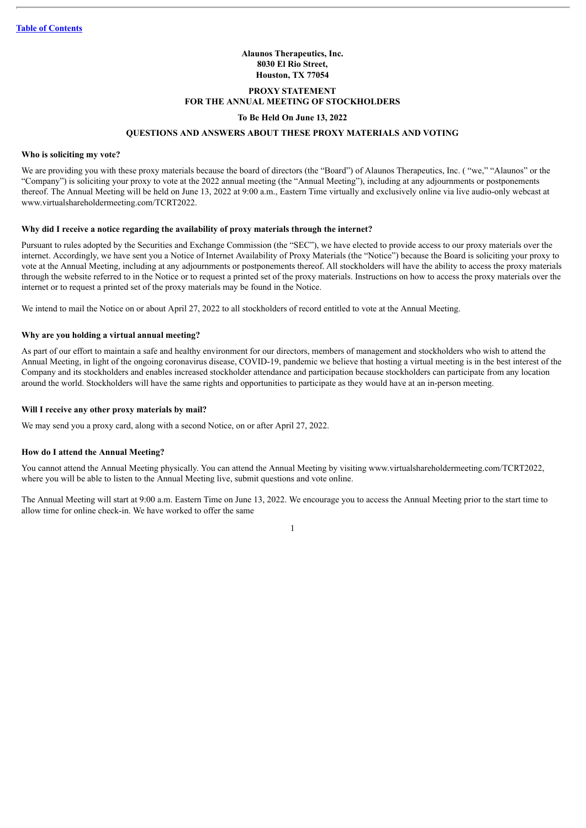#### **Alaunos Therapeutics, Inc. 8030 El Rio Street, Houston, TX 77054**

## **PROXY STATEMENT FOR THE ANNUAL MEETING OF STOCKHOLDERS**

#### **To Be Held On June 13, 2022**

#### **QUESTIONS AND ANSWERS ABOUT THESE PROXY MATERIALS AND VOTING**

#### <span id="page-4-0"></span>**Who is soliciting my vote?**

We are providing you with these proxy materials because the board of directors (the "Board") of Alaunos Therapeutics, Inc. ("we," "Alaunos" or the "Company") is soliciting your proxy to vote at the 2022 annual meeting (the "Annual Meeting"), including at any adjournments or postponements thereof. The Annual Meeting will be held on June 13, 2022 at 9:00 a.m., Eastern Time virtually and exclusively online via live audio-only webcast at www.virtualshareholdermeeting.com/TCRT2022.

## **Why did I receive a notice regarding the availability of proxy materials through the internet?**

Pursuant to rules adopted by the Securities and Exchange Commission (the "SEC"), we have elected to provide access to our proxy materials over the internet. Accordingly, we have sent you a Notice of Internet Availability of Proxy Materials (the "Notice") because the Board is soliciting your proxy to vote at the Annual Meeting, including at any adjournments or postponements thereof. All stockholders will have the ability to access the proxy materials through the website referred to in the Notice or to request a printed set of the proxy materials. Instructions on how to access the proxy materials over the internet or to request a printed set of the proxy materials may be found in the Notice.

We intend to mail the Notice on or about April 27, 2022 to all stockholders of record entitled to vote at the Annual Meeting.

#### **Why are you holding a virtual annual meeting?**

As part of our effort to maintain a safe and healthy environment for our directors, members of management and stockholders who wish to attend the Annual Meeting, in light of the ongoing coronavirus disease, COVID-19, pandemic we believe that hosting a virtual meeting is in the best interest of the Company and its stockholders and enables increased stockholder attendance and participation because stockholders can participate from any location around the world. Stockholders will have the same rights and opportunities to participate as they would have at an in-person meeting.

#### **Will I receive any other proxy materials by mail?**

We may send you a proxy card, along with a second Notice, on or after April 27, 2022.

#### **How do I attend the Annual Meeting?**

You cannot attend the Annual Meeting physically. You can attend the Annual Meeting by visiting www.virtualshareholdermeeting.com/TCRT2022, where you will be able to listen to the Annual Meeting live, submit questions and vote online.

The Annual Meeting will start at 9:00 a.m. Eastern Time on June 13, 2022. We encourage you to access the Annual Meeting prior to the start time to allow time for online check-in. We have worked to offer the same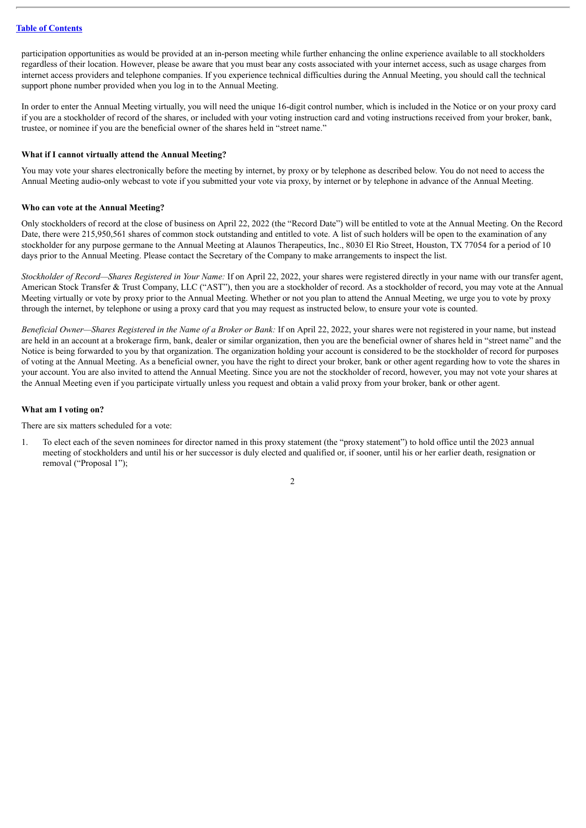participation opportunities as would be provided at an in-person meeting while further enhancing the online experience available to all stockholders regardless of their location. However, please be aware that you must bear any costs associated with your internet access, such as usage charges from internet access providers and telephone companies. If you experience technical difficulties during the Annual Meeting, you should call the technical support phone number provided when you log in to the Annual Meeting.

In order to enter the Annual Meeting virtually, you will need the unique 16-digit control number, which is included in the Notice or on your proxy card if you are a stockholder of record of the shares, or included with your voting instruction card and voting instructions received from your broker, bank, trustee, or nominee if you are the beneficial owner of the shares held in "street name."

#### **What if I cannot virtually attend the Annual Meeting?**

You may vote your shares electronically before the meeting by internet, by proxy or by telephone as described below. You do not need to access the Annual Meeting audio-only webcast to vote if you submitted your vote via proxy, by internet or by telephone in advance of the Annual Meeting.

#### **Who can vote at the Annual Meeting?**

Only stockholders of record at the close of business on April 22, 2022 (the "Record Date") will be entitled to vote at the Annual Meeting. On the Record Date, there were 215,950,561 shares of common stock outstanding and entitled to vote. A list of such holders will be open to the examination of any stockholder for any purpose germane to the Annual Meeting at Alaunos Therapeutics, Inc., 8030 El Rio Street, Houston, TX 77054 for a period of 10 days prior to the Annual Meeting. Please contact the Secretary of the Company to make arrangements to inspect the list.

*Stockholder of Record—Shares Registered in Your Name:* If on April 22, 2022, your shares were registered directly in your name with our transfer agent, American Stock Transfer & Trust Company, LLC ("AST"), then you are a stockholder of record. As a stockholder of record, you may vote at the Annual Meeting virtually or vote by proxy prior to the Annual Meeting. Whether or not you plan to attend the Annual Meeting, we urge you to vote by proxy through the internet, by telephone or using a proxy card that you may request as instructed below, to ensure your vote is counted.

*Beneficial Owner—Shares Registered in the Name of a Broker or Bank:* If on April 22, 2022, your shares were not registered in your name, but instead are held in an account at a brokerage firm, bank, dealer or similar organization, then you are the beneficial owner of shares held in "street name" and the Notice is being forwarded to you by that organization. The organization holding your account is considered to be the stockholder of record for purposes of voting at the Annual Meeting. As a beneficial owner, you have the right to direct your broker, bank or other agent regarding how to vote the shares in your account. You are also invited to attend the Annual Meeting. Since you are not the stockholder of record, however, you may not vote your shares at the Annual Meeting even if you participate virtually unless you request and obtain a valid proxy from your broker, bank or other agent.

#### **What am I voting on?**

There are six matters scheduled for a vote:

1. To elect each of the seven nominees for director named in this proxy statement (the "proxy statement") to hold office until the 2023 annual meeting of stockholders and until his or her successor is duly elected and qualified or, if sooner, until his or her earlier death, resignation or removal ("Proposal 1");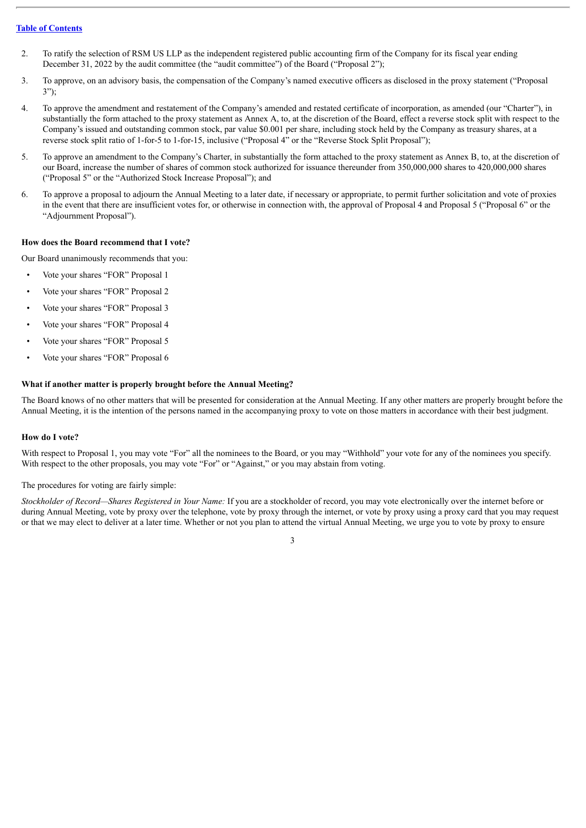- 2. To ratify the selection of RSM US LLP as the independent registered public accounting firm of the Company for its fiscal year ending December 31, 2022 by the audit committee (the "audit committee") of the Board ("Proposal 2");
- 3. To approve, on an advisory basis, the compensation of the Company's named executive officers as disclosed in the proxy statement ("Proposal 3");
- 4. To approve the amendment and restatement of the Company's amended and restated certificate of incorporation, as amended (our "Charter"), in substantially the form attached to the proxy statement as Annex A, to, at the discretion of the Board, effect a reverse stock split with respect to the Company's issued and outstanding common stock, par value \$0.001 per share, including stock held by the Company as treasury shares, at a reverse stock split ratio of 1-for-5 to 1-for-15, inclusive ("Proposal 4" or the "Reverse Stock Split Proposal");
- 5. To approve an amendment to the Company's Charter, in substantially the form attached to the proxy statement as Annex B, to, at the discretion of our Board, increase the number of shares of common stock authorized for issuance thereunder from 350,000,000 shares to 420,000,000 shares ("Proposal 5" or the "Authorized Stock Increase Proposal"); and
- 6. To approve a proposal to adjourn the Annual Meeting to a later date, if necessary or appropriate, to permit further solicitation and vote of proxies in the event that there are insufficient votes for, or otherwise in connection with, the approval of Proposal 4 and Proposal 5 ("Proposal 6" or the "Adjournment Proposal").

#### **How does the Board recommend that I vote?**

Our Board unanimously recommends that you:

- Vote your shares "FOR" Proposal 1
- Vote your shares "FOR" Proposal 2
- Vote your shares "FOR" Proposal 3
- Vote your shares "FOR" Proposal 4
- Vote your shares "FOR" Proposal 5
- Vote your shares "FOR" Proposal 6

#### **What if another matter is properly brought before the Annual Meeting?**

The Board knows of no other matters that will be presented for consideration at the Annual Meeting. If any other matters are properly brought before the Annual Meeting, it is the intention of the persons named in the accompanying proxy to vote on those matters in accordance with their best judgment.

#### **How do I vote?**

With respect to Proposal 1, you may vote "For" all the nominees to the Board, or you may "Withhold" your vote for any of the nominees you specify. With respect to the other proposals, you may vote "For" or "Against," or you may abstain from voting.

The procedures for voting are fairly simple:

*Stockholder of Record—Shares Registered in Your Name:* If you are a stockholder of record, you may vote electronically over the internet before or during Annual Meeting, vote by proxy over the telephone, vote by proxy through the internet, or vote by proxy using a proxy card that you may request or that we may elect to deliver at a later time. Whether or not you plan to attend the virtual Annual Meeting, we urge you to vote by proxy to ensure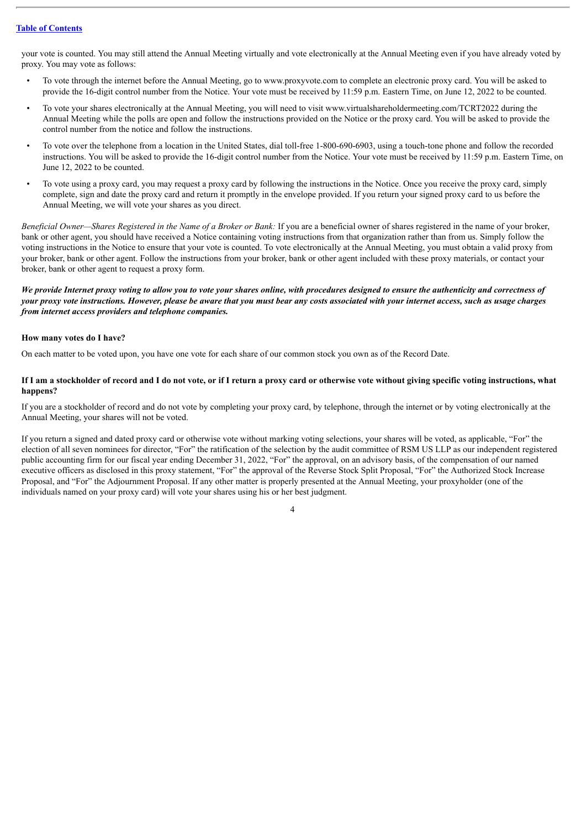your vote is counted. You may still attend the Annual Meeting virtually and vote electronically at the Annual Meeting even if you have already voted by proxy. You may vote as follows:

- To vote through the internet before the Annual Meeting, go to www.proxyvote.com to complete an electronic proxy card. You will be asked to provide the 16-digit control number from the Notice. Your vote must be received by 11:59 p.m. Eastern Time, on June 12, 2022 to be counted.
- To vote your shares electronically at the Annual Meeting, you will need to visit www.virtualshareholdermeeting.com/TCRT2022 during the Annual Meeting while the polls are open and follow the instructions provided on the Notice or the proxy card. You will be asked to provide the control number from the notice and follow the instructions.
- To vote over the telephone from a location in the United States, dial toll-free 1-800-690-6903, using a touch-tone phone and follow the recorded instructions. You will be asked to provide the 16-digit control number from the Notice. Your vote must be received by 11:59 p.m. Eastern Time, on June 12, 2022 to be counted.
- To vote using a proxy card, you may request a proxy card by following the instructions in the Notice. Once you receive the proxy card, simply complete, sign and date the proxy card and return it promptly in the envelope provided. If you return your signed proxy card to us before the Annual Meeting, we will vote your shares as you direct.

*Beneficial Owner—Shares Registered in the Name of a Broker or Bank:* If you are a beneficial owner of shares registered in the name of your broker, bank or other agent, you should have received a Notice containing voting instructions from that organization rather than from us. Simply follow the voting instructions in the Notice to ensure that your vote is counted. To vote electronically at the Annual Meeting, you must obtain a valid proxy from your broker, bank or other agent. Follow the instructions from your broker, bank or other agent included with these proxy materials, or contact your broker, bank or other agent to request a proxy form.

We provide Internet proxy voting to allow you to vote your shares online, with procedures designed to ensure the authenticity and correctness of your proxy vote instructions. However, please be aware that you must bear any costs associated with your internet access, such as usage charges *from internet access providers and telephone companies.*

#### **How many votes do I have?**

On each matter to be voted upon, you have one vote for each share of our common stock you own as of the Record Date.

## If I am a stockholder of record and I do not vote, or if I return a proxy card or otherwise vote without giving specific voting instructions, what **happens?**

If you are a stockholder of record and do not vote by completing your proxy card, by telephone, through the internet or by voting electronically at the Annual Meeting, your shares will not be voted.

If you return a signed and dated proxy card or otherwise vote without marking voting selections, your shares will be voted, as applicable, "For" the election of all seven nominees for director, "For" the ratification of the selection by the audit committee of RSM US LLP as our independent registered public accounting firm for our fiscal year ending December 31, 2022, "For" the approval, on an advisory basis, of the compensation of our named executive officers as disclosed in this proxy statement, "For" the approval of the Reverse Stock Split Proposal, "For" the Authorized Stock Increase Proposal, and "For" the Adjournment Proposal. If any other matter is properly presented at the Annual Meeting, your proxyholder (one of the individuals named on your proxy card) will vote your shares using his or her best judgment.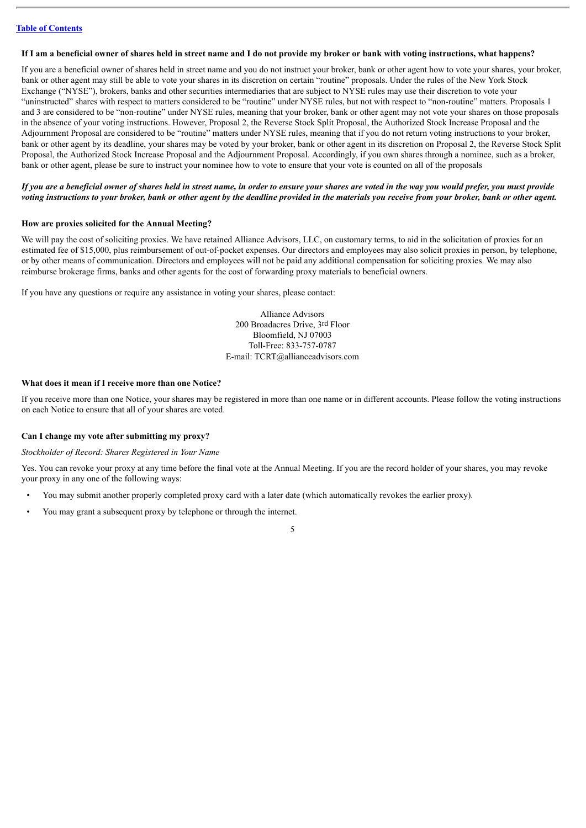#### If I am a beneficial owner of shares held in street name and I do not provide my broker or bank with voting instructions, what happens?

If you are a beneficial owner of shares held in street name and you do not instruct your broker, bank or other agent how to vote your shares, your broker, bank or other agent may still be able to vote your shares in its discretion on certain "routine" proposals. Under the rules of the New York Stock Exchange ("NYSE"), brokers, banks and other securities intermediaries that are subject to NYSE rules may use their discretion to vote your "uninstructed" shares with respect to matters considered to be "routine" under NYSE rules, but not with respect to "non-routine" matters. Proposals 1 and 3 are considered to be "non-routine" under NYSE rules, meaning that your broker, bank or other agent may not vote your shares on those proposals in the absence of your voting instructions. However, Proposal 2, the Reverse Stock Split Proposal, the Authorized Stock Increase Proposal and the Adjournment Proposal are considered to be "routine" matters under NYSE rules, meaning that if you do not return voting instructions to your broker, bank or other agent by its deadline, your shares may be voted by your broker, bank or other agent in its discretion on Proposal 2, the Reverse Stock Split Proposal, the Authorized Stock Increase Proposal and the Adjournment Proposal. Accordingly, if you own shares through a nominee, such as a broker, bank or other agent, please be sure to instruct your nominee how to vote to ensure that your vote is counted on all of the proposals

## If you are a beneficial owner of shares held in street name, in order to ensure your shares are voted in the way you would prefer, you must provide voting instructions to your broker, bank or other agent by the deadline provided in the materials you receive from your broker, bank or other agent.

#### **How are proxies solicited for the Annual Meeting?**

We will pay the cost of soliciting proxies. We have retained Alliance Advisors, LLC, on customary terms, to aid in the solicitation of proxies for an estimated fee of \$15,000, plus reimbursement of out-of-pocket expenses. Our directors and employees may also solicit proxies in person, by telephone, or by other means of communication. Directors and employees will not be paid any additional compensation for soliciting proxies. We may also reimburse brokerage firms, banks and other agents for the cost of forwarding proxy materials to beneficial owners.

If you have any questions or require any assistance in voting your shares, please contact:

Alliance Advisors 200 Broadacres Drive, 3rd Floor Bloomfield, NJ 07003 Toll-Free: 833-757-0787 E-mail: TCRT@allianceadvisors.com

#### **What does it mean if I receive more than one Notice?**

If you receive more than one Notice, your shares may be registered in more than one name or in different accounts. Please follow the voting instructions on each Notice to ensure that all of your shares are voted.

#### **Can I change my vote after submitting my proxy?**

#### *Stockholder of Record: Shares Registered in Your Name*

Yes. You can revoke your proxy at any time before the final vote at the Annual Meeting. If you are the record holder of your shares, you may revoke your proxy in any one of the following ways:

- You may submit another properly completed proxy card with a later date (which automatically revokes the earlier proxy).
- You may grant a subsequent proxy by telephone or through the internet.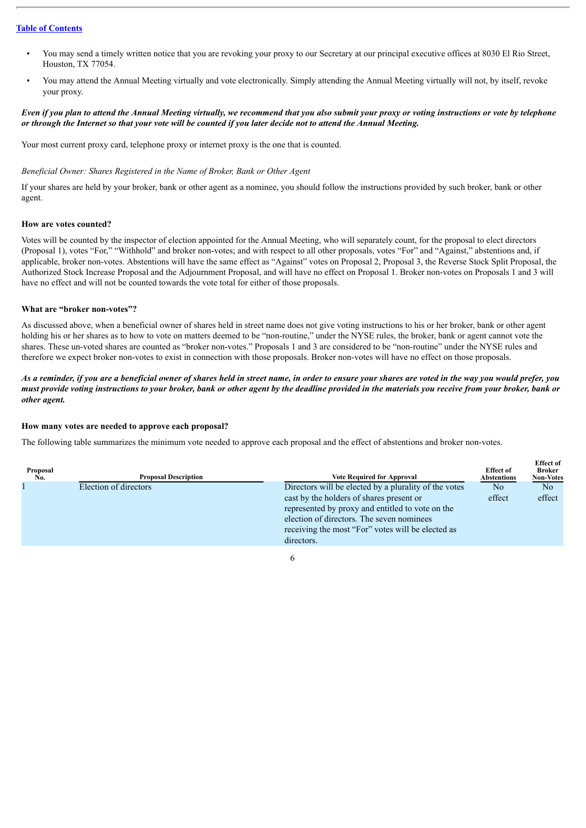- You may send a timely written notice that you are revoking your proxy to our Secretary at our principal executive offices at 8030 El Rio Street, Houston, TX 77054.
- You may attend the Annual Meeting virtually and vote electronically. Simply attending the Annual Meeting virtually will not, by itself, revoke your proxy.

#### Even if you plan to attend the Annual Meeting virtually, we recommend that you also submit your proxy or voting instructions or vote by telephone or through the Internet so that your vote will be counted if you later decide not to attend the Annual Meeting.

Your most current proxy card, telephone proxy or internet proxy is the one that is counted.

#### *Beneficial Owner: Shares Registered in the Name of Broker, Bank or Other Agent*

If your shares are held by your broker, bank or other agent as a nominee, you should follow the instructions provided by such broker, bank or other agent.

#### **How are votes counted?**

Votes will be counted by the inspector of election appointed for the Annual Meeting, who will separately count, for the proposal to elect directors (Proposal 1), votes "For," "Withhold" and broker non-votes; and with respect to all other proposals, votes "For" and "Against," abstentions and, if applicable, broker non-votes. Abstentions will have the same effect as "Against" votes on Proposal 2, Proposal 3, the Reverse Stock Split Proposal, the Authorized Stock Increase Proposal and the Adjournment Proposal, and will have no effect on Proposal 1. Broker non-votes on Proposals 1 and 3 will have no effect and will not be counted towards the vote total for either of those proposals.

#### **What are "broker non-votes"?**

As discussed above, when a beneficial owner of shares held in street name does not give voting instructions to his or her broker, bank or other agent holding his or her shares as to how to vote on matters deemed to be "non-routine," under the NYSE rules, the broker, bank or agent cannot vote the shares. These un-voted shares are counted as "broker non-votes." Proposals 1 and 3 are considered to be "non-routine" under the NYSE rules and therefore we expect broker non-votes to exist in connection with those proposals. Broker non-votes will have no effect on those proposals.

## As a reminder, if you are a beneficial owner of shares held in street name, in order to ensure your shares are voted in the way you would prefer, you must provide voting instructions to your broker, bank or other agent by the deadline provided in the materials you receive from your broker, bank or *other agent.*

#### **How many votes are needed to approve each proposal?**

The following table summarizes the minimum vote needed to approve each proposal and the effect of abstentions and broker non-votes.

| Proposal<br>Ño. | <b>Proposal Description</b> | <b>Vote Required for Approval</b>                     | <b>Effect of</b><br><b>Abstentions</b> | <b>Effect of</b><br><b>Broker</b><br><b>Non-Votes</b> |
|-----------------|-----------------------------|-------------------------------------------------------|----------------------------------------|-------------------------------------------------------|
|                 | Election of directors       | Directors will be elected by a plurality of the votes | N <sub>0</sub>                         | No                                                    |
|                 |                             | cast by the holders of shares present or              | effect                                 | effect                                                |
|                 |                             | represented by proxy and entitled to vote on the      |                                        |                                                       |
|                 |                             | election of directors. The seven nominees             |                                        |                                                       |
|                 |                             | receiving the most "For" votes will be elected as     |                                        |                                                       |
|                 |                             | directors.                                            |                                        |                                                       |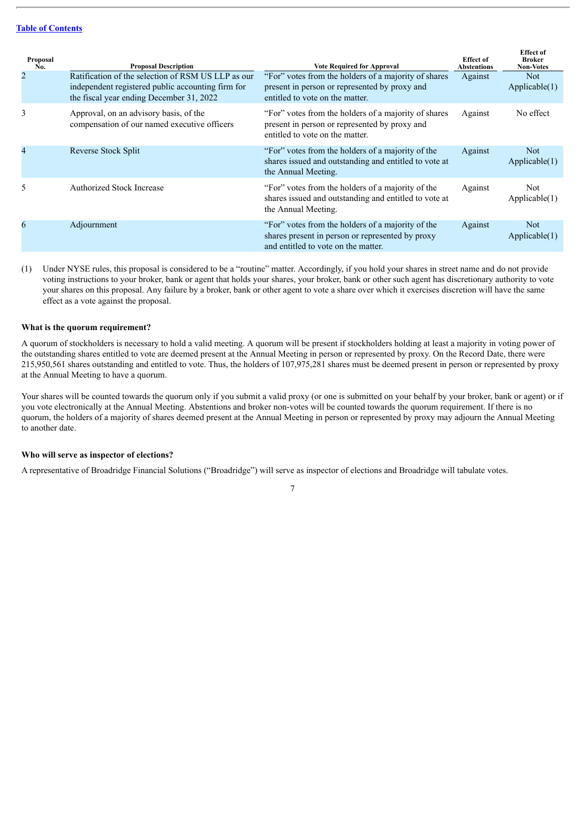| Proposal<br>No. | <b>Proposal Description</b>                                                                                                                         | <b>Vote Required for Approval</b>                                                                                                            | <b>Effect of</b><br><b>Abstentions</b> | <b>Effect</b> of<br>Broker<br><b>Non-Votes</b> |
|-----------------|-----------------------------------------------------------------------------------------------------------------------------------------------------|----------------------------------------------------------------------------------------------------------------------------------------------|----------------------------------------|------------------------------------------------|
| $\overline{2}$  | Ratification of the selection of RSM US LLP as our<br>independent registered public accounting firm for<br>the fiscal year ending December 31, 2022 | "For" votes from the holders of a majority of shares<br>present in person or represented by proxy and<br>entitled to vote on the matter.     | Against                                | <b>Not</b><br>Applicable(1)                    |
| 3               | Approval, on an advisory basis, of the<br>compensation of our named executive officers                                                              | "For" votes from the holders of a majority of shares<br>present in person or represented by proxy and<br>entitled to vote on the matter.     | Against                                | No effect                                      |
| 4               | Reverse Stock Split                                                                                                                                 | "For" votes from the holders of a majority of the<br>shares issued and outstanding and entitled to vote at<br>the Annual Meeting.            | Against                                | <b>Not</b><br>Applicable(1)                    |
| 5               | <b>Authorized Stock Increase</b>                                                                                                                    | "For" votes from the holders of a majority of the<br>shares issued and outstanding and entitled to vote at<br>the Annual Meeting.            | Against                                | Not<br>Applicable(1)                           |
| 6               | Adjournment                                                                                                                                         | "For" votes from the holders of a majority of the<br>shares present in person or represented by proxy<br>and entitled to vote on the matter. | Against                                | Not.<br>Applicable(1)                          |

(1) Under NYSE rules, this proposal is considered to be a "routine" matter. Accordingly, if you hold your shares in street name and do not provide voting instructions to your broker, bank or agent that holds your shares, your broker, bank or other such agent has discretionary authority to vote your shares on this proposal. Any failure by a broker, bank or other agent to vote a share over which it exercises discretion will have the same effect as a vote against the proposal.

#### **What is the quorum requirement?**

A quorum of stockholders is necessary to hold a valid meeting. A quorum will be present if stockholders holding at least a majority in voting power of the outstanding shares entitled to vote are deemed present at the Annual Meeting in person or represented by proxy. On the Record Date, there were 215,950,561 shares outstanding and entitled to vote. Thus, the holders of 107,975,281 shares must be deemed present in person or represented by proxy at the Annual Meeting to have a quorum.

Your shares will be counted towards the quorum only if you submit a valid proxy (or one is submitted on your behalf by your broker, bank or agent) or if you vote electronically at the Annual Meeting. Abstentions and broker non-votes will be counted towards the quorum requirement. If there is no quorum, the holders of a majority of shares deemed present at the Annual Meeting in person or represented by proxy may adjourn the Annual Meeting to another date.

#### **Who will serve as inspector of elections?**

A representative of Broadridge Financial Solutions ("Broadridge") will serve as inspector of elections and Broadridge will tabulate votes.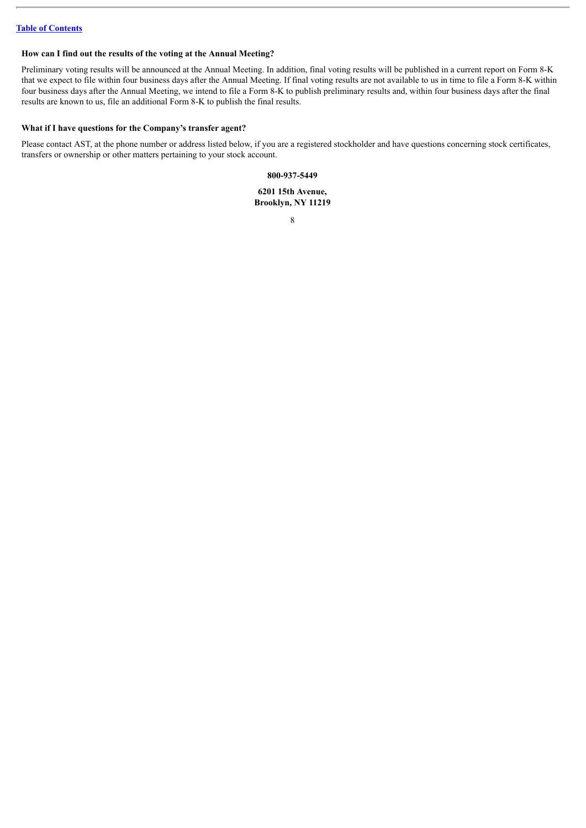## **How can I find out the results of the voting at the Annual Meeting?**

Preliminary voting results will be announced at the Annual Meeting. In addition, final voting results will be published in a current report on Form 8-K that we expect to file within four business days after the Annual Meeting. If final voting results are not available to us in time to file a Form 8-K within four business days after the Annual Meeting, we intend to file a Form 8-K to publish preliminary results and, within four business days after the final results are known to us, file an additional Form 8-K to publish the final results.

## **What if I have questions for the Company's transfer agent?**

Please contact AST, at the phone number or address listed below, if you are a registered stockholder and have questions concerning stock certificates, transfers or ownership or other matters pertaining to your stock account.

#### **800-937-5449**

**6201 15th Avenue, Brooklyn, NY 11219**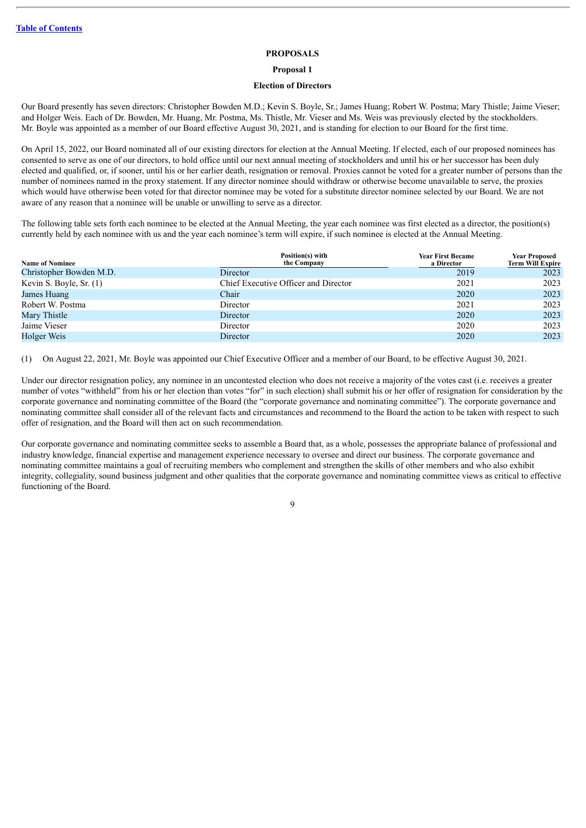#### **PROPOSALS**

**Proposal 1**

#### **Election of Directors**

<span id="page-12-1"></span><span id="page-12-0"></span>Our Board presently has seven directors: Christopher Bowden M.D.; Kevin S. Boyle, Sr.; James Huang; Robert W. Postma; Mary Thistle; Jaime Vieser; and Holger Weis. Each of Dr. Bowden, Mr. Huang, Mr. Postma, Ms. Thistle, Mr. Vieser and Ms. Weis was previously elected by the stockholders. Mr. Boyle was appointed as a member of our Board effective August 30, 2021, and is standing for election to our Board for the first time.

On April 15, 2022, our Board nominated all of our existing directors for election at the Annual Meeting. If elected, each of our proposed nominees has consented to serve as one of our directors, to hold office until our next annual meeting of stockholders and until his or her successor has been duly elected and qualified, or, if sooner, until his or her earlier death, resignation or removal. Proxies cannot be voted for a greater number of persons than the number of nominees named in the proxy statement. If any director nominee should withdraw or otherwise become unavailable to serve, the proxies which would have otherwise been voted for that director nominee may be voted for a substitute director nominee selected by our Board. We are not aware of any reason that a nominee will be unable or unwilling to serve as a director.

The following table sets forth each nominee to be elected at the Annual Meeting, the year each nominee was first elected as a director, the position(s) currently held by each nominee with us and the year each nominee's term will expire, if such nominee is elected at the Annual Meeting.

| <b>Name of Nominee</b>  | Position(s) with<br>the Company      | <b>Year First Became</b><br>a Director | <b>Year Proposed</b><br><b>Term Will Expire</b> |
|-------------------------|--------------------------------------|----------------------------------------|-------------------------------------------------|
| Christopher Bowden M.D. | Director                             | 2019                                   | 2023                                            |
| Kevin S. Boyle, Sr. (1) | Chief Executive Officer and Director | 2021                                   | 2023                                            |
| James Huang             | Chair                                | 2020                                   | 2023                                            |
| Robert W. Postma        | Director                             | 2021                                   | 2023                                            |
| Mary Thistle            | Director                             | 2020                                   | 2023                                            |
| Jaime Vieser            | Director                             | 2020                                   | 2023                                            |
| Holger Weis             | Director                             | 2020                                   | 2023                                            |

(1) On August 22, 2021, Mr. Boyle was appointed our Chief Executive Officer and a member of our Board, to be effective August 30, 2021.

Under our director resignation policy, any nominee in an uncontested election who does not receive a majority of the votes cast (i.e. receives a greater number of votes "withheld" from his or her election than votes "for" in such election) shall submit his or her offer of resignation for consideration by the corporate governance and nominating committee of the Board (the "corporate governance and nominating committee"). The corporate governance and nominating committee shall consider all of the relevant facts and circumstances and recommend to the Board the action to be taken with respect to such offer of resignation, and the Board will then act on such recommendation.

Our corporate governance and nominating committee seeks to assemble a Board that, as a whole, possesses the appropriate balance of professional and industry knowledge, financial expertise and management experience necessary to oversee and direct our business. The corporate governance and nominating committee maintains a goal of recruiting members who complement and strengthen the skills of other members and who also exhibit integrity, collegiality, sound business judgment and other qualities that the corporate governance and nominating committee views as critical to effective functioning of the Board.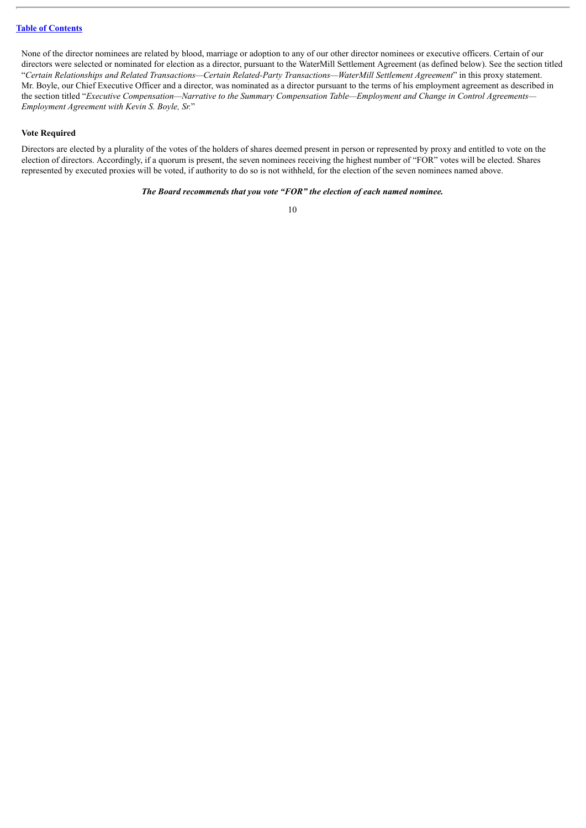None of the director nominees are related by blood, marriage or adoption to any of our other director nominees or executive officers. Certain of our directors were selected or nominated for election as a director, pursuant to the WaterMill Settlement Agreement (as defined below). See the section titled "*Certain Relationships and Related Transactions—Certain Related-Party Transactions—WaterMill Settlement Agreement*" in this proxy statement. Mr. Boyle, our Chief Executive Officer and a director, was nominated as a director pursuant to the terms of his employment agreement as described in the section titled "*Executive Compensation—Narrative to the Summary Compensation Table—Employment and Change in Control Agreements— Employment Agreement with Kevin S. Boyle, Sr.*"

#### **Vote Required**

Directors are elected by a plurality of the votes of the holders of shares deemed present in person or represented by proxy and entitled to vote on the election of directors. Accordingly, if a quorum is present, the seven nominees receiving the highest number of "FOR" votes will be elected. Shares represented by executed proxies will be voted, if authority to do so is not withheld, for the election of the seven nominees named above.

## *The Board recommends that you vote "FOR" the election of each named nominee.*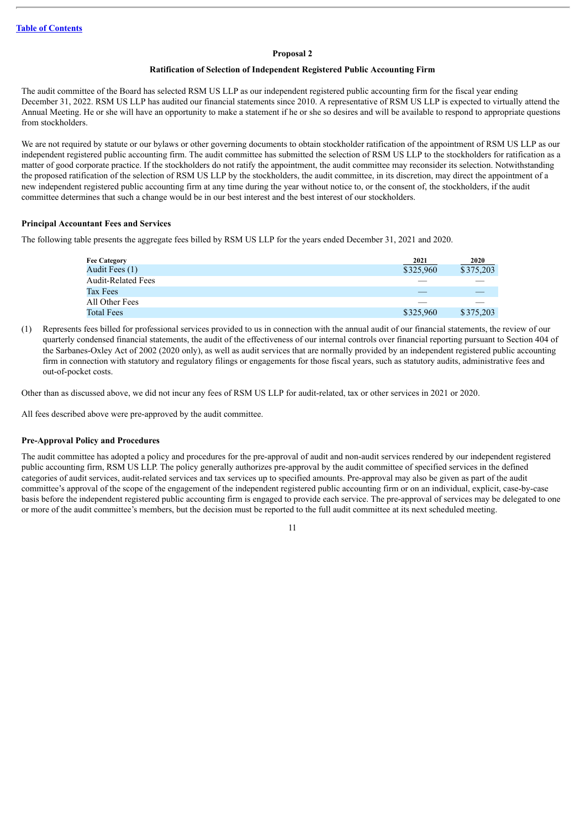#### **Proposal 2**

#### **Ratification of Selection of Independent Registered Public Accounting Firm**

<span id="page-14-0"></span>The audit committee of the Board has selected RSM US LLP as our independent registered public accounting firm for the fiscal year ending December 31, 2022. RSM US LLP has audited our financial statements since 2010. A representative of RSM US LLP is expected to virtually attend the Annual Meeting. He or she will have an opportunity to make a statement if he or she so desires and will be available to respond to appropriate questions from stockholders.

We are not required by statute or our bylaws or other governing documents to obtain stockholder ratification of the appointment of RSM US LLP as our independent registered public accounting firm. The audit committee has submitted the selection of RSM US LLP to the stockholders for ratification as a matter of good corporate practice. If the stockholders do not ratify the appointment, the audit committee may reconsider its selection. Notwithstanding the proposed ratification of the selection of RSM US LLP by the stockholders, the audit committee, in its discretion, may direct the appointment of a new independent registered public accounting firm at any time during the year without notice to, or the consent of, the stockholders, if the audit committee determines that such a change would be in our best interest and the best interest of our stockholders.

#### **Principal Accountant Fees and Services**

The following table presents the aggregate fees billed by RSM US LLP for the years ended December 31, 2021 and 2020.

| <b>Fee Category</b>       | 2021      | 2020      |
|---------------------------|-----------|-----------|
| Audit Fees (1)            | \$325,960 | \$375,203 |
| <b>Audit-Related Fees</b> |           |           |
| Tax Fees                  |           |           |
| All Other Fees            |           |           |
| <b>Total Fees</b>         | \$325,960 | \$375,203 |

(1) Represents fees billed for professional services provided to us in connection with the annual audit of our financial statements, the review of our quarterly condensed financial statements, the audit of the effectiveness of our internal controls over financial reporting pursuant to Section 404 of the Sarbanes-Oxley Act of 2002 (2020 only), as well as audit services that are normally provided by an independent registered public accounting firm in connection with statutory and regulatory filings or engagements for those fiscal years, such as statutory audits, administrative fees and out-of-pocket costs.

Other than as discussed above, we did not incur any fees of RSM US LLP for audit-related, tax or other services in 2021 or 2020.

All fees described above were pre-approved by the audit committee.

#### **Pre-Approval Policy and Procedures**

The audit committee has adopted a policy and procedures for the pre-approval of audit and non-audit services rendered by our independent registered public accounting firm, RSM US LLP. The policy generally authorizes pre-approval by the audit committee of specified services in the defined categories of audit services, audit-related services and tax services up to specified amounts. Pre-approval may also be given as part of the audit committee's approval of the scope of the engagement of the independent registered public accounting firm or on an individual, explicit, case-by-case basis before the independent registered public accounting firm is engaged to provide each service. The pre-approval of services may be delegated to one or more of the audit committee's members, but the decision must be reported to the full audit committee at its next scheduled meeting.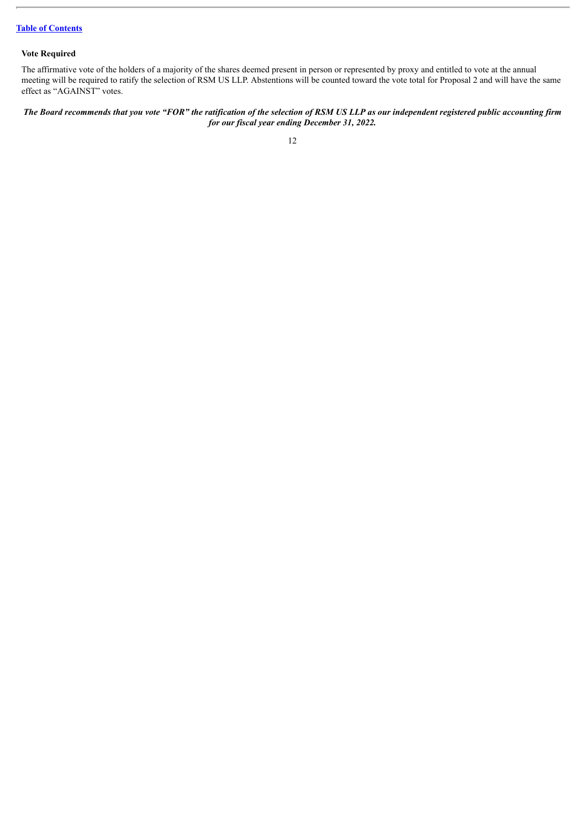## **Vote Required**

The affirmative vote of the holders of a majority of the shares deemed present in person or represented by proxy and entitled to vote at the annual meeting will be required to ratify the selection of RSM US LLP. Abstentions will be counted toward the vote total for Proposal 2 and will have the same effect as "AGAINST" votes.

The Board recommends that you vote "FOR" the ratification of the selection of RSM US LLP as our independent registered public accounting firm *for our fiscal year ending December 31, 2022.*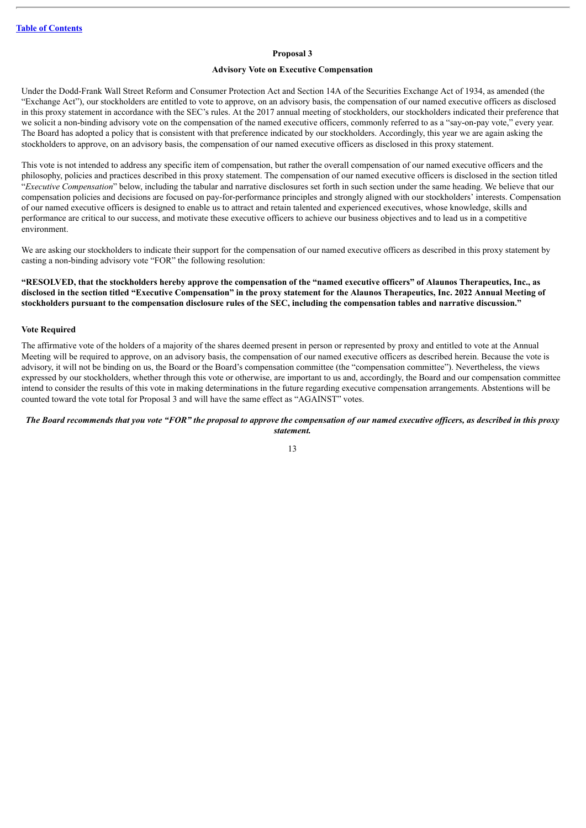#### **Proposal 3**

## **Advisory Vote on Executive Compensation**

<span id="page-16-0"></span>Under the Dodd-Frank Wall Street Reform and Consumer Protection Act and Section 14A of the Securities Exchange Act of 1934, as amended (the "Exchange Act"), our stockholders are entitled to vote to approve, on an advisory basis, the compensation of our named executive officers as disclosed in this proxy statement in accordance with the SEC's rules. At the 2017 annual meeting of stockholders, our stockholders indicated their preference that we solicit a non-binding advisory vote on the compensation of the named executive officers, commonly referred to as a "say-on-pay vote," every year. The Board has adopted a policy that is consistent with that preference indicated by our stockholders. Accordingly, this year we are again asking the stockholders to approve, on an advisory basis, the compensation of our named executive officers as disclosed in this proxy statement.

This vote is not intended to address any specific item of compensation, but rather the overall compensation of our named executive officers and the philosophy, policies and practices described in this proxy statement. The compensation of our named executive officers is disclosed in the section titled "*Executive Compensation*" below, including the tabular and narrative disclosures set forth in such section under the same heading. We believe that our compensation policies and decisions are focused on pay-for-performance principles and strongly aligned with our stockholders' interests. Compensation of our named executive officers is designed to enable us to attract and retain talented and experienced executives, whose knowledge, skills and performance are critical to our success, and motivate these executive officers to achieve our business objectives and to lead us in a competitive environment.

We are asking our stockholders to indicate their support for the compensation of our named executive officers as described in this proxy statement by casting a non-binding advisory vote "FOR" the following resolution:

"RESOLVED, that the stockholders hereby approve the compensation of the "named executive officers" of Alaunos Therapeutics, Inc., as disclosed in the section titled "Executive Compensation" in the proxy statement for the Alaunos Therapeutics, Inc. 2022 Annual Meeting of stockholders pursuant to the compensation disclosure rules of the SEC, including the compensation tables and narrative discussion."

#### **Vote Required**

The affirmative vote of the holders of a majority of the shares deemed present in person or represented by proxy and entitled to vote at the Annual Meeting will be required to approve, on an advisory basis, the compensation of our named executive officers as described herein. Because the vote is advisory, it will not be binding on us, the Board or the Board's compensation committee (the "compensation committee"). Nevertheless, the views expressed by our stockholders, whether through this vote or otherwise, are important to us and, accordingly, the Board and our compensation committee intend to consider the results of this vote in making determinations in the future regarding executive compensation arrangements. Abstentions will be counted toward the vote total for Proposal 3 and will have the same effect as "AGAINST" votes.

#### The Board recommends that you vote "FOR" the proposal to approve the compensation of our named executive officers, as described in this proxy *statement.*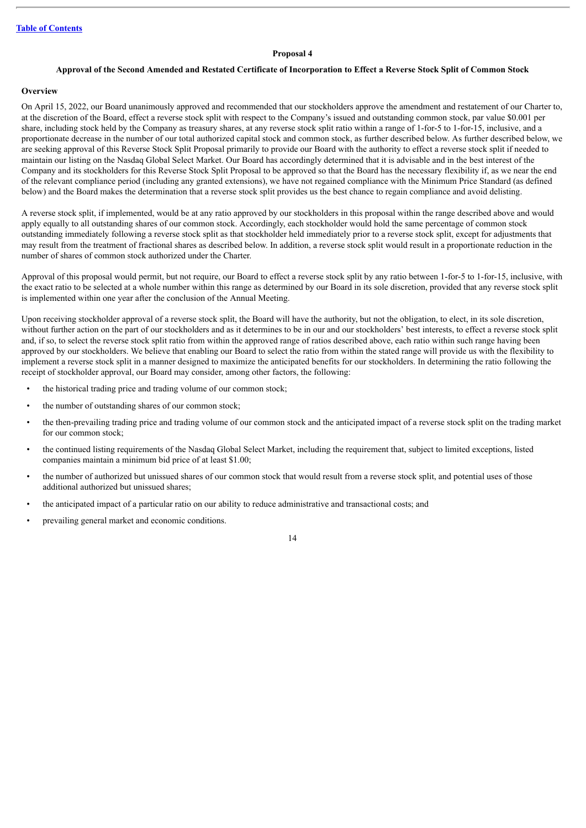#### **Proposal 4**

## <span id="page-17-0"></span>Approval of the Second Amended and Restated Certificate of Incorporation to Effect a Reverse Stock Split of Common Stock

#### **Overview**

On April 15, 2022, our Board unanimously approved and recommended that our stockholders approve the amendment and restatement of our Charter to, at the discretion of the Board, effect a reverse stock split with respect to the Company's issued and outstanding common stock, par value \$0.001 per share, including stock held by the Company as treasury shares, at any reverse stock split ratio within a range of 1-for-5 to 1-for-15, inclusive, and a proportionate decrease in the number of our total authorized capital stock and common stock, as further described below. As further described below, we are seeking approval of this Reverse Stock Split Proposal primarily to provide our Board with the authority to effect a reverse stock split if needed to maintain our listing on the Nasdaq Global Select Market. Our Board has accordingly determined that it is advisable and in the best interest of the Company and its stockholders for this Reverse Stock Split Proposal to be approved so that the Board has the necessary flexibility if, as we near the end of the relevant compliance period (including any granted extensions), we have not regained compliance with the Minimum Price Standard (as defined below) and the Board makes the determination that a reverse stock split provides us the best chance to regain compliance and avoid delisting.

A reverse stock split, if implemented, would be at any ratio approved by our stockholders in this proposal within the range described above and would apply equally to all outstanding shares of our common stock. Accordingly, each stockholder would hold the same percentage of common stock outstanding immediately following a reverse stock split as that stockholder held immediately prior to a reverse stock split, except for adjustments that may result from the treatment of fractional shares as described below. In addition, a reverse stock split would result in a proportionate reduction in the number of shares of common stock authorized under the Charter.

Approval of this proposal would permit, but not require, our Board to effect a reverse stock split by any ratio between 1-for-5 to 1-for-15, inclusive, with the exact ratio to be selected at a whole number within this range as determined by our Board in its sole discretion, provided that any reverse stock split is implemented within one year after the conclusion of the Annual Meeting.

Upon receiving stockholder approval of a reverse stock split, the Board will have the authority, but not the obligation, to elect, in its sole discretion, without further action on the part of our stockholders and as it determines to be in our and our stockholders' best interests, to effect a reverse stock split and, if so, to select the reverse stock split ratio from within the approved range of ratios described above, each ratio within such range having been approved by our stockholders. We believe that enabling our Board to select the ratio from within the stated range will provide us with the flexibility to implement a reverse stock split in a manner designed to maximize the anticipated benefits for our stockholders. In determining the ratio following the receipt of stockholder approval, our Board may consider, among other factors, the following:

- the historical trading price and trading volume of our common stock;
- the number of outstanding shares of our common stock;
- the then-prevailing trading price and trading volume of our common stock and the anticipated impact of a reverse stock split on the trading market for our common stock;
- the continued listing requirements of the Nasdaq Global Select Market, including the requirement that, subject to limited exceptions, listed companies maintain a minimum bid price of at least \$1.00;
- the number of authorized but unissued shares of our common stock that would result from a reverse stock split, and potential uses of those additional authorized but unissued shares;
- the anticipated impact of a particular ratio on our ability to reduce administrative and transactional costs; and
- prevailing general market and economic conditions.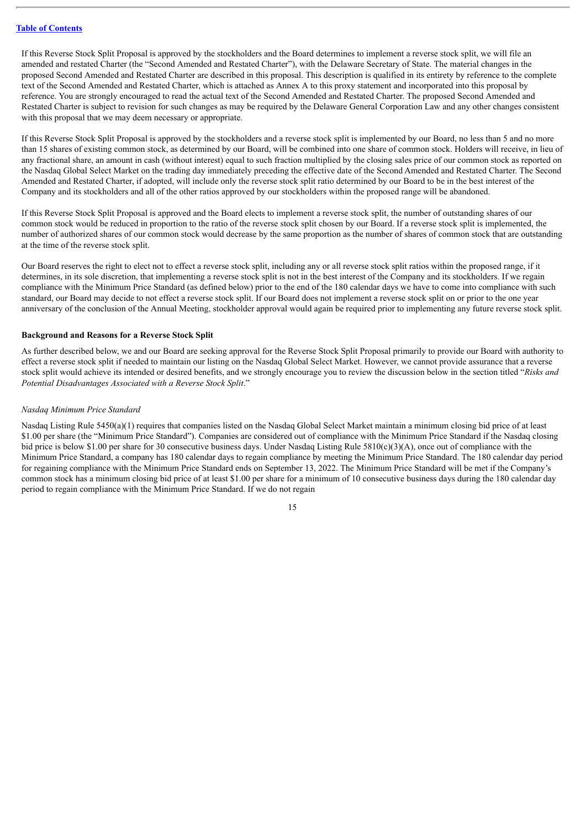If this Reverse Stock Split Proposal is approved by the stockholders and the Board determines to implement a reverse stock split, we will file an amended and restated Charter (the "Second Amended and Restated Charter"), with the Delaware Secretary of State. The material changes in the proposed Second Amended and Restated Charter are described in this proposal. This description is qualified in its entirety by reference to the complete text of the Second Amended and Restated Charter, which is attached as Annex A to this proxy statement and incorporated into this proposal by reference. You are strongly encouraged to read the actual text of the Second Amended and Restated Charter. The proposed Second Amended and Restated Charter is subject to revision for such changes as may be required by the Delaware General Corporation Law and any other changes consistent with this proposal that we may deem necessary or appropriate.

If this Reverse Stock Split Proposal is approved by the stockholders and a reverse stock split is implemented by our Board, no less than 5 and no more than 15 shares of existing common stock, as determined by our Board, will be combined into one share of common stock. Holders will receive, in lieu of any fractional share, an amount in cash (without interest) equal to such fraction multiplied by the closing sales price of our common stock as reported on the Nasdaq Global Select Market on the trading day immediately preceding the effective date of the Second Amended and Restated Charter. The Second Amended and Restated Charter, if adopted, will include only the reverse stock split ratio determined by our Board to be in the best interest of the Company and its stockholders and all of the other ratios approved by our stockholders within the proposed range will be abandoned.

If this Reverse Stock Split Proposal is approved and the Board elects to implement a reverse stock split, the number of outstanding shares of our common stock would be reduced in proportion to the ratio of the reverse stock split chosen by our Board. If a reverse stock split is implemented, the number of authorized shares of our common stock would decrease by the same proportion as the number of shares of common stock that are outstanding at the time of the reverse stock split.

Our Board reserves the right to elect not to effect a reverse stock split, including any or all reverse stock split ratios within the proposed range, if it determines, in its sole discretion, that implementing a reverse stock split is not in the best interest of the Company and its stockholders. If we regain compliance with the Minimum Price Standard (as defined below) prior to the end of the 180 calendar days we have to come into compliance with such standard, our Board may decide to not effect a reverse stock split. If our Board does not implement a reverse stock split on or prior to the one year anniversary of the conclusion of the Annual Meeting, stockholder approval would again be required prior to implementing any future reverse stock split.

#### **Background and Reasons for a Reverse Stock Split**

As further described below, we and our Board are seeking approval for the Reverse Stock Split Proposal primarily to provide our Board with authority to effect a reverse stock split if needed to maintain our listing on the Nasdaq Global Select Market. However, we cannot provide assurance that a reverse stock split would achieve its intended or desired benefits, and we strongly encourage you to review the discussion below in the section titled "*Risks and Potential Disadvantages Associated with a Reverse Stock Split*."

#### *Nasdaq Minimum Price Standard*

Nasdaq Listing Rule 5450(a)(1) requires that companies listed on the Nasdaq Global Select Market maintain a minimum closing bid price of at least \$1.00 per share (the "Minimum Price Standard"). Companies are considered out of compliance with the Minimum Price Standard if the Nasdaq closing bid price is below \$1.00 per share for 30 consecutive business days. Under Nasdaq Listing Rule 5810(c)(3)(A), once out of compliance with the Minimum Price Standard, a company has 180 calendar days to regain compliance by meeting the Minimum Price Standard. The 180 calendar day period for regaining compliance with the Minimum Price Standard ends on September 13, 2022. The Minimum Price Standard will be met if the Company's common stock has a minimum closing bid price of at least \$1.00 per share for a minimum of 10 consecutive business days during the 180 calendar day period to regain compliance with the Minimum Price Standard. If we do not regain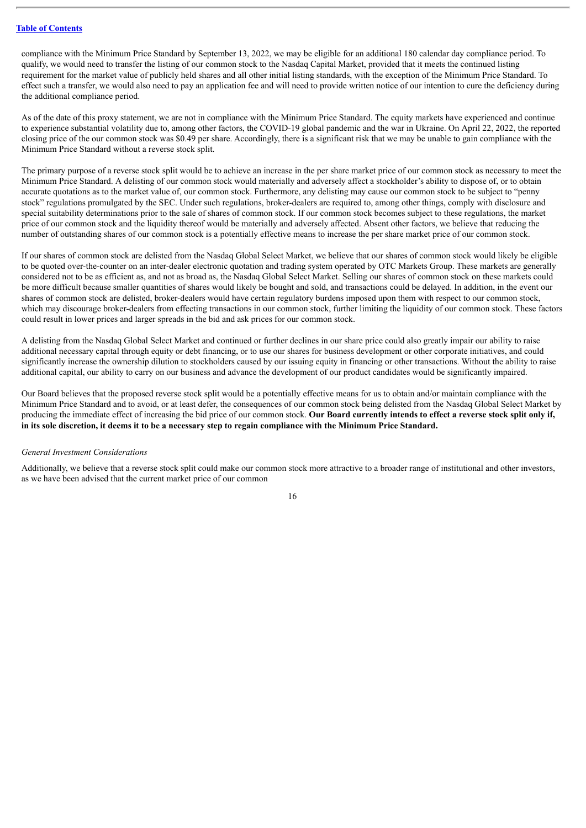compliance with the Minimum Price Standard by September 13, 2022, we may be eligible for an additional 180 calendar day compliance period. To qualify, we would need to transfer the listing of our common stock to the Nasdaq Capital Market, provided that it meets the continued listing requirement for the market value of publicly held shares and all other initial listing standards, with the exception of the Minimum Price Standard. To effect such a transfer, we would also need to pay an application fee and will need to provide written notice of our intention to cure the deficiency during the additional compliance period.

As of the date of this proxy statement, we are not in compliance with the Minimum Price Standard. The equity markets have experienced and continue to experience substantial volatility due to, among other factors, the COVID-19 global pandemic and the war in Ukraine. On April 22, 2022, the reported closing price of the our common stock was \$0.49 per share. Accordingly, there is a significant risk that we may be unable to gain compliance with the Minimum Price Standard without a reverse stock split.

The primary purpose of a reverse stock split would be to achieve an increase in the per share market price of our common stock as necessary to meet the Minimum Price Standard. A delisting of our common stock would materially and adversely affect a stockholder's ability to dispose of, or to obtain accurate quotations as to the market value of, our common stock. Furthermore, any delisting may cause our common stock to be subject to "penny stock" regulations promulgated by the SEC. Under such regulations, broker-dealers are required to, among other things, comply with disclosure and special suitability determinations prior to the sale of shares of common stock. If our common stock becomes subject to these regulations, the market price of our common stock and the liquidity thereof would be materially and adversely affected. Absent other factors, we believe that reducing the number of outstanding shares of our common stock is a potentially effective means to increase the per share market price of our common stock.

If our shares of common stock are delisted from the Nasdaq Global Select Market, we believe that our shares of common stock would likely be eligible to be quoted over-the-counter on an inter-dealer electronic quotation and trading system operated by OTC Markets Group. These markets are generally considered not to be as efficient as, and not as broad as, the Nasdaq Global Select Market. Selling our shares of common stock on these markets could be more difficult because smaller quantities of shares would likely be bought and sold, and transactions could be delayed. In addition, in the event our shares of common stock are delisted, broker-dealers would have certain regulatory burdens imposed upon them with respect to our common stock, which may discourage broker-dealers from effecting transactions in our common stock, further limiting the liquidity of our common stock. These factors could result in lower prices and larger spreads in the bid and ask prices for our common stock.

A delisting from the Nasdaq Global Select Market and continued or further declines in our share price could also greatly impair our ability to raise additional necessary capital through equity or debt financing, or to use our shares for business development or other corporate initiatives, and could significantly increase the ownership dilution to stockholders caused by our issuing equity in financing or other transactions. Without the ability to raise additional capital, our ability to carry on our business and advance the development of our product candidates would be significantly impaired.

Our Board believes that the proposed reverse stock split would be a potentially effective means for us to obtain and/or maintain compliance with the Minimum Price Standard and to avoid, or at least defer, the consequences of our common stock being delisted from the Nasdaq Global Select Market by producing the immediate effect of increasing the bid price of our common stock. Our Board currently intends to effect a reverse stock split only if, in its sole discretion, it deems it to be a necessary step to regain compliance with the Minimum Price Standard.

#### *General Investment Considerations*

Additionally, we believe that a reverse stock split could make our common stock more attractive to a broader range of institutional and other investors, as we have been advised that the current market price of our common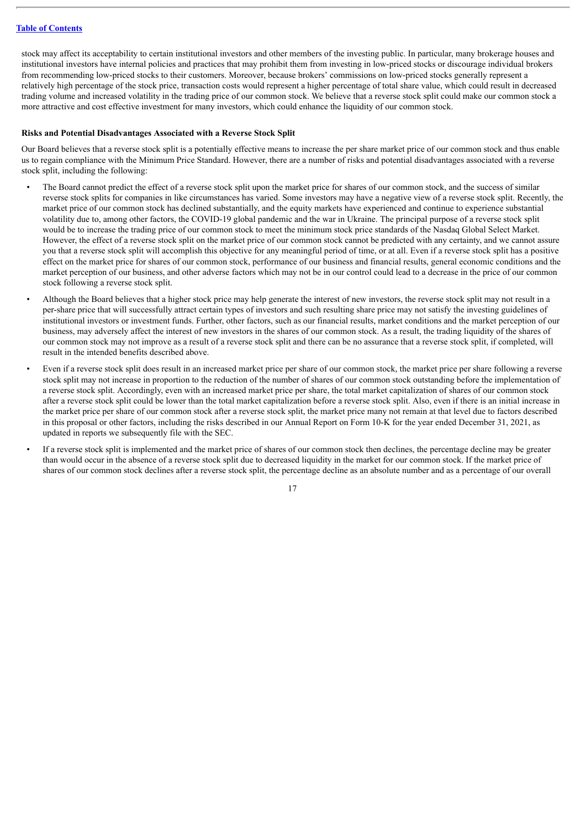stock may affect its acceptability to certain institutional investors and other members of the investing public. In particular, many brokerage houses and institutional investors have internal policies and practices that may prohibit them from investing in low-priced stocks or discourage individual brokers from recommending low-priced stocks to their customers. Moreover, because brokers' commissions on low-priced stocks generally represent a relatively high percentage of the stock price, transaction costs would represent a higher percentage of total share value, which could result in decreased trading volume and increased volatility in the trading price of our common stock. We believe that a reverse stock split could make our common stock a more attractive and cost effective investment for many investors, which could enhance the liquidity of our common stock.

#### **Risks and Potential Disadvantages Associated with a Reverse Stock Split**

Our Board believes that a reverse stock split is a potentially effective means to increase the per share market price of our common stock and thus enable us to regain compliance with the Minimum Price Standard. However, there are a number of risks and potential disadvantages associated with a reverse stock split, including the following:

- The Board cannot predict the effect of a reverse stock split upon the market price for shares of our common stock, and the success of similar reverse stock splits for companies in like circumstances has varied. Some investors may have a negative view of a reverse stock split. Recently, the market price of our common stock has declined substantially, and the equity markets have experienced and continue to experience substantial volatility due to, among other factors, the COVID-19 global pandemic and the war in Ukraine. The principal purpose of a reverse stock split would be to increase the trading price of our common stock to meet the minimum stock price standards of the Nasdaq Global Select Market. However, the effect of a reverse stock split on the market price of our common stock cannot be predicted with any certainty, and we cannot assure you that a reverse stock split will accomplish this objective for any meaningful period of time, or at all. Even if a reverse stock split has a positive effect on the market price for shares of our common stock, performance of our business and financial results, general economic conditions and the market perception of our business, and other adverse factors which may not be in our control could lead to a decrease in the price of our common stock following a reverse stock split.
- Although the Board believes that a higher stock price may help generate the interest of new investors, the reverse stock split may not result in a per-share price that will successfully attract certain types of investors and such resulting share price may not satisfy the investing guidelines of institutional investors or investment funds. Further, other factors, such as our financial results, market conditions and the market perception of our business, may adversely affect the interest of new investors in the shares of our common stock. As a result, the trading liquidity of the shares of our common stock may not improve as a result of a reverse stock split and there can be no assurance that a reverse stock split, if completed, will result in the intended benefits described above.
- Even if a reverse stock split does result in an increased market price per share of our common stock, the market price per share following a reverse stock split may not increase in proportion to the reduction of the number of shares of our common stock outstanding before the implementation of a reverse stock split. Accordingly, even with an increased market price per share, the total market capitalization of shares of our common stock after a reverse stock split could be lower than the total market capitalization before a reverse stock split. Also, even if there is an initial increase in the market price per share of our common stock after a reverse stock split, the market price many not remain at that level due to factors described in this proposal or other factors, including the risks described in our Annual Report on Form 10-K for the year ended December 31, 2021, as updated in reports we subsequently file with the SEC.
- If a reverse stock split is implemented and the market price of shares of our common stock then declines, the percentage decline may be greater than would occur in the absence of a reverse stock split due to decreased liquidity in the market for our common stock. If the market price of shares of our common stock declines after a reverse stock split, the percentage decline as an absolute number and as a percentage of our overall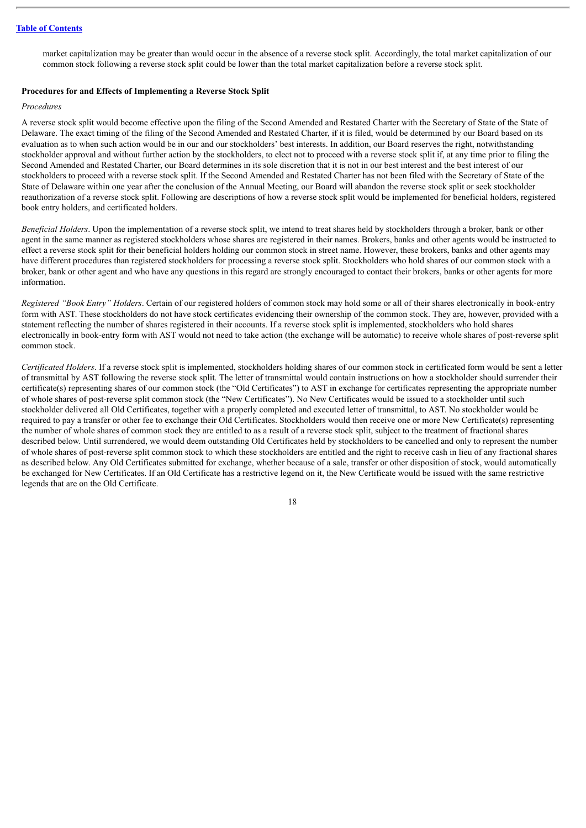market capitalization may be greater than would occur in the absence of a reverse stock split. Accordingly, the total market capitalization of our common stock following a reverse stock split could be lower than the total market capitalization before a reverse stock split.

#### **Procedures for and Effects of Implementing a Reverse Stock Split**

#### *Procedures*

A reverse stock split would become effective upon the filing of the Second Amended and Restated Charter with the Secretary of State of the State of Delaware. The exact timing of the filing of the Second Amended and Restated Charter, if it is filed, would be determined by our Board based on its evaluation as to when such action would be in our and our stockholders' best interests. In addition, our Board reserves the right, notwithstanding stockholder approval and without further action by the stockholders, to elect not to proceed with a reverse stock split if, at any time prior to filing the Second Amended and Restated Charter, our Board determines in its sole discretion that it is not in our best interest and the best interest of our stockholders to proceed with a reverse stock split. If the Second Amended and Restated Charter has not been filed with the Secretary of State of the State of Delaware within one year after the conclusion of the Annual Meeting, our Board will abandon the reverse stock split or seek stockholder reauthorization of a reverse stock split. Following are descriptions of how a reverse stock split would be implemented for beneficial holders, registered book entry holders, and certificated holders.

*Beneficial Holders*. Upon the implementation of a reverse stock split, we intend to treat shares held by stockholders through a broker, bank or other agent in the same manner as registered stockholders whose shares are registered in their names. Brokers, banks and other agents would be instructed to effect a reverse stock split for their beneficial holders holding our common stock in street name. However, these brokers, banks and other agents may have different procedures than registered stockholders for processing a reverse stock split. Stockholders who hold shares of our common stock with a broker, bank or other agent and who have any questions in this regard are strongly encouraged to contact their brokers, banks or other agents for more information.

*Registered "Book Entry" Holders*. Certain of our registered holders of common stock may hold some or all of their shares electronically in book-entry form with AST. These stockholders do not have stock certificates evidencing their ownership of the common stock. They are, however, provided with a statement reflecting the number of shares registered in their accounts. If a reverse stock split is implemented, stockholders who hold shares electronically in book-entry form with AST would not need to take action (the exchange will be automatic) to receive whole shares of post-reverse split common stock.

*Certificated Holders*. If a reverse stock split is implemented, stockholders holding shares of our common stock in certificated form would be sent a letter of transmittal by AST following the reverse stock split. The letter of transmittal would contain instructions on how a stockholder should surrender their certificate(s) representing shares of our common stock (the "Old Certificates") to AST in exchange for certificates representing the appropriate number of whole shares of post-reverse split common stock (the "New Certificates"). No New Certificates would be issued to a stockholder until such stockholder delivered all Old Certificates, together with a properly completed and executed letter of transmittal, to AST. No stockholder would be required to pay a transfer or other fee to exchange their Old Certificates. Stockholders would then receive one or more New Certificate(s) representing the number of whole shares of common stock they are entitled to as a result of a reverse stock split, subject to the treatment of fractional shares described below. Until surrendered, we would deem outstanding Old Certificates held by stockholders to be cancelled and only to represent the number of whole shares of post-reverse split common stock to which these stockholders are entitled and the right to receive cash in lieu of any fractional shares as described below. Any Old Certificates submitted for exchange, whether because of a sale, transfer or other disposition of stock, would automatically be exchanged for New Certificates. If an Old Certificate has a restrictive legend on it, the New Certificate would be issued with the same restrictive legends that are on the Old Certificate.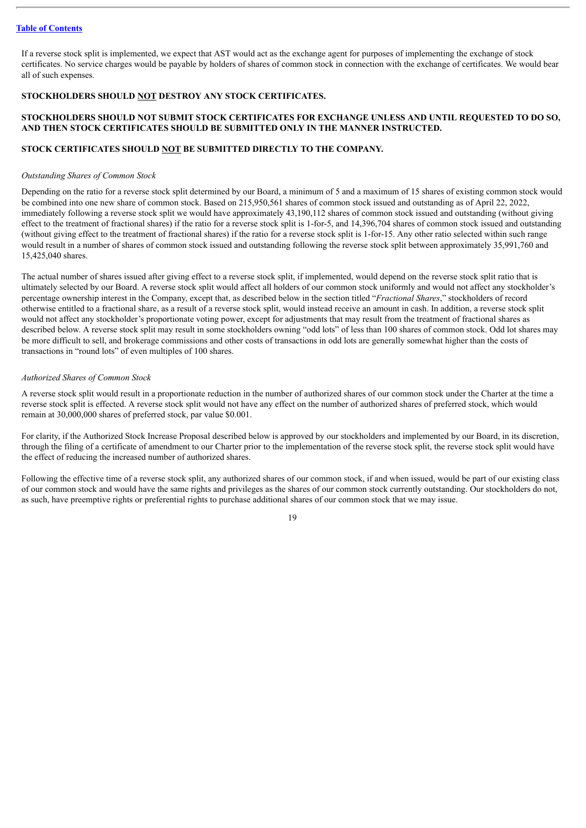If a reverse stock split is implemented, we expect that AST would act as the exchange agent for purposes of implementing the exchange of stock certificates. No service charges would be payable by holders of shares of common stock in connection with the exchange of certificates. We would bear all of such expenses.

## **STOCKHOLDERS SHOULD NOT DESTROY ANY STOCK CERTIFICATES.**

## **STOCKHOLDERS SHOULD NOT SUBMIT STOCK CERTIFICATES FOR EXCHANGE UNLESS AND UNTIL REQUESTED TO DO SO, AND THEN STOCK CERTIFICATES SHOULD BE SUBMITTED ONLY IN THE MANNER INSTRUCTED.**

## **STOCK CERTIFICATES SHOULD NOT BE SUBMITTED DIRECTLY TO THE COMPANY.**

#### *Outstanding Shares of Common Stock*

Depending on the ratio for a reverse stock split determined by our Board, a minimum of 5 and a maximum of 15 shares of existing common stock would be combined into one new share of common stock. Based on 215,950,561 shares of common stock issued and outstanding as of April 22, 2022, immediately following a reverse stock split we would have approximately 43,190,112 shares of common stock issued and outstanding (without giving effect to the treatment of fractional shares) if the ratio for a reverse stock split is 1-for-5, and 14,396,704 shares of common stock issued and outstanding (without giving effect to the treatment of fractional shares) if the ratio for a reverse stock split is 1-for-15. Any other ratio selected within such range would result in a number of shares of common stock issued and outstanding following the reverse stock split between approximately 35,991,760 and 15,425,040 shares.

The actual number of shares issued after giving effect to a reverse stock split, if implemented, would depend on the reverse stock split ratio that is ultimately selected by our Board. A reverse stock split would affect all holders of our common stock uniformly and would not affect any stockholder's percentage ownership interest in the Company, except that, as described below in the section titled "*Fractional Shares*," stockholders of record otherwise entitled to a fractional share, as a result of a reverse stock split, would instead receive an amount in cash. In addition, a reverse stock split would not affect any stockholder's proportionate voting power, except for adjustments that may result from the treatment of fractional shares as described below. A reverse stock split may result in some stockholders owning "odd lots" of less than 100 shares of common stock. Odd lot shares may be more difficult to sell, and brokerage commissions and other costs of transactions in odd lots are generally somewhat higher than the costs of transactions in "round lots" of even multiples of 100 shares.

#### *Authorized Shares of Common Stock*

A reverse stock split would result in a proportionate reduction in the number of authorized shares of our common stock under the Charter at the time a reverse stock split is effected. A reverse stock split would not have any effect on the number of authorized shares of preferred stock, which would remain at 30,000,000 shares of preferred stock, par value \$0.001.

For clarity, if the Authorized Stock Increase Proposal described below is approved by our stockholders and implemented by our Board, in its discretion, through the filing of a certificate of amendment to our Charter prior to the implementation of the reverse stock split, the reverse stock split would have the effect of reducing the increased number of authorized shares.

Following the effective time of a reverse stock split, any authorized shares of our common stock, if and when issued, would be part of our existing class of our common stock and would have the same rights and privileges as the shares of our common stock currently outstanding. Our stockholders do not, as such, have preemptive rights or preferential rights to purchase additional shares of our common stock that we may issue.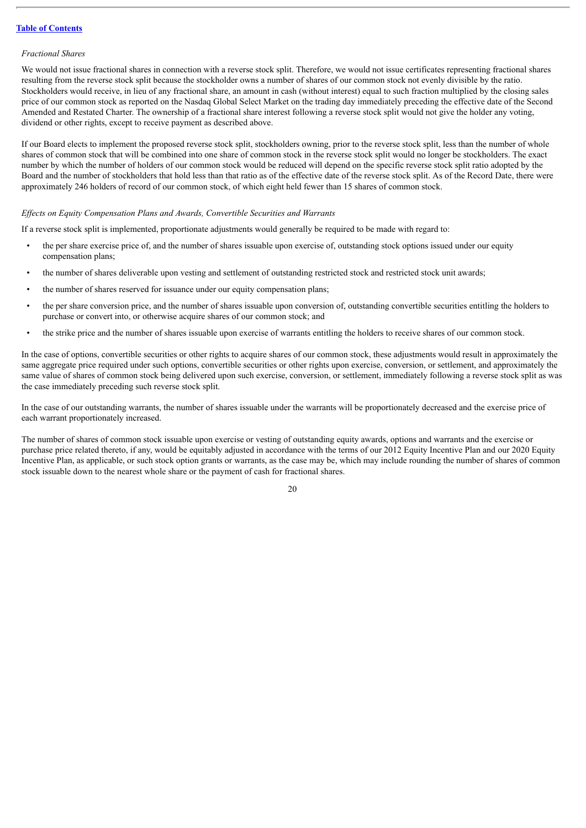#### *Fractional Shares*

We would not issue fractional shares in connection with a reverse stock split. Therefore, we would not issue certificates representing fractional shares resulting from the reverse stock split because the stockholder owns a number of shares of our common stock not evenly divisible by the ratio. Stockholders would receive, in lieu of any fractional share, an amount in cash (without interest) equal to such fraction multiplied by the closing sales price of our common stock as reported on the Nasdaq Global Select Market on the trading day immediately preceding the effective date of the Second Amended and Restated Charter. The ownership of a fractional share interest following a reverse stock split would not give the holder any voting, dividend or other rights, except to receive payment as described above.

If our Board elects to implement the proposed reverse stock split, stockholders owning, prior to the reverse stock split, less than the number of whole shares of common stock that will be combined into one share of common stock in the reverse stock split would no longer be stockholders. The exact number by which the number of holders of our common stock would be reduced will depend on the specific reverse stock split ratio adopted by the Board and the number of stockholders that hold less than that ratio as of the effective date of the reverse stock split. As of the Record Date, there were approximately 246 holders of record of our common stock, of which eight held fewer than 15 shares of common stock.

#### *Ef ects on Equity Compensation Plans and Awards, Convertible Securities and Warrants*

If a reverse stock split is implemented, proportionate adjustments would generally be required to be made with regard to:

- the per share exercise price of, and the number of shares issuable upon exercise of, outstanding stock options issued under our equity compensation plans;
- the number of shares deliverable upon vesting and settlement of outstanding restricted stock and restricted stock unit awards;
- the number of shares reserved for issuance under our equity compensation plans;
- the per share conversion price, and the number of shares issuable upon conversion of, outstanding convertible securities entitling the holders to purchase or convert into, or otherwise acquire shares of our common stock; and
- the strike price and the number of shares issuable upon exercise of warrants entitling the holders to receive shares of our common stock.

In the case of options, convertible securities or other rights to acquire shares of our common stock, these adjustments would result in approximately the same aggregate price required under such options, convertible securities or other rights upon exercise, conversion, or settlement, and approximately the same value of shares of common stock being delivered upon such exercise, conversion, or settlement, immediately following a reverse stock split as was the case immediately preceding such reverse stock split.

In the case of our outstanding warrants, the number of shares issuable under the warrants will be proportionately decreased and the exercise price of each warrant proportionately increased.

The number of shares of common stock issuable upon exercise or vesting of outstanding equity awards, options and warrants and the exercise or purchase price related thereto, if any, would be equitably adjusted in accordance with the terms of our 2012 Equity Incentive Plan and our 2020 Equity Incentive Plan, as applicable, or such stock option grants or warrants, as the case may be, which may include rounding the number of shares of common stock issuable down to the nearest whole share or the payment of cash for fractional shares.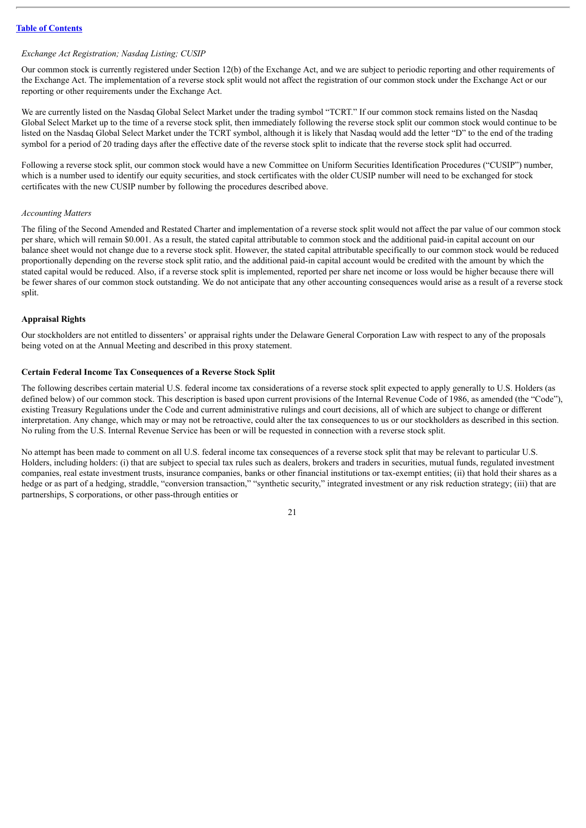#### *Exchange Act Registration; Nasdaq Listing; CUSIP*

Our common stock is currently registered under Section 12(b) of the Exchange Act, and we are subject to periodic reporting and other requirements of the Exchange Act. The implementation of a reverse stock split would not affect the registration of our common stock under the Exchange Act or our reporting or other requirements under the Exchange Act.

We are currently listed on the Nasdaq Global Select Market under the trading symbol "TCRT." If our common stock remains listed on the Nasdaq Global Select Market up to the time of a reverse stock split, then immediately following the reverse stock split our common stock would continue to be listed on the Nasdaq Global Select Market under the TCRT symbol, although it is likely that Nasdaq would add the letter "D" to the end of the trading symbol for a period of 20 trading days after the effective date of the reverse stock split to indicate that the reverse stock split had occurred.

Following a reverse stock split, our common stock would have a new Committee on Uniform Securities Identification Procedures ("CUSIP") number, which is a number used to identify our equity securities, and stock certificates with the older CUSIP number will need to be exchanged for stock certificates with the new CUSIP number by following the procedures described above.

#### *Accounting Matters*

The filing of the Second Amended and Restated Charter and implementation of a reverse stock split would not affect the par value of our common stock per share, which will remain \$0.001. As a result, the stated capital attributable to common stock and the additional paid-in capital account on our balance sheet would not change due to a reverse stock split. However, the stated capital attributable specifically to our common stock would be reduced proportionally depending on the reverse stock split ratio, and the additional paid-in capital account would be credited with the amount by which the stated capital would be reduced. Also, if a reverse stock split is implemented, reported per share net income or loss would be higher because there will be fewer shares of our common stock outstanding. We do not anticipate that any other accounting consequences would arise as a result of a reverse stock split.

#### **Appraisal Rights**

Our stockholders are not entitled to dissenters' or appraisal rights under the Delaware General Corporation Law with respect to any of the proposals being voted on at the Annual Meeting and described in this proxy statement.

#### **Certain Federal Income Tax Consequences of a Reverse Stock Split**

The following describes certain material U.S. federal income tax considerations of a reverse stock split expected to apply generally to U.S. Holders (as defined below) of our common stock. This description is based upon current provisions of the Internal Revenue Code of 1986, as amended (the "Code"), existing Treasury Regulations under the Code and current administrative rulings and court decisions, all of which are subject to change or different interpretation. Any change, which may or may not be retroactive, could alter the tax consequences to us or our stockholders as described in this section. No ruling from the U.S. Internal Revenue Service has been or will be requested in connection with a reverse stock split.

No attempt has been made to comment on all U.S. federal income tax consequences of a reverse stock split that may be relevant to particular U.S. Holders, including holders: (i) that are subject to special tax rules such as dealers, brokers and traders in securities, mutual funds, regulated investment companies, real estate investment trusts, insurance companies, banks or other financial institutions or tax-exempt entities; (ii) that hold their shares as a hedge or as part of a hedging, straddle, "conversion transaction," "synthetic security," integrated investment or any risk reduction strategy; (iii) that are partnerships, S corporations, or other pass-through entities or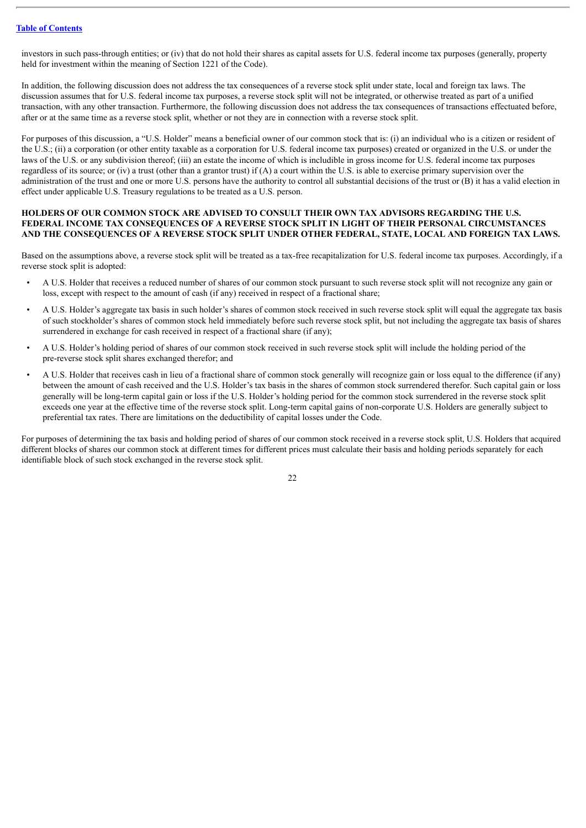investors in such pass-through entities; or (iv) that do not hold their shares as capital assets for U.S. federal income tax purposes (generally, property held for investment within the meaning of Section 1221 of the Code).

In addition, the following discussion does not address the tax consequences of a reverse stock split under state, local and foreign tax laws. The discussion assumes that for U.S. federal income tax purposes, a reverse stock split will not be integrated, or otherwise treated as part of a unified transaction, with any other transaction. Furthermore, the following discussion does not address the tax consequences of transactions effectuated before, after or at the same time as a reverse stock split, whether or not they are in connection with a reverse stock split.

For purposes of this discussion, a "U.S. Holder" means a beneficial owner of our common stock that is: (i) an individual who is a citizen or resident of the U.S.; (ii) a corporation (or other entity taxable as a corporation for U.S. federal income tax purposes) created or organized in the U.S. or under the laws of the U.S. or any subdivision thereof; (iii) an estate the income of which is includible in gross income for U.S. federal income tax purposes regardless of its source; or (iv) a trust (other than a grantor trust) if  $(A)$  a court within the U.S. is able to exercise primary supervision over the administration of the trust and one or more U.S. persons have the authority to control all substantial decisions of the trust or (B) it has a valid election in effect under applicable U.S. Treasury regulations to be treated as a U.S. person.

#### **HOLDERS OF OUR COMMON STOCK ARE ADVISED TO CONSULT THEIR OWN TAX ADVISORS REGARDING THE U.S. FEDERAL INCOME TAX CONSEQUENCES OF A REVERSE STOCK SPLIT IN LIGHT OF THEIR PERSONAL CIRCUMSTANCES AND THE CONSEQUENCES OF A REVERSE STOCK SPLIT UNDER OTHER FEDERAL, STATE, LOCAL AND FOREIGN TAX LAWS.**

Based on the assumptions above, a reverse stock split will be treated as a tax-free recapitalization for U.S. federal income tax purposes. Accordingly, if a reverse stock split is adopted:

- A U.S. Holder that receives a reduced number of shares of our common stock pursuant to such reverse stock split will not recognize any gain or loss, except with respect to the amount of cash (if any) received in respect of a fractional share;
- A U.S. Holder's aggregate tax basis in such holder's shares of common stock received in such reverse stock split will equal the aggregate tax basis of such stockholder's shares of common stock held immediately before such reverse stock split, but not including the aggregate tax basis of shares surrendered in exchange for cash received in respect of a fractional share (if any);
- A U.S. Holder's holding period of shares of our common stock received in such reverse stock split will include the holding period of the pre-reverse stock split shares exchanged therefor; and
- A U.S. Holder that receives cash in lieu of a fractional share of common stock generally will recognize gain or loss equal to the difference (if any) between the amount of cash received and the U.S. Holder's tax basis in the shares of common stock surrendered therefor. Such capital gain or loss generally will be long-term capital gain or loss if the U.S. Holder's holding period for the common stock surrendered in the reverse stock split exceeds one year at the effective time of the reverse stock split. Long-term capital gains of non-corporate U.S. Holders are generally subject to preferential tax rates. There are limitations on the deductibility of capital losses under the Code.

For purposes of determining the tax basis and holding period of shares of our common stock received in a reverse stock split, U.S. Holders that acquired different blocks of shares our common stock at different times for different prices must calculate their basis and holding periods separately for each identifiable block of such stock exchanged in the reverse stock split.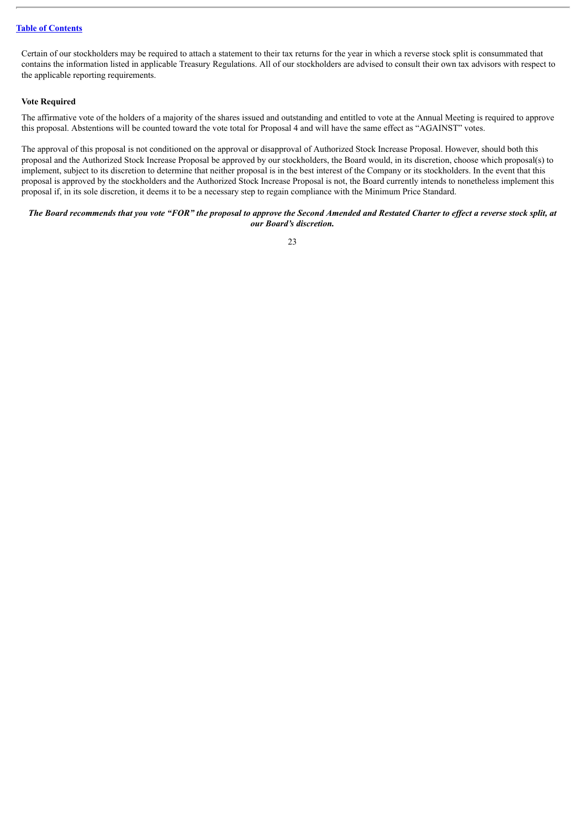Certain of our stockholders may be required to attach a statement to their tax returns for the year in which a reverse stock split is consummated that contains the information listed in applicable Treasury Regulations. All of our stockholders are advised to consult their own tax advisors with respect to the applicable reporting requirements.

#### **Vote Required**

The affirmative vote of the holders of a majority of the shares issued and outstanding and entitled to vote at the Annual Meeting is required to approve this proposal. Abstentions will be counted toward the vote total for Proposal 4 and will have the same effect as "AGAINST" votes.

The approval of this proposal is not conditioned on the approval or disapproval of Authorized Stock Increase Proposal. However, should both this proposal and the Authorized Stock Increase Proposal be approved by our stockholders, the Board would, in its discretion, choose which proposal(s) to implement, subject to its discretion to determine that neither proposal is in the best interest of the Company or its stockholders. In the event that this proposal is approved by the stockholders and the Authorized Stock Increase Proposal is not, the Board currently intends to nonetheless implement this proposal if, in its sole discretion, it deems it to be a necessary step to regain compliance with the Minimum Price Standard.

#### The Board recommends that you vote "FOR" the proposal to approve the Second Amended and Restated Charter to effect a reverse stock split, at *our Board's discretion.*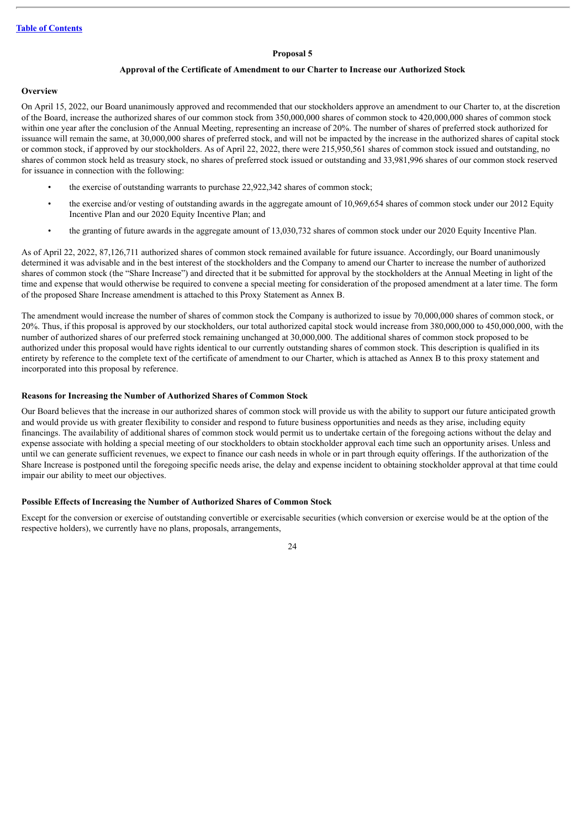#### **Proposal 5**

#### **Approval of the Certificate of Amendment to our Charter to Increase our Authorized Stock**

#### <span id="page-27-0"></span>**Overview**

On April 15, 2022, our Board unanimously approved and recommended that our stockholders approve an amendment to our Charter to, at the discretion of the Board, increase the authorized shares of our common stock from 350,000,000 shares of common stock to 420,000,000 shares of common stock within one year after the conclusion of the Annual Meeting, representing an increase of 20%. The number of shares of preferred stock authorized for issuance will remain the same, at 30,000,000 shares of preferred stock, and will not be impacted by the increase in the authorized shares of capital stock or common stock, if approved by our stockholders. As of April 22, 2022, there were 215,950,561 shares of common stock issued and outstanding, no shares of common stock held as treasury stock, no shares of preferred stock issued or outstanding and 33,981,996 shares of our common stock reserved for issuance in connection with the following:

- the exercise of outstanding warrants to purchase 22,922,342 shares of common stock;
- the exercise and/or vesting of outstanding awards in the aggregate amount of 10,969,654 shares of common stock under our 2012 Equity Incentive Plan and our 2020 Equity Incentive Plan; and
- the granting of future awards in the aggregate amount of 13,030,732 shares of common stock under our 2020 Equity Incentive Plan.

As of April 22, 2022, 87,126,711 authorized shares of common stock remained available for future issuance. Accordingly, our Board unanimously determined it was advisable and in the best interest of the stockholders and the Company to amend our Charter to increase the number of authorized shares of common stock (the "Share Increase") and directed that it be submitted for approval by the stockholders at the Annual Meeting in light of the time and expense that would otherwise be required to convene a special meeting for consideration of the proposed amendment at a later time. The form of the proposed Share Increase amendment is attached to this Proxy Statement as Annex B.

The amendment would increase the number of shares of common stock the Company is authorized to issue by 70,000,000 shares of common stock, or 20%. Thus, if this proposal is approved by our stockholders, our total authorized capital stock would increase from 380,000,000 to 450,000,000, with the number of authorized shares of our preferred stock remaining unchanged at 30,000,000. The additional shares of common stock proposed to be authorized under this proposal would have rights identical to our currently outstanding shares of common stock. This description is qualified in its entirety by reference to the complete text of the certificate of amendment to our Charter, which is attached as Annex B to this proxy statement and incorporated into this proposal by reference.

#### **Reasons for Increasing the Number of Authorized Shares of Common Stock**

Our Board believes that the increase in our authorized shares of common stock will provide us with the ability to support our future anticipated growth and would provide us with greater flexibility to consider and respond to future business opportunities and needs as they arise, including equity financings. The availability of additional shares of common stock would permit us to undertake certain of the foregoing actions without the delay and expense associate with holding a special meeting of our stockholders to obtain stockholder approval each time such an opportunity arises. Unless and until we can generate sufficient revenues, we expect to finance our cash needs in whole or in part through equity offerings. If the authorization of the Share Increase is postponed until the foregoing specific needs arise, the delay and expense incident to obtaining stockholder approval at that time could impair our ability to meet our objectives.

#### **Possible Effects of Increasing the Number of Authorized Shares of Common Stock**

Except for the conversion or exercise of outstanding convertible or exercisable securities (which conversion or exercise would be at the option of the respective holders), we currently have no plans, proposals, arrangements,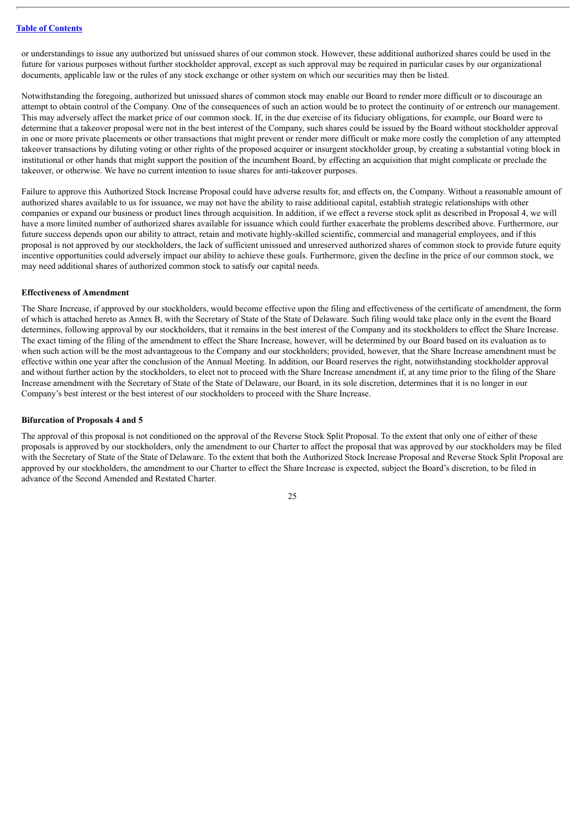or understandings to issue any authorized but unissued shares of our common stock. However, these additional authorized shares could be used in the future for various purposes without further stockholder approval, except as such approval may be required in particular cases by our organizational documents, applicable law or the rules of any stock exchange or other system on which our securities may then be listed.

Notwithstanding the foregoing, authorized but unissued shares of common stock may enable our Board to render more difficult or to discourage an attempt to obtain control of the Company. One of the consequences of such an action would be to protect the continuity of or entrench our management. This may adversely affect the market price of our common stock. If, in the due exercise of its fiduciary obligations, for example, our Board were to determine that a takeover proposal were not in the best interest of the Company, such shares could be issued by the Board without stockholder approval in one or more private placements or other transactions that might prevent or render more difficult or make more costly the completion of any attempted takeover transactions by diluting voting or other rights of the proposed acquirer or insurgent stockholder group, by creating a substantial voting block in institutional or other hands that might support the position of the incumbent Board, by effecting an acquisition that might complicate or preclude the takeover, or otherwise. We have no current intention to issue shares for anti-takeover purposes.

Failure to approve this Authorized Stock Increase Proposal could have adverse results for, and effects on, the Company. Without a reasonable amount of authorized shares available to us for issuance, we may not have the ability to raise additional capital, establish strategic relationships with other companies or expand our business or product lines through acquisition. In addition, if we effect a reverse stock split as described in Proposal 4, we will have a more limited number of authorized shares available for issuance which could further exacerbate the problems described above. Furthermore, our future success depends upon our ability to attract, retain and motivate highly-skilled scientific, commercial and managerial employees, and if this proposal is not approved by our stockholders, the lack of sufficient unissued and unreserved authorized shares of common stock to provide future equity incentive opportunities could adversely impact our ability to achieve these goals. Furthermore, given the decline in the price of our common stock, we may need additional shares of authorized common stock to satisfy our capital needs.

#### **Effectiveness of Amendment**

The Share Increase, if approved by our stockholders, would become effective upon the filing and effectiveness of the certificate of amendment, the form of which is attached hereto as Annex B, with the Secretary of State of the State of Delaware. Such filing would take place only in the event the Board determines, following approval by our stockholders, that it remains in the best interest of the Company and its stockholders to effect the Share Increase. The exact timing of the filing of the amendment to effect the Share Increase, however, will be determined by our Board based on its evaluation as to when such action will be the most advantageous to the Company and our stockholders; provided, however, that the Share Increase amendment must be effective within one year after the conclusion of the Annual Meeting. In addition, our Board reserves the right, notwithstanding stockholder approval and without further action by the stockholders, to elect not to proceed with the Share Increase amendment if, at any time prior to the filing of the Share Increase amendment with the Secretary of State of the State of Delaware, our Board, in its sole discretion, determines that it is no longer in our Company's best interest or the best interest of our stockholders to proceed with the Share Increase.

#### **Bifurcation of Proposals 4 and 5**

The approval of this proposal is not conditioned on the approval of the Reverse Stock Split Proposal. To the extent that only one of either of these proposals is approved by our stockholders, only the amendment to our Charter to affect the proposal that was approved by our stockholders may be filed with the Secretary of State of the State of Delaware. To the extent that both the Authorized Stock Increase Proposal and Reverse Stock Split Proposal are approved by our stockholders, the amendment to our Charter to effect the Share Increase is expected, subject the Board's discretion, to be filed in advance of the Second Amended and Restated Charter.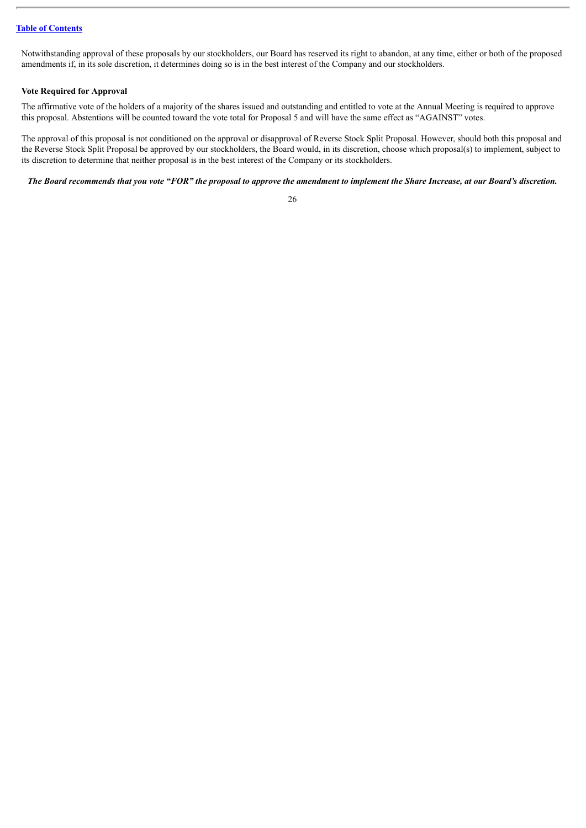Notwithstanding approval of these proposals by our stockholders, our Board has reserved its right to abandon, at any time, either or both of the proposed amendments if, in its sole discretion, it determines doing so is in the best interest of the Company and our stockholders.

#### **Vote Required for Approval**

The affirmative vote of the holders of a majority of the shares issued and outstanding and entitled to vote at the Annual Meeting is required to approve this proposal. Abstentions will be counted toward the vote total for Proposal 5 and will have the same effect as "AGAINST" votes.

The approval of this proposal is not conditioned on the approval or disapproval of Reverse Stock Split Proposal. However, should both this proposal and the Reverse Stock Split Proposal be approved by our stockholders, the Board would, in its discretion, choose which proposal(s) to implement, subject to its discretion to determine that neither proposal is in the best interest of the Company or its stockholders.

The Board recommends that you vote "FOR" the proposal to approve the amendment to implement the Share Increase, at our Board's discretion.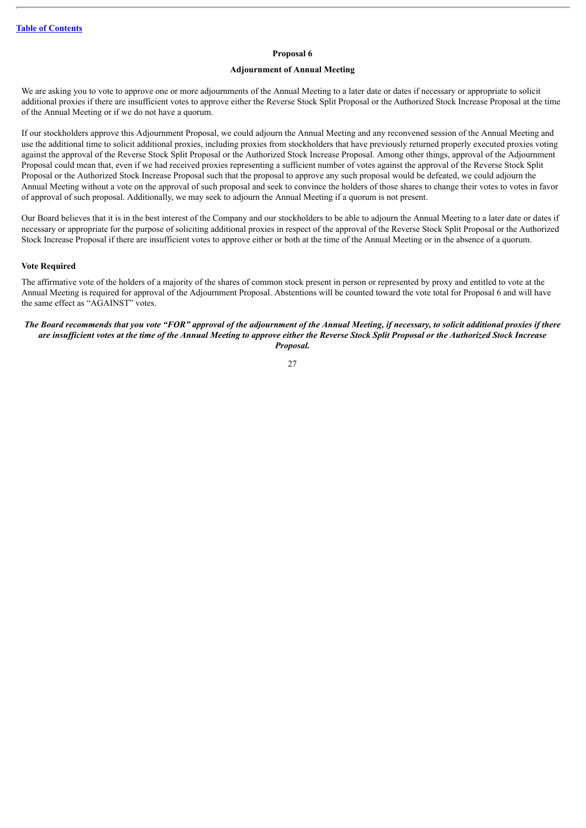#### **Proposal 6**

## **Adjournment of Annual Meeting**

<span id="page-30-0"></span>We are asking you to vote to approve one or more adjournments of the Annual Meeting to a later date or dates if necessary or appropriate to solicit additional proxies if there are insufficient votes to approve either the Reverse Stock Split Proposal or the Authorized Stock Increase Proposal at the time of the Annual Meeting or if we do not have a quorum.

If our stockholders approve this Adjournment Proposal, we could adjourn the Annual Meeting and any reconvened session of the Annual Meeting and use the additional time to solicit additional proxies, including proxies from stockholders that have previously returned properly executed proxies voting against the approval of the Reverse Stock Split Proposal or the Authorized Stock Increase Proposal. Among other things, approval of the Adjournment Proposal could mean that, even if we had received proxies representing a sufficient number of votes against the approval of the Reverse Stock Split Proposal or the Authorized Stock Increase Proposal such that the proposal to approve any such proposal would be defeated, we could adjourn the Annual Meeting without a vote on the approval of such proposal and seek to convince the holders of those shares to change their votes to votes in favor of approval of such proposal. Additionally, we may seek to adjourn the Annual Meeting if a quorum is not present.

Our Board believes that it is in the best interest of the Company and our stockholders to be able to adjourn the Annual Meeting to a later date or dates if necessary or appropriate for the purpose of soliciting additional proxies in respect of the approval of the Reverse Stock Split Proposal or the Authorized Stock Increase Proposal if there are insufficient votes to approve either or both at the time of the Annual Meeting or in the absence of a quorum.

#### **Vote Required**

The affirmative vote of the holders of a majority of the shares of common stock present in person or represented by proxy and entitled to vote at the Annual Meeting is required for approval of the Adjournment Proposal. Abstentions will be counted toward the vote total for Proposal 6 and will have the same effect as "AGAINST" votes.

The Board recommends that you vote "FOR" approval of the adjournment of the Annual Meeting, if necessary, to solicit additional proxies if there are insufficient votes at the time of the Annual Meeting to approve either the Reverse Stock Split Proposal or the Authorized Stock Increase *Proposal.*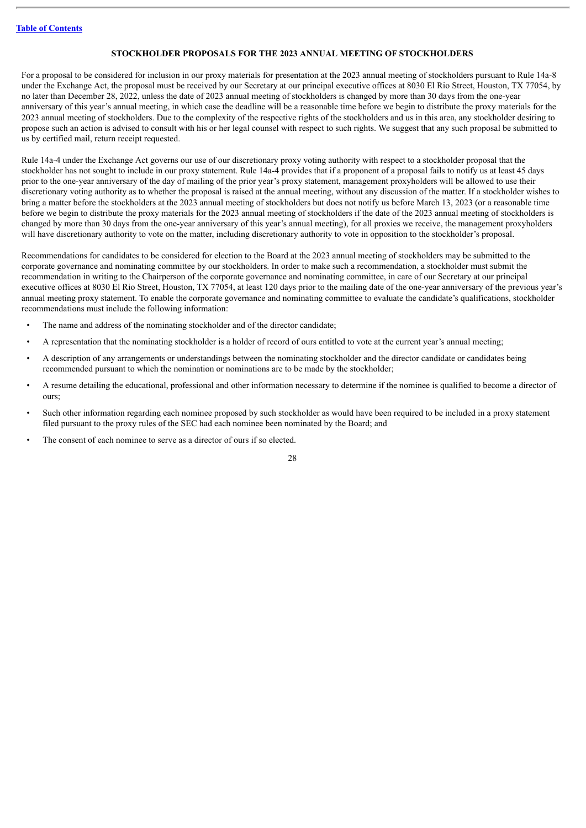### **STOCKHOLDER PROPOSALS FOR THE 2023 ANNUAL MEETING OF STOCKHOLDERS**

<span id="page-31-0"></span>For a proposal to be considered for inclusion in our proxy materials for presentation at the 2023 annual meeting of stockholders pursuant to Rule 14a-8 under the Exchange Act, the proposal must be received by our Secretary at our principal executive offices at 8030 El Rio Street, Houston, TX 77054, by no later than December 28, 2022, unless the date of 2023 annual meeting of stockholders is changed by more than 30 days from the one-year anniversary of this year's annual meeting, in which case the deadline will be a reasonable time before we begin to distribute the proxy materials for the 2023 annual meeting of stockholders. Due to the complexity of the respective rights of the stockholders and us in this area, any stockholder desiring to propose such an action is advised to consult with his or her legal counsel with respect to such rights. We suggest that any such proposal be submitted to us by certified mail, return receipt requested.

Rule 14a-4 under the Exchange Act governs our use of our discretionary proxy voting authority with respect to a stockholder proposal that the stockholder has not sought to include in our proxy statement. Rule 14a-4 provides that if a proponent of a proposal fails to notify us at least 45 days prior to the one-year anniversary of the day of mailing of the prior year's proxy statement, management proxyholders will be allowed to use their discretionary voting authority as to whether the proposal is raised at the annual meeting, without any discussion of the matter. If a stockholder wishes to bring a matter before the stockholders at the 2023 annual meeting of stockholders but does not notify us before March 13, 2023 (or a reasonable time before we begin to distribute the proxy materials for the 2023 annual meeting of stockholders if the date of the 2023 annual meeting of stockholders is changed by more than 30 days from the one-year anniversary of this year's annual meeting), for all proxies we receive, the management proxyholders will have discretionary authority to vote on the matter, including discretionary authority to vote in opposition to the stockholder's proposal.

Recommendations for candidates to be considered for election to the Board at the 2023 annual meeting of stockholders may be submitted to the corporate governance and nominating committee by our stockholders. In order to make such a recommendation, a stockholder must submit the recommendation in writing to the Chairperson of the corporate governance and nominating committee, in care of our Secretary at our principal executive offices at 8030 El Rio Street, Houston, TX 77054, at least 120 days prior to the mailing date of the one-year anniversary of the previous year's annual meeting proxy statement. To enable the corporate governance and nominating committee to evaluate the candidate's qualifications, stockholder recommendations must include the following information:

- The name and address of the nominating stockholder and of the director candidate;
- A representation that the nominating stockholder is a holder of record of ours entitled to vote at the current year's annual meeting;
- A description of any arrangements or understandings between the nominating stockholder and the director candidate or candidates being recommended pursuant to which the nomination or nominations are to be made by the stockholder;
- A resume detailing the educational, professional and other information necessary to determine if the nominee is qualified to become a director of ours;
- Such other information regarding each nominee proposed by such stockholder as would have been required to be included in a proxy statement filed pursuant to the proxy rules of the SEC had each nominee been nominated by the Board; and
- The consent of each nominee to serve as a director of ours if so elected.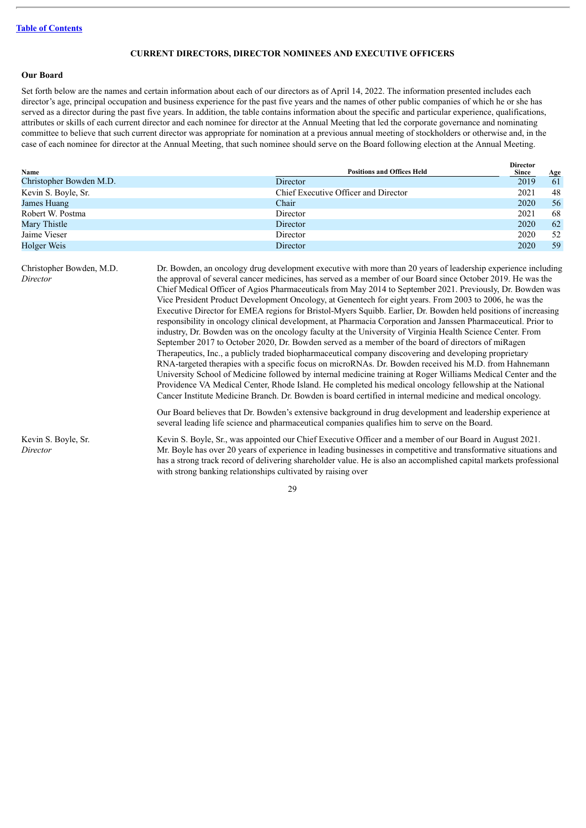#### **CURRENT DIRECTORS, DIRECTOR NOMINEES AND EXECUTIVE OFFICERS**

## <span id="page-32-0"></span>**Our Board**

Set forth below are the names and certain information about each of our directors as of April 14, 2022. The information presented includes each director's age, principal occupation and business experience for the past five years and the names of other public companies of which he or she has served as a director during the past five years. In addition, the table contains information about the specific and particular experience, qualifications, attributes or skills of each current director and each nominee for director at the Annual Meeting that led the corporate governance and nominating committee to believe that such current director was appropriate for nomination at a previous annual meeting of stockholders or otherwise and, in the case of each nominee for director at the Annual Meeting, that such nominee should serve on the Board following election at the Annual Meeting.

| Name                    | <b>Positions and Offices Held</b>    | <b>Director</b><br>Since<br><b>Age</b> |
|-------------------------|--------------------------------------|----------------------------------------|
| Christopher Bowden M.D. | Director                             | 2019<br>61                             |
| Kevin S. Boyle, Sr.     | Chief Executive Officer and Director | 48<br>2021                             |
| James Huang             | Chair                                | 2020<br>56                             |
| Robert W. Postma        | Director                             | 2021<br>68                             |
| Mary Thistle            | Director                             | 62<br>2020                             |
| Jaime Vieser            | Director                             | 52<br>2020                             |
| Holger Weis             | Director                             | 59<br>2020                             |

| Christopher Bowden, M.D.<br>Director | Dr. Bowden, an oncology drug development executive with more than 20 years of leadership experience including<br>the approval of several cancer medicines, has served as a member of our Board since October 2019. He was the<br>Chief Medical Officer of Agios Pharmaceuticals from May 2014 to September 2021. Previously, Dr. Bowden was<br>Vice President Product Development Oncology, at Genentech for eight years. From 2003 to 2006, he was the<br>Executive Director for EMEA regions for Bristol-Myers Squibb. Earlier, Dr. Bowden held positions of increasing<br>responsibility in oncology clinical development, at Pharmacia Corporation and Janssen Pharmaceutical. Prior to<br>industry, Dr. Bowden was on the oncology faculty at the University of Virginia Health Science Center. From<br>September 2017 to October 2020, Dr. Bowden served as a member of the board of directors of miRagen<br>Therapeutics, Inc., a publicly traded biopharmaceutical company discovering and developing proprietary<br>RNA-targeted therapies with a specific focus on microRNAs. Dr. Bowden received his M.D. from Hahnemann<br>University School of Medicine followed by internal medicine training at Roger Williams Medical Center and the<br>Providence VA Medical Center, Rhode Island. He completed his medical oncology fellowship at the National<br>Cancer Institute Medicine Branch. Dr. Bowden is board certified in internal medicine and medical oncology.<br>Our Board believes that Dr. Bowden's extensive background in drug development and leadership experience at |
|--------------------------------------|----------------------------------------------------------------------------------------------------------------------------------------------------------------------------------------------------------------------------------------------------------------------------------------------------------------------------------------------------------------------------------------------------------------------------------------------------------------------------------------------------------------------------------------------------------------------------------------------------------------------------------------------------------------------------------------------------------------------------------------------------------------------------------------------------------------------------------------------------------------------------------------------------------------------------------------------------------------------------------------------------------------------------------------------------------------------------------------------------------------------------------------------------------------------------------------------------------------------------------------------------------------------------------------------------------------------------------------------------------------------------------------------------------------------------------------------------------------------------------------------------------------------------------------------------------------------------------------------|
|                                      | several leading life science and pharmaceutical companies qualifies him to serve on the Board.                                                                                                                                                                                                                                                                                                                                                                                                                                                                                                                                                                                                                                                                                                                                                                                                                                                                                                                                                                                                                                                                                                                                                                                                                                                                                                                                                                                                                                                                                               |
| Kevin S. Boyle, Sr.<br>Director      | Kevin S. Boyle, Sr., was appointed our Chief Executive Officer and a member of our Board in August 2021.<br>Mr. Boyle has over 20 years of experience in leading businesses in competitive and transformative situations and<br>has a strong track record of delivering shareholder value. He is also an accomplished capital markets professional<br>with strong banking relationships cultivated by raising over                                                                                                                                                                                                                                                                                                                                                                                                                                                                                                                                                                                                                                                                                                                                                                                                                                                                                                                                                                                                                                                                                                                                                                           |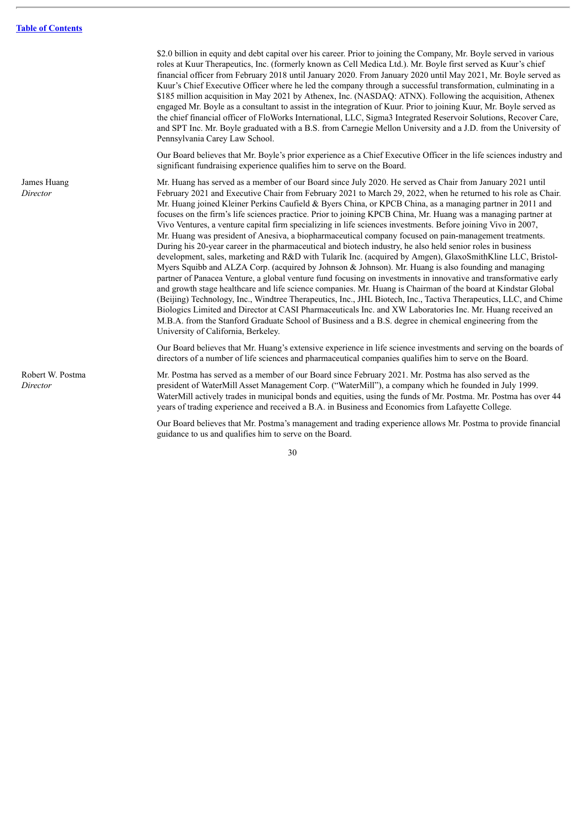\$2.0 billion in equity and debt capital over his career. Prior to joining the Company, Mr. Boyle served in various roles at Kuur Therapeutics, Inc. (formerly known as Cell Medica Ltd.). Mr. Boyle first served as Kuur's chief financial officer from February 2018 until January 2020. From January 2020 until May 2021, Mr. Boyle served as Kuur's Chief Executive Officer where he led the company through a successful transformation, culminating in a \$185 million acquisition in May 2021 by Athenex, Inc. (NASDAQ: ATNX). Following the acquisition, Athenex engaged Mr. Boyle as a consultant to assist in the integration of Kuur. Prior to joining Kuur, Mr. Boyle served as the chief financial officer of FloWorks International, LLC, Sigma3 Integrated Reservoir Solutions, Recover Care, and SPT Inc. Mr. Boyle graduated with a B.S. from Carnegie Mellon University and a J.D. from the University of Pennsylvania Carey Law School.

Our Board believes that Mr. Boyle's prior experience as a Chief Executive Officer in the life sciences industry and significant fundraising experience qualifies him to serve on the Board.

Mr. Huang has served as a member of our Board since July 2020. He served as Chair from January 2021 until February 2021 and Executive Chair from February 2021 to March 29, 2022, when he returned to his role as Chair. Mr. Huang joined Kleiner Perkins Caufield & Byers China, or KPCB China, as a managing partner in 2011 and focuses on the firm's life sciences practice. Prior to joining KPCB China, Mr. Huang was a managing partner at Vivo Ventures, a venture capital firm specializing in life sciences investments. Before joining Vivo in 2007, Mr. Huang was president of Anesiva, a biopharmaceutical company focused on pain-management treatments. During his 20-year career in the pharmaceutical and biotech industry, he also held senior roles in business development, sales, marketing and R&D with Tularik Inc. (acquired by Amgen), GlaxoSmithKline LLC, Bristol-Myers Squibb and ALZA Corp. (acquired by Johnson & Johnson). Mr. Huang is also founding and managing partner of Panacea Venture, a global venture fund focusing on investments in innovative and transformative early and growth stage healthcare and life science companies. Mr. Huang is Chairman of the board at Kindstar Global (Beijing) Technology, Inc., Windtree Therapeutics, Inc., JHL Biotech, Inc., Tactiva Therapeutics, LLC, and Chime Biologics Limited and Director at CASI Pharmaceuticals Inc. and XW Laboratories Inc. Mr. Huang received an M.B.A. from the Stanford Graduate School of Business and a B.S. degree in chemical engineering from the University of California, Berkeley.

Our Board believes that Mr. Huang's extensive experience in life science investments and serving on the boards of directors of a number of life sciences and pharmaceutical companies qualifies him to serve on the Board.

Mr. Postma has served as a member of our Board since February 2021. Mr. Postma has also served as the president of WaterMill Asset Management Corp. ("WaterMill"), a company which he founded in July 1999. WaterMill actively trades in municipal bonds and equities, using the funds of Mr. Postma. Mr. Postma has over 44 years of trading experience and received a B.A. in Business and Economics from Lafayette College.

Our Board believes that Mr. Postma's management and trading experience allows Mr. Postma to provide financial guidance to us and qualifies him to serve on the Board.

30

James Huang *Director*

Robert W. Postma

*Director*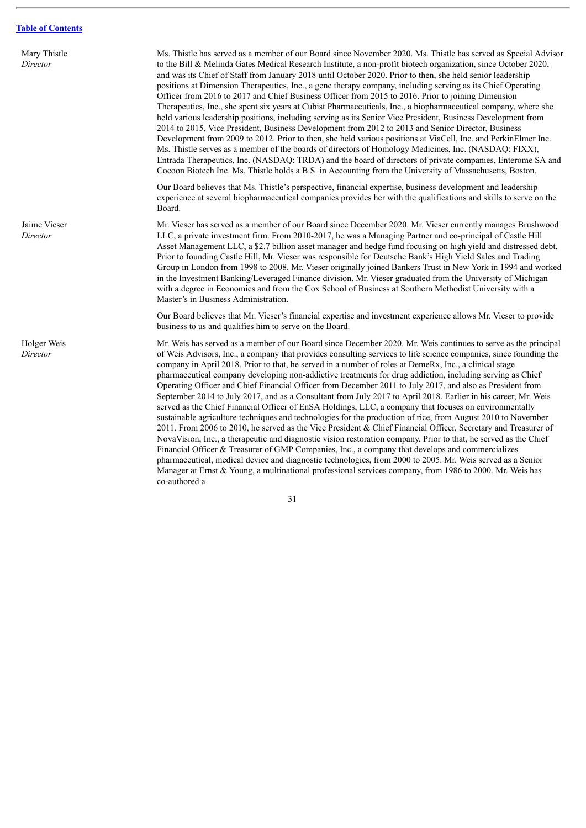| Mary Thistle<br>Director | Ms. Thistle has served as a member of our Board since November 2020. Ms. Thistle has served as Special Advisor<br>to the Bill & Melinda Gates Medical Research Institute, a non-profit biotech organization, since October 2020,<br>and was its Chief of Staff from January 2018 until October 2020. Prior to then, she held senior leadership<br>positions at Dimension Therapeutics, Inc., a gene therapy company, including serving as its Chief Operating<br>Officer from 2016 to 2017 and Chief Business Officer from 2015 to 2016. Prior to joining Dimension<br>Therapeutics, Inc., she spent six years at Cubist Pharmaceuticals, Inc., a biopharmaceutical company, where she<br>held various leadership positions, including serving as its Senior Vice President, Business Development from<br>2014 to 2015, Vice President, Business Development from 2012 to 2013 and Senior Director, Business<br>Development from 2009 to 2012. Prior to then, she held various positions at ViaCell, Inc. and PerkinElmer Inc.<br>Ms. Thistle serves as a member of the boards of directors of Homology Medicines, Inc. (NASDAQ: FIXX),<br>Entrada Therapeutics, Inc. (NASDAQ: TRDA) and the board of directors of private companies, Enterome SA and<br>Cocoon Biotech Inc. Ms. Thistle holds a B.S. in Accounting from the University of Massachusetts, Boston.           |
|--------------------------|-----------------------------------------------------------------------------------------------------------------------------------------------------------------------------------------------------------------------------------------------------------------------------------------------------------------------------------------------------------------------------------------------------------------------------------------------------------------------------------------------------------------------------------------------------------------------------------------------------------------------------------------------------------------------------------------------------------------------------------------------------------------------------------------------------------------------------------------------------------------------------------------------------------------------------------------------------------------------------------------------------------------------------------------------------------------------------------------------------------------------------------------------------------------------------------------------------------------------------------------------------------------------------------------------------------------------------------------------------------------------------|
|                          | Our Board believes that Ms. Thistle's perspective, financial expertise, business development and leadership<br>experience at several biopharmaceutical companies provides her with the qualifications and skills to serve on the<br>Board.                                                                                                                                                                                                                                                                                                                                                                                                                                                                                                                                                                                                                                                                                                                                                                                                                                                                                                                                                                                                                                                                                                                                  |
| Jaime Vieser<br>Director | Mr. Vieser has served as a member of our Board since December 2020. Mr. Vieser currently manages Brushwood<br>LLC, a private investment firm. From 2010-2017, he was a Managing Partner and co-principal of Castle Hill<br>Asset Management LLC, a \$2.7 billion asset manager and hedge fund focusing on high yield and distressed debt.<br>Prior to founding Castle Hill, Mr. Vieser was responsible for Deutsche Bank's High Yield Sales and Trading<br>Group in London from 1998 to 2008. Mr. Vieser originally joined Bankers Trust in New York in 1994 and worked<br>in the Investment Banking/Leveraged Finance division. Mr. Vieser graduated from the University of Michigan<br>with a degree in Economics and from the Cox School of Business at Southern Methodist University with a<br>Master's in Business Administration.                                                                                                                                                                                                                                                                                                                                                                                                                                                                                                                                     |
|                          | Our Board believes that Mr. Vieser's financial expertise and investment experience allows Mr. Vieser to provide<br>business to us and qualifies him to serve on the Board.                                                                                                                                                                                                                                                                                                                                                                                                                                                                                                                                                                                                                                                                                                                                                                                                                                                                                                                                                                                                                                                                                                                                                                                                  |
| Holger Weis<br>Director  | Mr. Weis has served as a member of our Board since December 2020. Mr. Weis continues to serve as the principal<br>of Weis Advisors, Inc., a company that provides consulting services to life science companies, since founding the<br>company in April 2018. Prior to that, he served in a number of roles at DemeRx, Inc., a clinical stage<br>pharmaceutical company developing non-addictive treatments for drug addiction, including serving as Chief<br>Operating Officer and Chief Financial Officer from December 2011 to July 2017, and also as President from<br>September 2014 to July 2017, and as a Consultant from July 2017 to April 2018. Earlier in his career, Mr. Weis<br>served as the Chief Financial Officer of EnSA Holdings, LLC, a company that focuses on environmentally<br>sustainable agriculture techniques and technologies for the production of rice, from August 2010 to November<br>2011. From 2006 to 2010, he served as the Vice President & Chief Financial Officer, Secretary and Treasurer of<br>NovaVision, Inc., a therapeutic and diagnostic vision restoration company. Prior to that, he served as the Chief<br>Financial Officer & Treasurer of GMP Companies, Inc., a company that develops and commercializes<br>pharmaceutical, medical device and diagnostic technologies, from 2000 to 2005. Mr. Weis served as a Senior |

31

co-authored a

Manager at Ernst & Young, a multinational professional services company, from 1986 to 2000. Mr. Weis has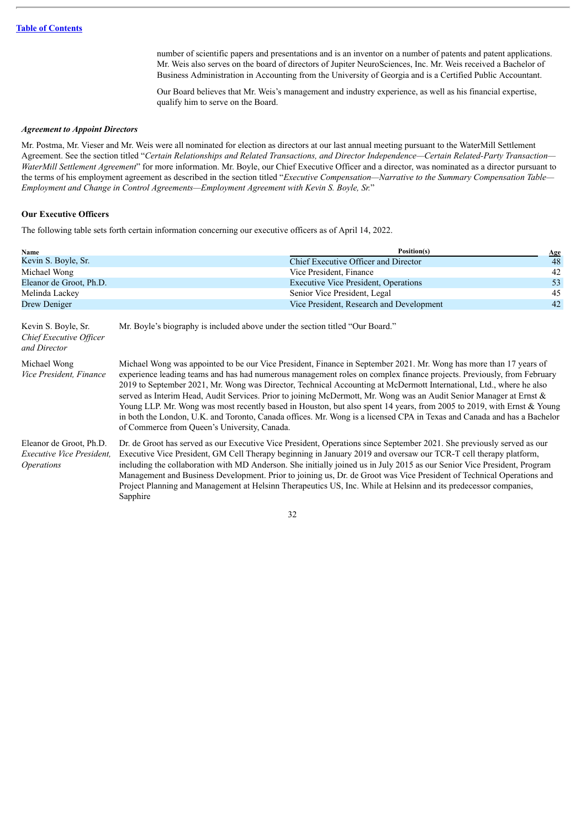number of scientific papers and presentations and is an inventor on a number of patents and patent applications. Mr. Weis also serves on the board of directors of Jupiter NeuroSciences, Inc. Mr. Weis received a Bachelor of Business Administration in Accounting from the University of Georgia and is a Certified Public Accountant.

Our Board believes that Mr. Weis's management and industry experience, as well as his financial expertise, qualify him to serve on the Board.

#### *Agreement to Appoint Directors*

Mr. Postma, Mr. Vieser and Mr. Weis were all nominated for election as directors at our last annual meeting pursuant to the WaterMill Settlement Agreement. See the section titled "*Certain Relationships and Related Transactions, and Director Independence—Certain Related-Party Transaction— WaterMill Settlement Agreement*" for more information. Mr. Boyle, our Chief Executive Officer and a director, was nominated as a director pursuant to the terms of his employment agreement as described in the section titled "*Executive Compensation—Narrative to the Summary Compensation Table— Employment and Change in Control Agreements—Employment Agreement with Kevin S. Boyle, Sr.*"

#### **Our Executive Officers**

The following table sets forth certain information concerning our executive officers as of April 14, 2022.

| Name                                                                      | Position(s)                                                                                                                                                                                                                                                                                                                                                                                                                                                                                                                                                                                                                                                                                                                                                                                    | $Age$ |  |
|---------------------------------------------------------------------------|------------------------------------------------------------------------------------------------------------------------------------------------------------------------------------------------------------------------------------------------------------------------------------------------------------------------------------------------------------------------------------------------------------------------------------------------------------------------------------------------------------------------------------------------------------------------------------------------------------------------------------------------------------------------------------------------------------------------------------------------------------------------------------------------|-------|--|
| Kevin S. Boyle, Sr.                                                       | Chief Executive Officer and Director                                                                                                                                                                                                                                                                                                                                                                                                                                                                                                                                                                                                                                                                                                                                                           | 48    |  |
| Michael Wong                                                              | Vice President, Finance                                                                                                                                                                                                                                                                                                                                                                                                                                                                                                                                                                                                                                                                                                                                                                        | 42    |  |
| Eleanor de Groot, Ph.D.                                                   | <b>Executive Vice President, Operations</b>                                                                                                                                                                                                                                                                                                                                                                                                                                                                                                                                                                                                                                                                                                                                                    | 53    |  |
| Melinda Lackey                                                            | Senior Vice President, Legal                                                                                                                                                                                                                                                                                                                                                                                                                                                                                                                                                                                                                                                                                                                                                                   | 45    |  |
| Drew Deniger                                                              | Vice President, Research and Development                                                                                                                                                                                                                                                                                                                                                                                                                                                                                                                                                                                                                                                                                                                                                       | 42    |  |
| Kevin S. Boyle, Sr.<br>Chief Executive Officer<br>and Director            | Mr. Boyle's biography is included above under the section titled "Our Board."                                                                                                                                                                                                                                                                                                                                                                                                                                                                                                                                                                                                                                                                                                                  |       |  |
| Michael Wong<br>Vice President, Finance                                   | Michael Wong was appointed to be our Vice President, Finance in September 2021. Mr. Wong has more than 17 years of<br>experience leading teams and has had numerous management roles on complex finance projects. Previously, from February<br>2019 to September 2021, Mr. Wong was Director, Technical Accounting at McDermott International, Ltd., where he also<br>served as Interim Head, Audit Services. Prior to joining McDermott, Mr. Wong was an Audit Senior Manager at Ernst &<br>Young LLP. Mr. Wong was most recently based in Houston, but also spent 14 years, from 2005 to 2019, with Ernst & Young<br>in both the London, U.K. and Toronto, Canada offices. Mr. Wong is a licensed CPA in Texas and Canada and has a Bachelor<br>of Commerce from Queen's University, Canada. |       |  |
| Eleanor de Groot, Ph.D.<br>Executive Vice President.<br><i>Operations</i> | Dr. de Groot has served as our Executive Vice President, Operations since September 2021. She previously served as our<br>Executive Vice President, GM Cell Therapy beginning in January 2019 and oversaw our TCR-T cell therapy platform,<br>including the collaboration with MD Anderson. She initially joined us in July 2015 as our Senior Vice President, Program<br>Management and Business Development. Prior to joining us, Dr. de Groot was Vice President of Technical Operations and<br>Project Planning and Management at Helsinn Therapeutics US, Inc. While at Helsinn and its predecessor companies,<br>Sapphire                                                                                                                                                                |       |  |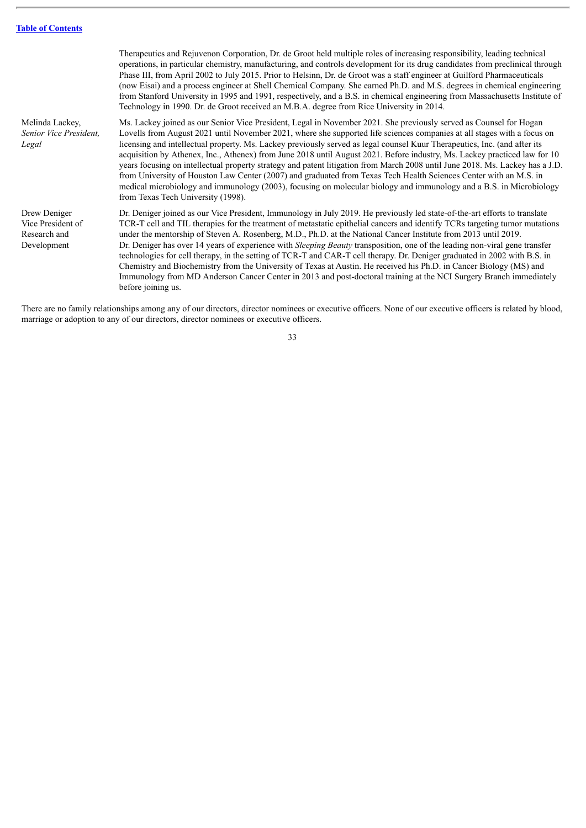|                                                                  | Therapeutics and Rejuvenon Corporation, Dr. de Groot held multiple roles of increasing responsibility, leading technical<br>operations, in particular chemistry, manufacturing, and controls development for its drug candidates from preclinical through<br>Phase III, from April 2002 to July 2015. Prior to Helsinn, Dr. de Groot was a staff engineer at Guilford Pharmaceuticals<br>(now Eisai) and a process engineer at Shell Chemical Company. She earned Ph.D. and M.S. degrees in chemical engineering<br>from Stanford University in 1995 and 1991, respectively, and a B.S. in chemical engineering from Massachusetts Institute of<br>Technology in 1990. Dr. de Groot received an M.B.A. degree from Rice University in 2014.                                                                                                                                                                                |
|------------------------------------------------------------------|----------------------------------------------------------------------------------------------------------------------------------------------------------------------------------------------------------------------------------------------------------------------------------------------------------------------------------------------------------------------------------------------------------------------------------------------------------------------------------------------------------------------------------------------------------------------------------------------------------------------------------------------------------------------------------------------------------------------------------------------------------------------------------------------------------------------------------------------------------------------------------------------------------------------------|
| Melinda Lackey,<br>Senior Vice President,<br>Legal               | Ms. Lackey joined as our Senior Vice President, Legal in November 2021. She previously served as Counsel for Hogan<br>Lovells from August 2021 until November 2021, where she supported life sciences companies at all stages with a focus on<br>licensing and intellectual property. Ms. Lackey previously served as legal counsel Kuur Therapeutics, Inc. (and after its<br>acquisition by Athenex, Inc., Athenex) from June 2018 until August 2021. Before industry, Ms. Lackey practiced law for 10<br>years focusing on intellectual property strategy and patent litigation from March 2008 until June 2018. Ms. Lackey has a J.D.<br>from University of Houston Law Center (2007) and graduated from Texas Tech Health Sciences Center with an M.S. in<br>medical microbiology and immunology (2003), focusing on molecular biology and immunology and a B.S. in Microbiology<br>from Texas Tech University (1998). |
| Drew Deniger<br>Vice President of<br>Research and<br>Development | Dr. Deniger joined as our Vice President, Immunology in July 2019. He previously led state-of-the-art efforts to translate<br>TCR-T cell and TIL therapies for the treatment of metastatic epithelial cancers and identify TCRs targeting tumor mutations<br>under the mentorship of Steven A. Rosenberg, M.D., Ph.D. at the National Cancer Institute from 2013 until 2019.<br>Dr. Deniger has over 14 years of experience with <i>Sleeping Beauty</i> transposition, one of the leading non-viral gene transfer<br>technologies for cell therapy, in the setting of TCR-T and CAR-T cell therapy. Dr. Deniger graduated in 2002 with B.S. in<br>Chemistry and Biochemistry from the University of Texas at Austin. He received his Ph.D. in Cancer Biology (MS) and<br>Immunology from MD Anderson Cancer Center in 2013 and post-doctoral training at the NCI Surgery Branch immediately<br>before joining us.          |

There are no family relationships among any of our directors, director nominees or executive officers. None of our executive officers is related by blood, marriage or adoption to any of our directors, director nominees or executive officers.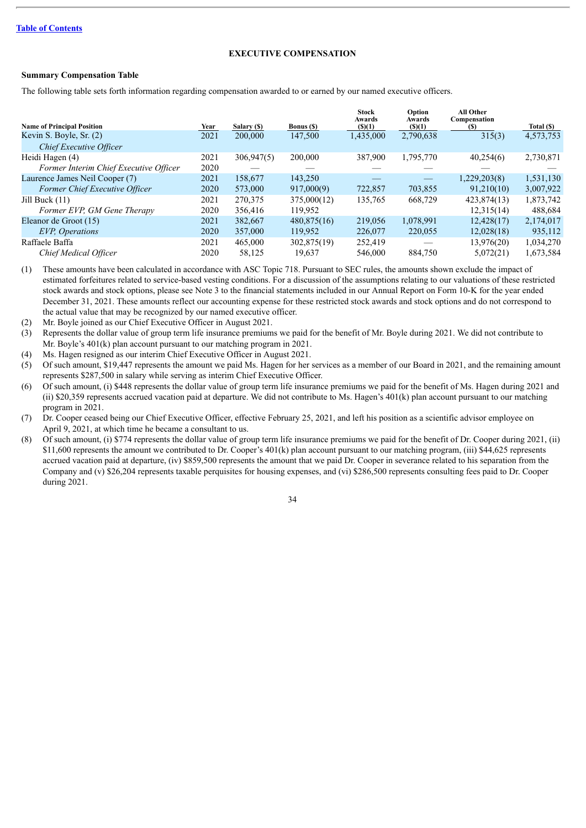### **EXECUTIVE COMPENSATION**

#### **Summary Compensation Table**

The following table sets forth information regarding compensation awarded to or earned by our named executive officers.

|                                        |      |             |                   | <b>Stock</b><br>Awards | Option<br>Awards | <b>All Other</b><br>Compensation |            |
|----------------------------------------|------|-------------|-------------------|------------------------|------------------|----------------------------------|------------|
| <b>Name of Principal Position</b>      | Year | Salary (\$) | <b>Bonus</b> (\$) | (S)(1)                 | (S)(1)           | (S)                              | Total (\$) |
| Kevin S. Boyle, Sr. (2)                | 2021 | 200,000     | 147,500           | 1,435,000              | 2,790,638        | 315(3)                           | 4,573,753  |
| Chief Executive Officer                |      |             |                   |                        |                  |                                  |            |
| Heidi Hagen (4)                        | 2021 | 306,947(5)  | 200,000           | 387,900                | 1,795,770        | 40,254(6)                        | 2,730,871  |
| Former Interim Chief Executive Officer | 2020 |             |                   |                        |                  |                                  |            |
| Laurence James Neil Cooper (7)         | 2021 | 158,677     | 143.250           |                        |                  | 1,229,203(8)                     | 1,531,130  |
| Former Chief Executive Officer         | 2020 | 573,000     | 917,000(9)        | 722,857                | 703,855          | 91,210(10)                       | 3,007,922  |
| Jill Buck (11)                         | 2021 | 270,375     | 375,000(12)       | 135,765                | 668,729          | 423,874(13)                      | 1,873,742  |
| Former EVP, GM Gene Therapy            | 2020 | 356,416     | 119.952           |                        |                  | 12,315(14)                       | 488,684    |
| Eleanor de Groot (15)                  | 2021 | 382.667     | 480,875(16)       | 219,056                | 1,078,991        | 12.428(17)                       | 2,174,017  |
| <b>EVP</b> , Operations                | 2020 | 357,000     | 119,952           | 226,077                | 220,055          | 12,028(18)                       | 935,112    |
| Raffaele Baffa                         | 2021 | 465,000     | 302,875(19)       | 252,419                |                  | 13,976(20)                       | 1,034,270  |
| Chief Medical Officer                  | 2020 | 58,125      | 19,637            | 546,000                | 884.750          | 5,072(21)                        | 1,673,584  |

(1) These amounts have been calculated in accordance with ASC Topic 718. Pursuant to SEC rules, the amounts shown exclude the impact of estimated forfeitures related to service-based vesting conditions. For a discussion of the assumptions relating to our valuations of these restricted stock awards and stock options, please see Note 3 to the financial statements included in our Annual Report on Form 10-K for the year ended December 31, 2021. These amounts reflect our accounting expense for these restricted stock awards and stock options and do not correspond to the actual value that may be recognized by our named executive officer.

(2) Mr. Boyle joined as our Chief Executive Officer in August 2021.

- (3) Represents the dollar value of group term life insurance premiums we paid for the benefit of Mr. Boyle during 2021. We did not contribute to Mr. Boyle's 401(k) plan account pursuant to our matching program in 2021.
- (4) Ms. Hagen resigned as our interim Chief Executive Officer in August 2021.

(5) Of such amount, \$19,447 represents the amount we paid Ms. Hagen for her services as a member of our Board in 2021, and the remaining amount represents \$287,500 in salary while serving as interim Chief Executive Officer.

(6) Of such amount, (i) \$448 represents the dollar value of group term life insurance premiums we paid for the benefit of Ms. Hagen during 2021 and (ii) \$20,359 represents accrued vacation paid at departure. We did not contribute to Ms. Hagen's 401(k) plan account pursuant to our matching program in 2021.

(7) Dr. Cooper ceased being our Chief Executive Officer, effective February 25, 2021, and left his position as a scientific advisor employee on April 9, 2021, at which time he became a consultant to us.

(8) Of such amount, (i) \$774 represents the dollar value of group term life insurance premiums we paid for the benefit of Dr. Cooper during 2021, (ii) \$11,600 represents the amount we contributed to Dr. Cooper's 401(k) plan account pursuant to our matching program, (iii) \$44,625 represents accrued vacation paid at departure, (iv) \$859,500 represents the amount that we paid Dr. Cooper in severance related to his separation from the Company and (v) \$26,204 represents taxable perquisites for housing expenses, and (vi) \$286,500 represents consulting fees paid to Dr. Cooper during 2021.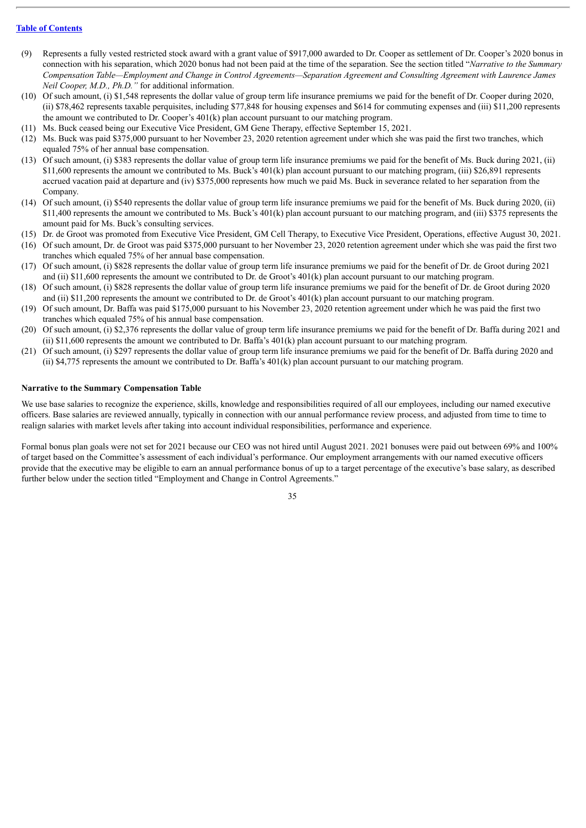- (9) Represents a fully vested restricted stock award with a grant value of \$917,000 awarded to Dr. Cooper as settlement of Dr. Cooper's 2020 bonus in connection with his separation, which 2020 bonus had not been paid at the time of the separation. See the section titled "*Narrative to the Summary* Compensation Table—Employment and Change in Control Agreements—Separation Agreement and Consulting Agreement with Laurence James *Neil Cooper, M.D., Ph.D."* for additional information.
- (10) Of such amount, (i) \$1,548 represents the dollar value of group term life insurance premiums we paid for the benefit of Dr. Cooper during 2020, (ii) \$78,462 represents taxable perquisites, including \$77,848 for housing expenses and \$614 for commuting expenses and (iii) \$11,200 represents the amount we contributed to Dr. Cooper's 401(k) plan account pursuant to our matching program.
- (11) Ms. Buck ceased being our Executive Vice President, GM Gene Therapy, effective September 15, 2021.
- (12) Ms. Buck was paid \$375,000 pursuant to her November 23, 2020 retention agreement under which she was paid the first two tranches, which equaled 75% of her annual base compensation.
- (13) Of such amount, (i) \$383 represents the dollar value of group term life insurance premiums we paid for the benefit of Ms. Buck during 2021, (ii) \$11,600 represents the amount we contributed to Ms. Buck's 401(k) plan account pursuant to our matching program, (iii) \$26,891 represents accrued vacation paid at departure and (iv) \$375,000 represents how much we paid Ms. Buck in severance related to her separation from the Company.
- (14) Of such amount, (i) \$540 represents the dollar value of group term life insurance premiums we paid for the benefit of Ms. Buck during 2020, (ii) \$11,400 represents the amount we contributed to Ms. Buck's 401(k) plan account pursuant to our matching program, and (iii) \$375 represents the amount paid for Ms. Buck's consulting services.
- (15) Dr. de Groot was promoted from Executive Vice President, GM Cell Therapy, to Executive Vice President, Operations, effective August 30, 2021.
- (16) Of such amount, Dr. de Groot was paid \$375,000 pursuant to her November 23, 2020 retention agreement under which she was paid the first two tranches which equaled 75% of her annual base compensation.
- (17) Of such amount, (i) \$828 represents the dollar value of group term life insurance premiums we paid for the benefit of Dr. de Groot during 2021 and (ii) \$11,600 represents the amount we contributed to Dr. de Groot's 401(k) plan account pursuant to our matching program.
- (18) Of such amount, (i) \$828 represents the dollar value of group term life insurance premiums we paid for the benefit of Dr. de Groot during 2020 and (ii) \$11,200 represents the amount we contributed to Dr. de Groot's 401(k) plan account pursuant to our matching program.
- (19) Of such amount, Dr. Baffa was paid \$175,000 pursuant to his November 23, 2020 retention agreement under which he was paid the first two tranches which equaled 75% of his annual base compensation.
- (20) Of such amount, (i) \$2,376 represents the dollar value of group term life insurance premiums we paid for the benefit of Dr. Baffa during 2021 and (ii) \$11,600 represents the amount we contributed to Dr. Baffa's 401(k) plan account pursuant to our matching program.
- (21) Of such amount, (i) \$297 represents the dollar value of group term life insurance premiums we paid for the benefit of Dr. Baffa during 2020 and (ii)  $$4,775$  represents the amount we contributed to Dr. Baffa's  $401(k)$  plan account pursuant to our matching program.

### **Narrative to the Summary Compensation Table**

We use base salaries to recognize the experience, skills, knowledge and responsibilities required of all our employees, including our named executive officers. Base salaries are reviewed annually, typically in connection with our annual performance review process, and adjusted from time to time to realign salaries with market levels after taking into account individual responsibilities, performance and experience.

Formal bonus plan goals were not set for 2021 because our CEO was not hired until August 2021. 2021 bonuses were paid out between 69% and 100% of target based on the Committee's assessment of each individual's performance. Our employment arrangements with our named executive officers provide that the executive may be eligible to earn an annual performance bonus of up to a target percentage of the executive's base salary, as described further below under the section titled "Employment and Change in Control Agreements."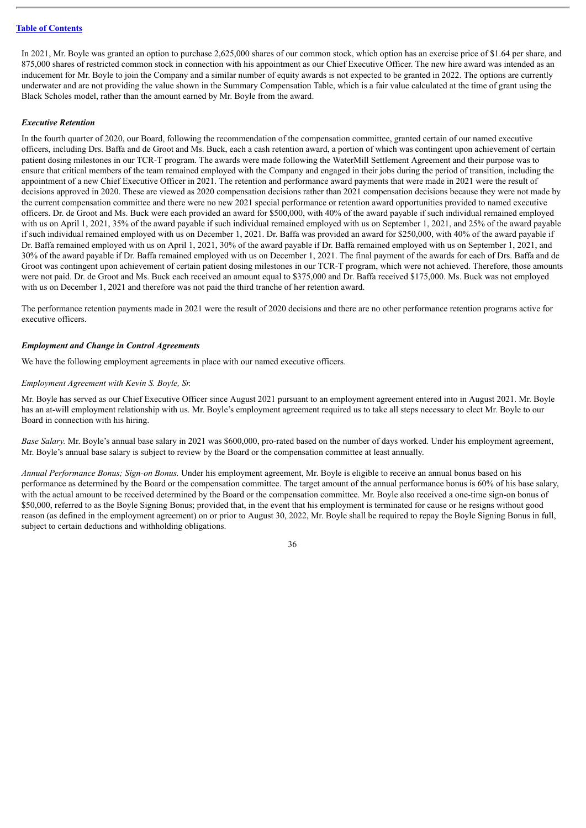In 2021, Mr. Boyle was granted an option to purchase 2,625,000 shares of our common stock, which option has an exercise price of \$1.64 per share, and 875,000 shares of restricted common stock in connection with his appointment as our Chief Executive Officer. The new hire award was intended as an inducement for Mr. Boyle to join the Company and a similar number of equity awards is not expected to be granted in 2022. The options are currently underwater and are not providing the value shown in the Summary Compensation Table, which is a fair value calculated at the time of grant using the Black Scholes model, rather than the amount earned by Mr. Boyle from the award.

### *Executive Retention*

In the fourth quarter of 2020, our Board, following the recommendation of the compensation committee, granted certain of our named executive officers, including Drs. Baffa and de Groot and Ms. Buck, each a cash retention award, a portion of which was contingent upon achievement of certain patient dosing milestones in our TCR-T program. The awards were made following the WaterMill Settlement Agreement and their purpose was to ensure that critical members of the team remained employed with the Company and engaged in their jobs during the period of transition, including the appointment of a new Chief Executive Officer in 2021. The retention and performance award payments that were made in 2021 were the result of decisions approved in 2020. These are viewed as 2020 compensation decisions rather than 2021 compensation decisions because they were not made by the current compensation committee and there were no new 2021 special performance or retention award opportunities provided to named executive officers. Dr. de Groot and Ms. Buck were each provided an award for \$500,000, with 40% of the award payable if such individual remained employed with us on April 1, 2021, 35% of the award payable if such individual remained employed with us on September 1, 2021, and 25% of the award payable if such individual remained employed with us on December 1, 2021. Dr. Baffa was provided an award for \$250,000, with 40% of the award payable if Dr. Baffa remained employed with us on April 1, 2021, 30% of the award payable if Dr. Baffa remained employed with us on September 1, 2021, and 30% of the award payable if Dr. Baffa remained employed with us on December 1, 2021. The final payment of the awards for each of Drs. Baffa and de Groot was contingent upon achievement of certain patient dosing milestones in our TCR-T program, which were not achieved. Therefore, those amounts were not paid. Dr. de Groot and Ms. Buck each received an amount equal to \$375,000 and Dr. Baffa received \$175,000. Ms. Buck was not employed with us on December 1, 2021 and therefore was not paid the third tranche of her retention award.

The performance retention payments made in 2021 were the result of 2020 decisions and there are no other performance retention programs active for executive officers.

#### *Employment and Change in Control Agreements*

We have the following employment agreements in place with our named executive officers.

### *Employment Agreement with Kevin S. Boyle, Sr.*

Mr. Boyle has served as our Chief Executive Officer since August 2021 pursuant to an employment agreement entered into in August 2021. Mr. Boyle has an at-will employment relationship with us. Mr. Boyle's employment agreement required us to take all steps necessary to elect Mr. Boyle to our Board in connection with his hiring.

*Base Salary.* Mr. Boyle's annual base salary in 2021 was \$600,000, pro-rated based on the number of days worked. Under his employment agreement, Mr. Boyle's annual base salary is subject to review by the Board or the compensation committee at least annually.

*Annual Performance Bonus; Sign-on Bonus.* Under his employment agreement, Mr. Boyle is eligible to receive an annual bonus based on his performance as determined by the Board or the compensation committee. The target amount of the annual performance bonus is 60% of his base salary, with the actual amount to be received determined by the Board or the compensation committee. Mr. Boyle also received a one-time sign-on bonus of \$50,000, referred to as the Boyle Signing Bonus; provided that, in the event that his employment is terminated for cause or he resigns without good reason (as defined in the employment agreement) on or prior to August 30, 2022, Mr. Boyle shall be required to repay the Boyle Signing Bonus in full, subject to certain deductions and withholding obligations.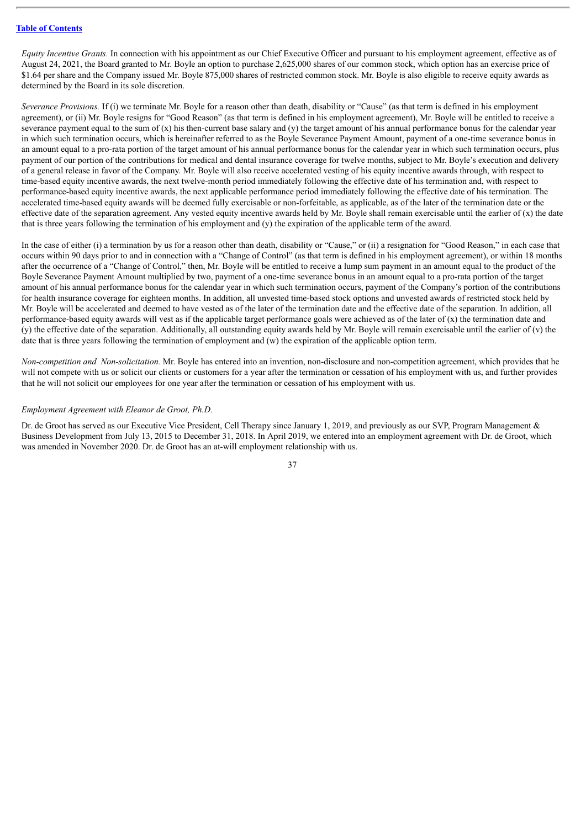*Equity Incentive Grants.* In connection with his appointment as our Chief Executive Officer and pursuant to his employment agreement, effective as of August 24, 2021, the Board granted to Mr. Boyle an option to purchase 2,625,000 shares of our common stock, which option has an exercise price of \$1.64 per share and the Company issued Mr. Boyle 875,000 shares of restricted common stock. Mr. Boyle is also eligible to receive equity awards as determined by the Board in its sole discretion.

*Severance Provisions.* If (i) we terminate Mr. Boyle for a reason other than death, disability or "Cause" (as that term is defined in his employment agreement), or (ii) Mr. Boyle resigns for "Good Reason" (as that term is defined in his employment agreement), Mr. Boyle will be entitled to receive a severance payment equal to the sum of  $(x)$  his then-current base salary and  $(y)$  the target amount of his annual performance bonus for the calendar year in which such termination occurs, which is hereinafter referred to as the Boyle Severance Payment Amount, payment of a one-time severance bonus in an amount equal to a pro-rata portion of the target amount of his annual performance bonus for the calendar year in which such termination occurs, plus payment of our portion of the contributions for medical and dental insurance coverage for twelve months, subject to Mr. Boyle's execution and delivery of a general release in favor of the Company. Mr. Boyle will also receive accelerated vesting of his equity incentive awards through, with respect to time-based equity incentive awards, the next twelve-month period immediately following the effective date of his termination and, with respect to performance-based equity incentive awards, the next applicable performance period immediately following the effective date of his termination. The accelerated time-based equity awards will be deemed fully exercisable or non-forfeitable, as applicable, as of the later of the termination date or the effective date of the separation agreement. Any vested equity incentive awards held by Mr. Boyle shall remain exercisable until the earlier of  $(x)$  the date that is three years following the termination of his employment and (y) the expiration of the applicable term of the award.

In the case of either (i) a termination by us for a reason other than death, disability or "Cause," or (ii) a resignation for "Good Reason," in each case that occurs within 90 days prior to and in connection with a "Change of Control" (as that term is defined in his employment agreement), or within 18 months after the occurrence of a "Change of Control," then, Mr. Boyle will be entitled to receive a lump sum payment in an amount equal to the product of the Boyle Severance Payment Amount multiplied by two, payment of a one-time severance bonus in an amount equal to a pro-rata portion of the target amount of his annual performance bonus for the calendar year in which such termination occurs, payment of the Company's portion of the contributions for health insurance coverage for eighteen months. In addition, all unvested time-based stock options and unvested awards of restricted stock held by Mr. Boyle will be accelerated and deemed to have vested as of the later of the termination date and the effective date of the separation. In addition, all performance-based equity awards will vest as if the applicable target performance goals were achieved as of the later of (x) the termination date and  $(y)$  the effective date of the separation. Additionally, all outstanding equity awards held by Mr. Boyle will remain exercisable until the earlier of  $(y)$  the date that is three years following the termination of employment and (w) the expiration of the applicable option term.

*Non-competition and Non-solicitation.* Mr. Boyle has entered into an invention, non-disclosure and non-competition agreement, which provides that he will not compete with us or solicit our clients or customers for a year after the termination or cessation of his employment with us, and further provides that he will not solicit our employees for one year after the termination or cessation of his employment with us.

#### *Employment Agreement with Eleanor de Groot, Ph.D.*

Dr. de Groot has served as our Executive Vice President, Cell Therapy since January 1, 2019, and previously as our SVP, Program Management & Business Development from July 13, 2015 to December 31, 2018. In April 2019, we entered into an employment agreement with Dr. de Groot, which was amended in November 2020. Dr. de Groot has an at-will employment relationship with us.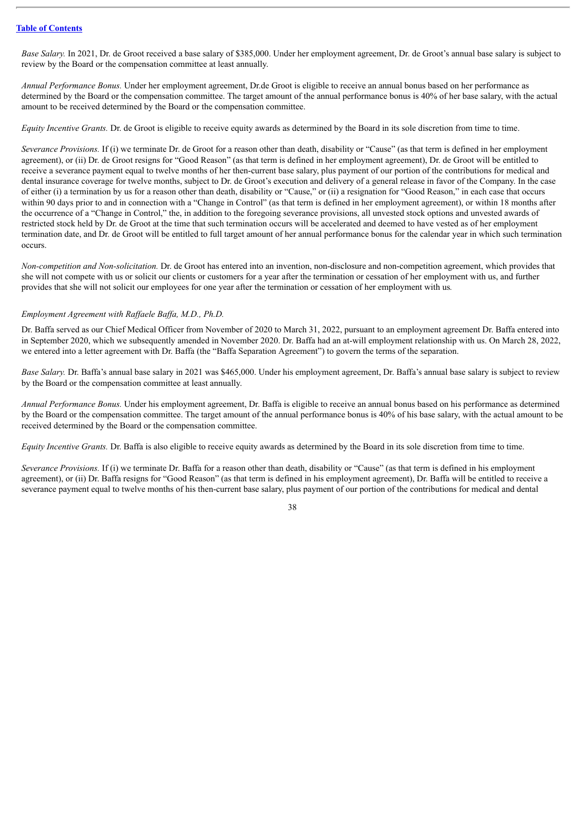*Base Salary.* In 2021, Dr. de Groot received a base salary of \$385,000. Under her employment agreement, Dr. de Groot's annual base salary is subject to review by the Board or the compensation committee at least annually.

*Annual Performance Bonus.* Under her employment agreement, Dr.de Groot is eligible to receive an annual bonus based on her performance as determined by the Board or the compensation committee. The target amount of the annual performance bonus is 40% of her base salary, with the actual amount to be received determined by the Board or the compensation committee.

*Equity Incentive Grants.* Dr. de Groot is eligible to receive equity awards as determined by the Board in its sole discretion from time to time.

*Severance Provisions.* If (i) we terminate Dr. de Groot for a reason other than death, disability or "Cause" (as that term is defined in her employment agreement), or (ii) Dr. de Groot resigns for "Good Reason" (as that term is defined in her employment agreement), Dr. de Groot will be entitled to receive a severance payment equal to twelve months of her then-current base salary, plus payment of our portion of the contributions for medical and dental insurance coverage for twelve months, subject to Dr. de Groot's execution and delivery of a general release in favor of the Company. In the case of either (i) a termination by us for a reason other than death, disability or "Cause," or (ii) a resignation for "Good Reason," in each case that occurs within 90 days prior to and in connection with a "Change in Control" (as that term is defined in her employment agreement), or within 18 months after the occurrence of a "Change in Control," the, in addition to the foregoing severance provisions, all unvested stock options and unvested awards of restricted stock held by Dr. de Groot at the time that such termination occurs will be accelerated and deemed to have vested as of her employment termination date, and Dr. de Groot will be entitled to full target amount of her annual performance bonus for the calendar year in which such termination occurs.

*Non-competition and Non-solicitation.* Dr. de Groot has entered into an invention, non-disclosure and non-competition agreement, which provides that she will not compete with us or solicit our clients or customers for a year after the termination or cessation of her employment with us, and further provides that she will not solicit our employees for one year after the termination or cessation of her employment with us*.*

#### *Employment Agreement with Raf aele Baf a, M.D., Ph.D.*

Dr. Baffa served as our Chief Medical Officer from November of 2020 to March 31, 2022, pursuant to an employment agreement Dr. Baffa entered into in September 2020, which we subsequently amended in November 2020. Dr. Baffa had an at-will employment relationship with us. On March 28, 2022, we entered into a letter agreement with Dr. Baffa (the "Baffa Separation Agreement") to govern the terms of the separation.

*Base Salary.* Dr. Baffa's annual base salary in 2021 was \$465,000. Under his employment agreement, Dr. Baffa's annual base salary is subject to review by the Board or the compensation committee at least annually.

*Annual Performance Bonus.* Under his employment agreement, Dr. Baffa is eligible to receive an annual bonus based on his performance as determined by the Board or the compensation committee. The target amount of the annual performance bonus is 40% of his base salary, with the actual amount to be received determined by the Board or the compensation committee.

*Equity Incentive Grants.* Dr. Baffa is also eligible to receive equity awards as determined by the Board in its sole discretion from time to time.

*Severance Provisions.* If (i) we terminate Dr. Baffa for a reason other than death, disability or "Cause" (as that term is defined in his employment agreement), or (ii) Dr. Baffa resigns for "Good Reason" (as that term is defined in his employment agreement), Dr. Baffa will be entitled to receive a severance payment equal to twelve months of his then-current base salary, plus payment of our portion of the contributions for medical and dental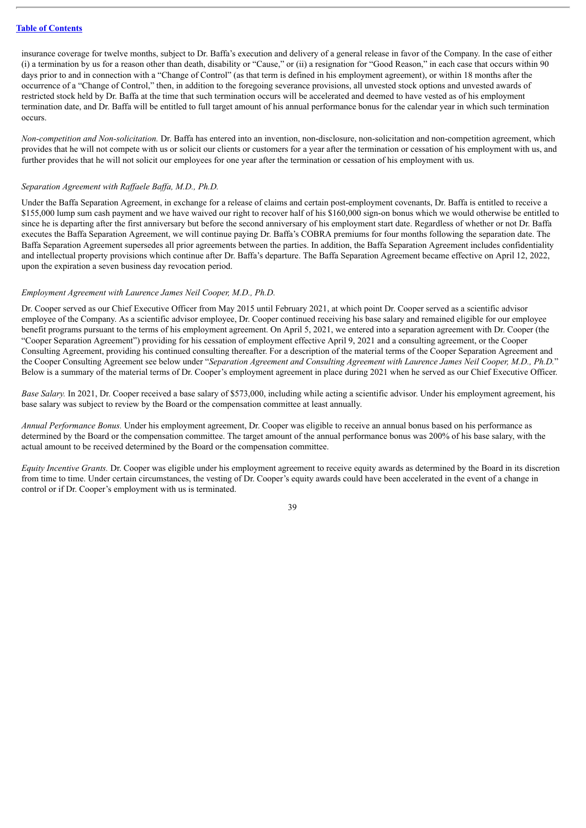insurance coverage for twelve months, subject to Dr. Baffa's execution and delivery of a general release in favor of the Company. In the case of either (i) a termination by us for a reason other than death, disability or "Cause," or (ii) a resignation for "Good Reason," in each case that occurs within 90 days prior to and in connection with a "Change of Control" (as that term is defined in his employment agreement), or within 18 months after the occurrence of a "Change of Control," then, in addition to the foregoing severance provisions, all unvested stock options and unvested awards of restricted stock held by Dr. Baffa at the time that such termination occurs will be accelerated and deemed to have vested as of his employment termination date, and Dr. Baffa will be entitled to full target amount of his annual performance bonus for the calendar year in which such termination occurs.

*Non-competition and Non-solicitation.* Dr. Baffa has entered into an invention, non-disclosure, non-solicitation and non-competition agreement, which provides that he will not compete with us or solicit our clients or customers for a year after the termination or cessation of his employment with us, and further provides that he will not solicit our employees for one year after the termination or cessation of his employment with us.

### *Separation Agreement with Raf aele Baf a, M.D., Ph.D.*

Under the Baffa Separation Agreement, in exchange for a release of claims and certain post-employment covenants, Dr. Baffa is entitled to receive a \$155,000 lump sum cash payment and we have waived our right to recover half of his \$160,000 sign-on bonus which we would otherwise be entitled to since he is departing after the first anniversary but before the second anniversary of his employment start date. Regardless of whether or not Dr. Baffa executes the Baffa Separation Agreement, we will continue paying Dr. Baffa's COBRA premiums for four months following the separation date. The Baffa Separation Agreement supersedes all prior agreements between the parties. In addition, the Baffa Separation Agreement includes confidentiality and intellectual property provisions which continue after Dr. Baffa's departure. The Baffa Separation Agreement became effective on April 12, 2022, upon the expiration a seven business day revocation period.

#### *Employment Agreement with Laurence James Neil Cooper, M.D., Ph.D.*

Dr. Cooper served as our Chief Executive Officer from May 2015 until February 2021, at which point Dr. Cooper served as a scientific advisor employee of the Company. As a scientific advisor employee, Dr. Cooper continued receiving his base salary and remained eligible for our employee benefit programs pursuant to the terms of his employment agreement. On April 5, 2021, we entered into a separation agreement with Dr. Cooper (the "Cooper Separation Agreement") providing for his cessation of employment effective April 9, 2021 and a consulting agreement, or the Cooper Consulting Agreement, providing his continued consulting thereafter. For a description of the material terms of the Cooper Separation Agreement and the Cooper Consulting Agreement see below under "*Separation Agreement and Consulting Agreement with Laurence James Neil Cooper, M.D., Ph.D.*" Below is a summary of the material terms of Dr. Cooper's employment agreement in place during 2021 when he served as our Chief Executive Officer.

*Base Salary.* In 2021, Dr. Cooper received a base salary of \$573,000, including while acting a scientific advisor. Under his employment agreement, his base salary was subject to review by the Board or the compensation committee at least annually.

*Annual Performance Bonus.* Under his employment agreement, Dr. Cooper was eligible to receive an annual bonus based on his performance as determined by the Board or the compensation committee. The target amount of the annual performance bonus was 200% of his base salary, with the actual amount to be received determined by the Board or the compensation committee.

*Equity Incentive Grants.* Dr. Cooper was eligible under his employment agreement to receive equity awards as determined by the Board in its discretion from time to time. Under certain circumstances, the vesting of Dr. Cooper's equity awards could have been accelerated in the event of a change in control or if Dr. Cooper's employment with us is terminated.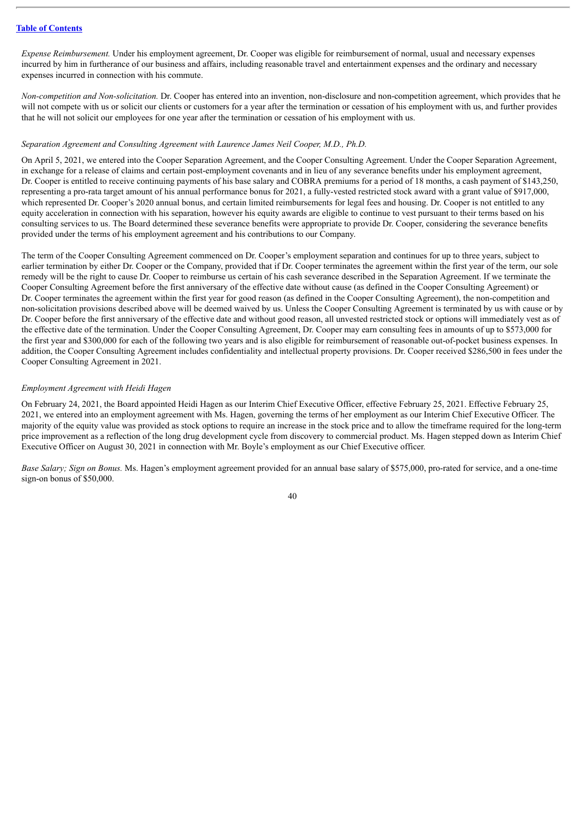*Expense Reimbursement.* Under his employment agreement, Dr. Cooper was eligible for reimbursement of normal, usual and necessary expenses incurred by him in furtherance of our business and affairs, including reasonable travel and entertainment expenses and the ordinary and necessary expenses incurred in connection with his commute.

*Non-competition and Non-solicitation.* Dr. Cooper has entered into an invention, non-disclosure and non-competition agreement, which provides that he will not compete with us or solicit our clients or customers for a year after the termination or cessation of his employment with us, and further provides that he will not solicit our employees for one year after the termination or cessation of his employment with us.

### *Separation Agreement and Consulting Agreement with Laurence James Neil Cooper, M.D., Ph.D.*

On April 5, 2021, we entered into the Cooper Separation Agreement, and the Cooper Consulting Agreement. Under the Cooper Separation Agreement, in exchange for a release of claims and certain post-employment covenants and in lieu of any severance benefits under his employment agreement, Dr. Cooper is entitled to receive continuing payments of his base salary and COBRA premiums for a period of 18 months, a cash payment of \$143,250, representing a pro-rata target amount of his annual performance bonus for 2021, a fully-vested restricted stock award with a grant value of \$917,000, which represented Dr. Cooper's 2020 annual bonus, and certain limited reimbursements for legal fees and housing. Dr. Cooper is not entitled to any equity acceleration in connection with his separation, however his equity awards are eligible to continue to vest pursuant to their terms based on his consulting services to us. The Board determined these severance benefits were appropriate to provide Dr. Cooper, considering the severance benefits provided under the terms of his employment agreement and his contributions to our Company.

The term of the Cooper Consulting Agreement commenced on Dr. Cooper's employment separation and continues for up to three years, subject to earlier termination by either Dr. Cooper or the Company, provided that if Dr. Cooper terminates the agreement within the first year of the term, our sole remedy will be the right to cause Dr. Cooper to reimburse us certain of his cash severance described in the Separation Agreement. If we terminate the Cooper Consulting Agreement before the first anniversary of the effective date without cause (as defined in the Cooper Consulting Agreement) or Dr. Cooper terminates the agreement within the first year for good reason (as defined in the Cooper Consulting Agreement), the non-competition and non-solicitation provisions described above will be deemed waived by us. Unless the Cooper Consulting Agreement is terminated by us with cause or by Dr. Cooper before the first anniversary of the effective date and without good reason, all unvested restricted stock or options will immediately vest as of the effective date of the termination. Under the Cooper Consulting Agreement, Dr. Cooper may earn consulting fees in amounts of up to \$573,000 for the first year and \$300,000 for each of the following two years and is also eligible for reimbursement of reasonable out-of-pocket business expenses. In addition, the Cooper Consulting Agreement includes confidentiality and intellectual property provisions. Dr. Cooper received \$286,500 in fees under the Cooper Consulting Agreement in 2021.

### *Employment Agreement with Heidi Hagen*

On February 24, 2021, the Board appointed Heidi Hagen as our Interim Chief Executive Officer, effective February 25, 2021. Effective February 25, 2021, we entered into an employment agreement with Ms. Hagen, governing the terms of her employment as our Interim Chief Executive Officer. The majority of the equity value was provided as stock options to require an increase in the stock price and to allow the timeframe required for the long-term price improvement as a reflection of the long drug development cycle from discovery to commercial product. Ms. Hagen stepped down as Interim Chief Executive Officer on August 30, 2021 in connection with Mr. Boyle's employment as our Chief Executive officer.

*Base Salary; Sign on Bonus.* Ms. Hagen's employment agreement provided for an annual base salary of \$575,000, pro-rated for service, and a one-time sign-on bonus of \$50,000.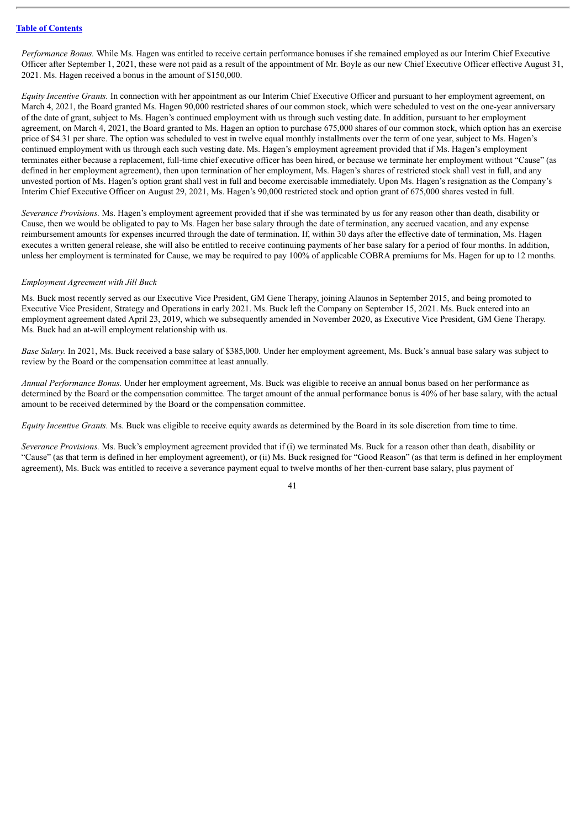*Performance Bonus.* While Ms. Hagen was entitled to receive certain performance bonuses if she remained employed as our Interim Chief Executive Officer after September 1, 2021, these were not paid as a result of the appointment of Mr. Boyle as our new Chief Executive Officer effective August 31, 2021. Ms. Hagen received a bonus in the amount of \$150,000.

*Equity Incentive Grants.* In connection with her appointment as our Interim Chief Executive Officer and pursuant to her employment agreement, on March 4, 2021, the Board granted Ms. Hagen 90,000 restricted shares of our common stock, which were scheduled to vest on the one-year anniversary of the date of grant, subject to Ms. Hagen's continued employment with us through such vesting date. In addition, pursuant to her employment agreement, on March 4, 2021, the Board granted to Ms. Hagen an option to purchase 675,000 shares of our common stock, which option has an exercise price of \$4.31 per share. The option was scheduled to vest in twelve equal monthly installments over the term of one vear, subject to Ms. Hagen's continued employment with us through each such vesting date. Ms. Hagen's employment agreement provided that if Ms. Hagen's employment terminates either because a replacement, full-time chief executive officer has been hired, or because we terminate her employment without "Cause" (as defined in her employment agreement), then upon termination of her employment, Ms. Hagen's shares of restricted stock shall vest in full, and any unvested portion of Ms. Hagen's option grant shall vest in full and become exercisable immediately. Upon Ms. Hagen's resignation as the Company's Interim Chief Executive Officer on August 29, 2021, Ms. Hagen's 90,000 restricted stock and option grant of 675,000 shares vested in full.

*Severance Provisions.* Ms. Hagen's employment agreement provided that if she was terminated by us for any reason other than death, disability or Cause, then we would be obligated to pay to Ms. Hagen her base salary through the date of termination, any accrued vacation, and any expense reimbursement amounts for expenses incurred through the date of termination. If, within 30 days after the effective date of termination, Ms. Hagen executes a written general release, she will also be entitled to receive continuing payments of her base salary for a period of four months. In addition, unless her employment is terminated for Cause, we may be required to pay 100% of applicable COBRA premiums for Ms. Hagen for up to 12 months.

# *Employment Agreement with Jill Buck*

Ms. Buck most recently served as our Executive Vice President, GM Gene Therapy, joining Alaunos in September 2015, and being promoted to Executive Vice President, Strategy and Operations in early 2021. Ms. Buck left the Company on September 15, 2021. Ms. Buck entered into an employment agreement dated April 23, 2019, which we subsequently amended in November 2020, as Executive Vice President, GM Gene Therapy. Ms. Buck had an at-will employment relationship with us.

*Base Salary.* In 2021, Ms. Buck received a base salary of \$385,000. Under her employment agreement, Ms. Buck's annual base salary was subject to review by the Board or the compensation committee at least annually.

*Annual Performance Bonus.* Under her employment agreement, Ms. Buck was eligible to receive an annual bonus based on her performance as determined by the Board or the compensation committee. The target amount of the annual performance bonus is 40% of her base salary, with the actual amount to be received determined by the Board or the compensation committee.

*Equity Incentive Grants.* Ms. Buck was eligible to receive equity awards as determined by the Board in its sole discretion from time to time.

*Severance Provisions.* Ms. Buck's employment agreement provided that if (i) we terminated Ms. Buck for a reason other than death, disability or "Cause" (as that term is defined in her employment agreement), or (ii) Ms. Buck resigned for "Good Reason" (as that term is defined in her employment agreement), Ms. Buck was entitled to receive a severance payment equal to twelve months of her then-current base salary, plus payment of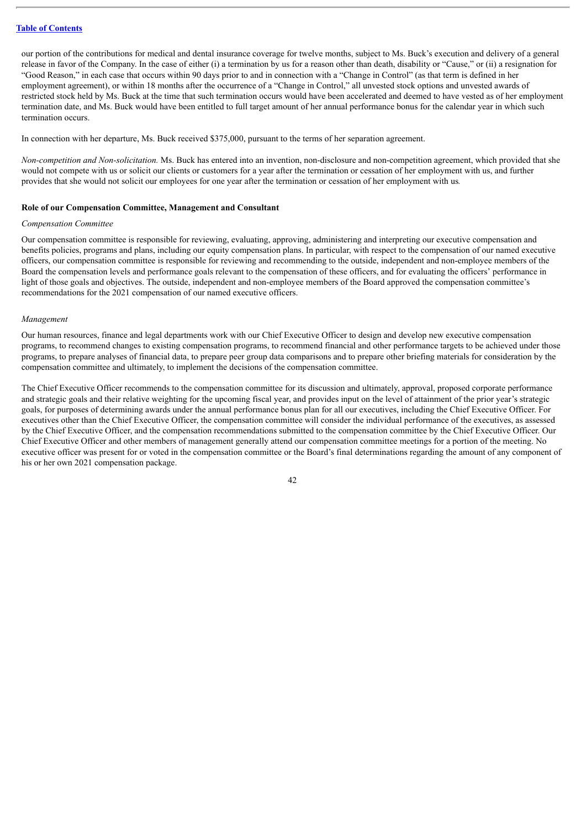our portion of the contributions for medical and dental insurance coverage for twelve months, subject to Ms. Buck's execution and delivery of a general release in favor of the Company. In the case of either (i) a termination by us for a reason other than death, disability or "Cause," or (ii) a resignation for "Good Reason," in each case that occurs within 90 days prior to and in connection with a "Change in Control" (as that term is defined in her employment agreement), or within 18 months after the occurrence of a "Change in Control," all unvested stock options and unvested awards of restricted stock held by Ms. Buck at the time that such termination occurs would have been accelerated and deemed to have vested as of her employment termination date, and Ms. Buck would have been entitled to full target amount of her annual performance bonus for the calendar year in which such termination occurs.

In connection with her departure, Ms. Buck received \$375,000, pursuant to the terms of her separation agreement.

*Non-competition and Non-solicitation.* Ms. Buck has entered into an invention, non-disclosure and non-competition agreement, which provided that she would not compete with us or solicit our clients or customers for a year after the termination or cessation of her employment with us, and further provides that she would not solicit our employees for one year after the termination or cessation of her employment with us*.*

#### **Role of our Compensation Committee, Management and Consultant**

### *Compensation Committee*

Our compensation committee is responsible for reviewing, evaluating, approving, administering and interpreting our executive compensation and benefits policies, programs and plans, including our equity compensation plans. In particular, with respect to the compensation of our named executive officers, our compensation committee is responsible for reviewing and recommending to the outside, independent and non-employee members of the Board the compensation levels and performance goals relevant to the compensation of these officers, and for evaluating the officers' performance in light of those goals and objectives. The outside, independent and non-employee members of the Board approved the compensation committee's recommendations for the 2021 compensation of our named executive officers.

#### *Management*

Our human resources, finance and legal departments work with our Chief Executive Officer to design and develop new executive compensation programs, to recommend changes to existing compensation programs, to recommend financial and other performance targets to be achieved under those programs, to prepare analyses of financial data, to prepare peer group data comparisons and to prepare other briefing materials for consideration by the compensation committee and ultimately, to implement the decisions of the compensation committee.

The Chief Executive Officer recommends to the compensation committee for its discussion and ultimately, approval, proposed corporate performance and strategic goals and their relative weighting for the upcoming fiscal year, and provides input on the level of attainment of the prior year's strategic goals, for purposes of determining awards under the annual performance bonus plan for all our executives, including the Chief Executive Officer. For executives other than the Chief Executive Officer, the compensation committee will consider the individual performance of the executives, as assessed by the Chief Executive Officer, and the compensation recommendations submitted to the compensation committee by the Chief Executive Officer. Our Chief Executive Officer and other members of management generally attend our compensation committee meetings for a portion of the meeting. No executive officer was present for or voted in the compensation committee or the Board's final determinations regarding the amount of any component of his or her own 2021 compensation package.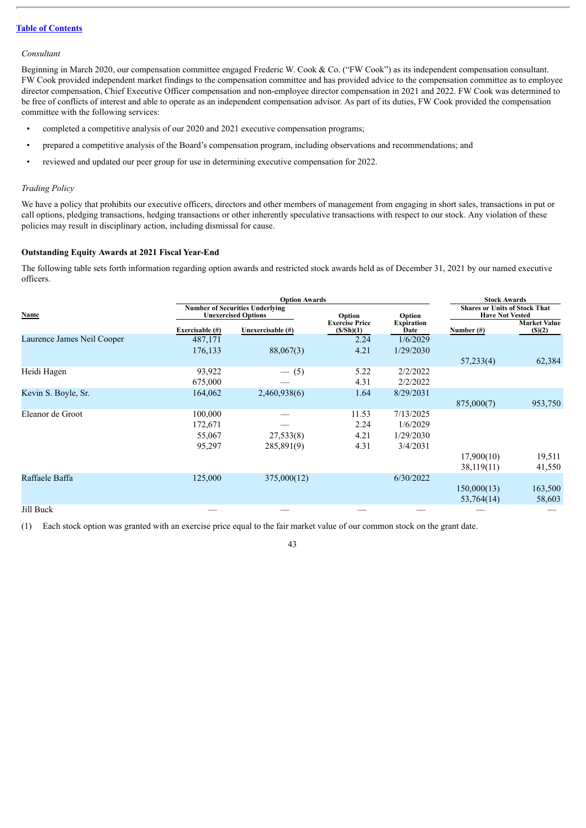### *Consultant*

Beginning in March 2020, our compensation committee engaged Frederic W. Cook & Co. ("FW Cook") as its independent compensation consultant. FW Cook provided independent market findings to the compensation committee and has provided advice to the compensation committee as to employee director compensation, Chief Executive Officer compensation and non-employee director compensation in 2021 and 2022. FW Cook was determined to be free of conflicts of interest and able to operate as an independent compensation advisor. As part of its duties, FW Cook provided the compensation committee with the following services:

- completed a competitive analysis of our 2020 and 2021 executive compensation programs;
- prepared a competitive analysis of the Board's compensation program, including observations and recommendations; and
- reviewed and updated our peer group for use in determining executive compensation for 2022.

### *Trading Policy*

We have a policy that prohibits our executive officers, directors and other members of management from engaging in short sales, transactions in put or call options, pledging transactions, hedging transactions or other inherently speculative transactions with respect to our stock. Any violation of these policies may result in disciplinary action, including dismissal for cause.

# **Outstanding Equity Awards at 2021 Fiscal Year-End**

The following table sets forth information regarding option awards and restricted stock awards held as of December 31, 2021 by our named executive officers.

|                            |                    | <b>Option Awards</b>                                                 |                                    |                           | <b>Stock Awards</b>                                            |                               |
|----------------------------|--------------------|----------------------------------------------------------------------|------------------------------------|---------------------------|----------------------------------------------------------------|-------------------------------|
| Name                       |                    | <b>Number of Securities Underlying</b><br><b>Unexercised Options</b> | Option                             | Option                    | <b>Shares or Units of Stock That</b><br><b>Have Not Vested</b> |                               |
|                            | Exercisable $(\#)$ | Unexercisable (#)                                                    | <b>Exercise Price</b><br>(S/Sh)(1) | <b>Expiration</b><br>Date | Number $(\#)$                                                  | <b>Market Value</b><br>(S)(2) |
| Laurence James Neil Cooper | 487,171            |                                                                      | 2.24                               | 1/6/2029                  |                                                                |                               |
|                            | 176,133            | 88,067(3)                                                            | 4.21                               | 1/29/2030                 |                                                                |                               |
|                            |                    |                                                                      |                                    |                           | 57,233(4)                                                      | 62,384                        |
| Heidi Hagen                | 93,922             | $-$ (5)                                                              | 5.22                               | 2/2/2022                  |                                                                |                               |
|                            | 675,000            |                                                                      | 4.31                               | 2/2/2022                  |                                                                |                               |
| Kevin S. Boyle, Sr.        | 164,062            | 2,460,938(6)                                                         | 1.64                               | 8/29/2031                 |                                                                |                               |
|                            |                    |                                                                      |                                    |                           | 875,000(7)                                                     | 953,750                       |
| Eleanor de Groot           | 100,000            |                                                                      | 11.53                              | 7/13/2025                 |                                                                |                               |
|                            | 172,671            |                                                                      | 2.24                               | 1/6/2029                  |                                                                |                               |
|                            | 55,067             | 27,533(8)                                                            | 4.21                               | 1/29/2030                 |                                                                |                               |
|                            | 95,297             | 285,891(9)                                                           | 4.31                               | 3/4/2031                  |                                                                |                               |
|                            |                    |                                                                      |                                    |                           | 17,900(10)                                                     | 19,511                        |
|                            |                    |                                                                      |                                    |                           | 38,119(11)                                                     | 41,550                        |
| Raffaele Baffa             | 125,000            | 375,000(12)                                                          |                                    | 6/30/2022                 |                                                                |                               |
|                            |                    |                                                                      |                                    |                           | 150,000(13)                                                    | 163,500                       |
|                            |                    |                                                                      |                                    |                           | 53,764(14)                                                     | 58,603                        |
| Jill Buck                  |                    |                                                                      |                                    |                           |                                                                |                               |

(1) Each stock option was granted with an exercise price equal to the fair market value of our common stock on the grant date.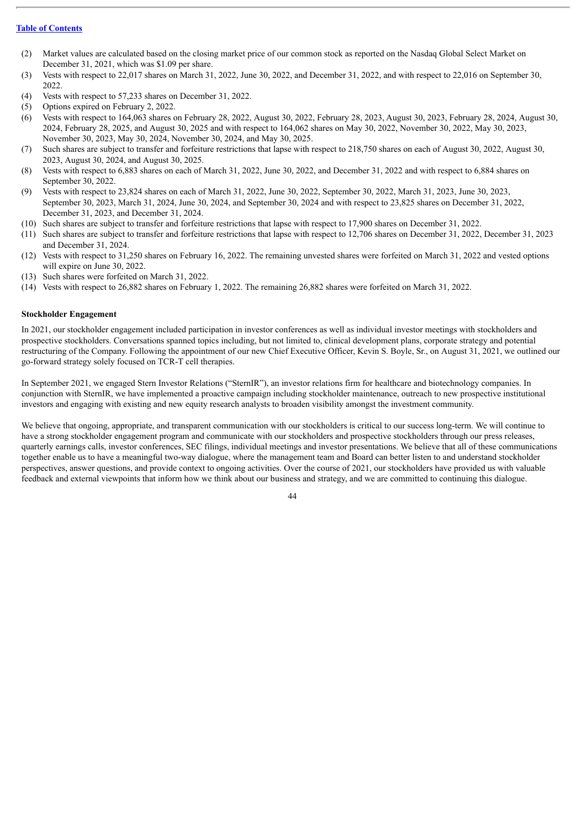- (2) Market values are calculated based on the closing market price of our common stock as reported on the Nasdaq Global Select Market on December 31, 2021, which was \$1.09 per share.
- (3) Vests with respect to 22,017 shares on March 31, 2022, June 30, 2022, and December 31, 2022, and with respect to 22,016 on September 30, 2022.
- (4) Vests with respect to 57,233 shares on December 31, 2022.
- (5) Options expired on February 2, 2022.
- (6) Vests with respect to 164,063 shares on February 28, 2022, August 30, 2022, February 28, 2023, August 30, 2023, February 28, 2024, August 30, 2024, February 28, 2025, and August 30, 2025 and with respect to 164,062 shares on May 30, 2022, November 30, 2022, May 30, 2023, November 30, 2023, May 30, 2024, November 30, 2024, and May 30, 2025.
- (7) Such shares are subject to transfer and forfeiture restrictions that lapse with respect to 218,750 shares on each of August 30, 2022, August 30, 2023, August 30, 2024, and August 30, 2025.
- (8) Vests with respect to 6,883 shares on each of March 31, 2022, June 30, 2022, and December 31, 2022 and with respect to 6,884 shares on September 30, 2022.
- (9) Vests with respect to 23,824 shares on each of March 31, 2022, June 30, 2022, September 30, 2022, March 31, 2023, June 30, 2023, September 30, 2023, March 31, 2024, June 30, 2024, and September 30, 2024 and with respect to 23,825 shares on December 31, 2022, December 31, 2023, and December 31, 2024.
- (10) Such shares are subject to transfer and forfeiture restrictions that lapse with respect to 17,900 shares on December 31, 2022.
- (11) Such shares are subject to transfer and forfeiture restrictions that lapse with respect to 12,706 shares on December 31, 2022, December 31, 2023 and December 31, 2024.
- (12) Vests with respect to 31,250 shares on February 16, 2022. The remaining unvested shares were forfeited on March 31, 2022 and vested options will expire on June 30, 2022.
- (13) Such shares were forfeited on March 31, 2022.
- (14) Vests with respect to 26,882 shares on February 1, 2022. The remaining 26,882 shares were forfeited on March 31, 2022.

### **Stockholder Engagement**

In 2021, our stockholder engagement included participation in investor conferences as well as individual investor meetings with stockholders and prospective stockholders. Conversations spanned topics including, but not limited to, clinical development plans, corporate strategy and potential restructuring of the Company. Following the appointment of our new Chief Executive Officer, Kevin S. Boyle, Sr., on August 31, 2021, we outlined our go-forward strategy solely focused on TCR-T cell therapies.

In September 2021, we engaged Stern Investor Relations ("SternIR"), an investor relations firm for healthcare and biotechnology companies. In conjunction with SternIR, we have implemented a proactive campaign including stockholder maintenance, outreach to new prospective institutional investors and engaging with existing and new equity research analysts to broaden visibility amongst the investment community.

We believe that ongoing, appropriate, and transparent communication with our stockholders is critical to our success long-term. We will continue to have a strong stockholder engagement program and communicate with our stockholders and prospective stockholders through our press releases, quarterly earnings calls, investor conferences, SEC filings, individual meetings and investor presentations. We believe that all of these communications together enable us to have a meaningful two-way dialogue, where the management team and Board can better listen to and understand stockholder perspectives, answer questions, and provide context to ongoing activities. Over the course of 2021, our stockholders have provided us with valuable feedback and external viewpoints that inform how we think about our business and strategy, and we are committed to continuing this dialogue.

 $\overline{A}$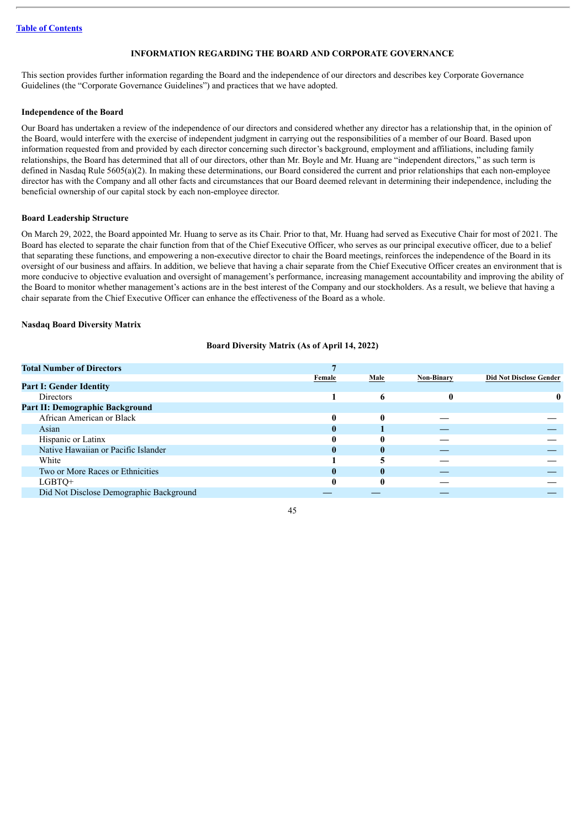# **INFORMATION REGARDING THE BOARD AND CORPORATE GOVERNANCE**

This section provides further information regarding the Board and the independence of our directors and describes key Corporate Governance Guidelines (the "Corporate Governance Guidelines") and practices that we have adopted.

### **Independence of the Board**

Our Board has undertaken a review of the independence of our directors and considered whether any director has a relationship that, in the opinion of the Board, would interfere with the exercise of independent judgment in carrying out the responsibilities of a member of our Board. Based upon information requested from and provided by each director concerning such director's background, employment and affiliations, including family relationships, the Board has determined that all of our directors, other than Mr. Boyle and Mr. Huang are "independent directors," as such term is defined in Nasdaq Rule 5605(a)(2). In making these determinations, our Board considered the current and prior relationships that each non-employee director has with the Company and all other facts and circumstances that our Board deemed relevant in determining their independence, including the beneficial ownership of our capital stock by each non-employee director.

### **Board Leadership Structure**

On March 29, 2022, the Board appointed Mr. Huang to serve as its Chair. Prior to that, Mr. Huang had served as Executive Chair for most of 2021. The Board has elected to separate the chair function from that of the Chief Executive Officer, who serves as our principal executive officer, due to a belief that separating these functions, and empowering a non-executive director to chair the Board meetings, reinforces the independence of the Board in its oversight of our business and affairs. In addition, we believe that having a chair separate from the Chief Executive Officer creates an environment that is more conducive to objective evaluation and oversight of management's performance, increasing management accountability and improving the ability of the Board to monitor whether management's actions are in the best interest of the Company and our stockholders. As a result, we believe that having a chair separate from the Chief Executive Officer can enhance the effectiveness of the Board as a whole.

### **Nasdaq Board Diversity Matrix**

### **Board Diversity Matrix (As of April 14, 2022)**

| <b>Total Number of Directors</b>        |        |      |                   |                                |
|-----------------------------------------|--------|------|-------------------|--------------------------------|
|                                         | Female | Male | <b>Non-Binary</b> | <b>Did Not Disclose Gender</b> |
| <b>Part I: Gender Identity</b>          |        |      |                   |                                |
| <b>Directors</b>                        |        | 6    |                   | 0                              |
| <b>Part II: Demographic Background</b>  |        |      |                   |                                |
| African American or Black               | 0      | 0    |                   |                                |
| Asian                                   |        |      |                   |                                |
| Hispanic or Latinx                      |        | 0    |                   |                                |
| Native Hawaiian or Pacific Islander     |        | 0    |                   |                                |
| White                                   |        |      |                   |                                |
| Two or More Races or Ethnicities        |        | 0    |                   |                                |
| LGBTO+                                  |        | 0    |                   |                                |
| Did Not Disclose Demographic Background |        |      |                   |                                |
|                                         |        |      |                   |                                |

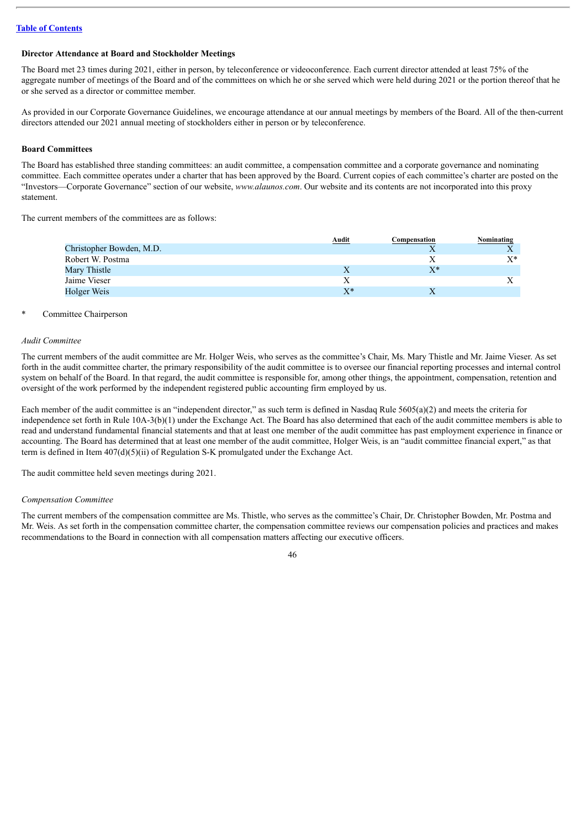### **Director Attendance at Board and Stockholder Meetings**

The Board met 23 times during 2021, either in person, by teleconference or videoconference. Each current director attended at least 75% of the aggregate number of meetings of the Board and of the committees on which he or she served which were held during 2021 or the portion thereof that he or she served as a director or committee member.

As provided in our Corporate Governance Guidelines, we encourage attendance at our annual meetings by members of the Board. All of the then-current directors attended our 2021 annual meeting of stockholders either in person or by teleconference.

### **Board Committees**

The Board has established three standing committees: an audit committee, a compensation committee and a corporate governance and nominating committee. Each committee operates under a charter that has been approved by the Board. Current copies of each committee's charter are posted on the "Investors—Corporate Governance" section of our website, *www.alaunos.com*. Our website and its contents are not incorporated into this proxy statement.

The current members of the committees are as follows:

| Audit | Compensation | Nominating |
|-------|--------------|------------|
|       |              |            |
|       |              | $X^*$      |
|       | y*           |            |
|       |              |            |
| $X^*$ |              |            |
|       |              |            |

#### Committee Chairperson

### *Audit Committee*

The current members of the audit committee are Mr. Holger Weis, who serves as the committee's Chair, Ms. Mary Thistle and Mr. Jaime Vieser. As set forth in the audit committee charter, the primary responsibility of the audit committee is to oversee our financial reporting processes and internal control system on behalf of the Board. In that regard, the audit committee is responsible for, among other things, the appointment, compensation, retention and oversight of the work performed by the independent registered public accounting firm employed by us.

Each member of the audit committee is an "independent director," as such term is defined in Nasdaq Rule  $5605(a)(2)$  and meets the criteria for independence set forth in Rule 10A-3(b)(1) under the Exchange Act. The Board has also determined that each of the audit committee members is able to read and understand fundamental financial statements and that at least one member of the audit committee has past employment experience in finance or accounting. The Board has determined that at least one member of the audit committee, Holger Weis, is an "audit committee financial expert," as that term is defined in Item  $407(d)(5)(ii)$  of Regulation S-K promulgated under the Exchange Act.

The audit committee held seven meetings during 2021.

#### *Compensation Committee*

The current members of the compensation committee are Ms. Thistle, who serves as the committee's Chair, Dr. Christopher Bowden, Mr. Postma and Mr. Weis. As set forth in the compensation committee charter, the compensation committee reviews our compensation policies and practices and makes recommendations to the Board in connection with all compensation matters affecting our executive officers.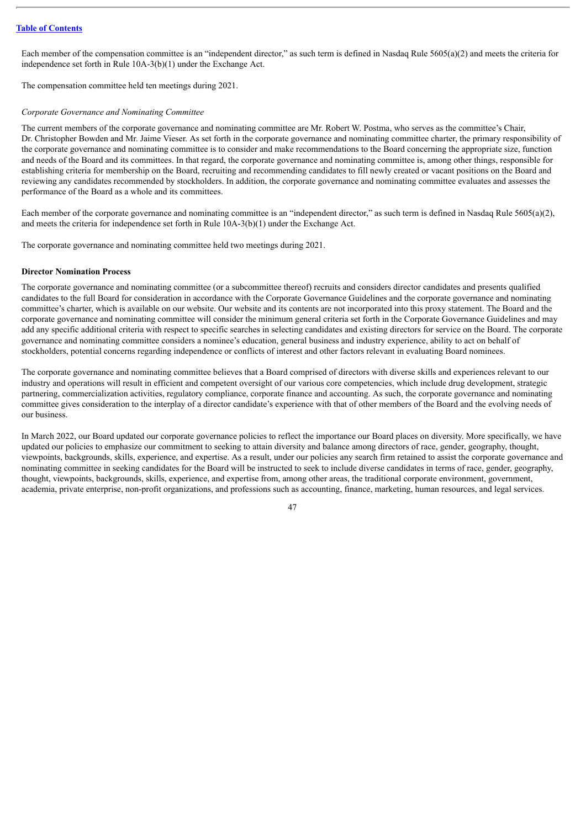Each member of the compensation committee is an "independent director," as such term is defined in Nasdaq Rule  $5605(a)(2)$  and meets the criteria for independence set forth in Rule 10A-3(b)(1) under the Exchange Act.

The compensation committee held ten meetings during 2021.

#### *Corporate Governance and Nominating Committee*

The current members of the corporate governance and nominating committee are Mr. Robert W. Postma, who serves as the committee's Chair, Dr. Christopher Bowden and Mr. Jaime Vieser. As set forth in the corporate governance and nominating committee charter, the primary responsibility of the corporate governance and nominating committee is to consider and make recommendations to the Board concerning the appropriate size, function and needs of the Board and its committees. In that regard, the corporate governance and nominating committee is, among other things, responsible for establishing criteria for membership on the Board, recruiting and recommending candidates to fill newly created or vacant positions on the Board and reviewing any candidates recommended by stockholders. In addition, the corporate governance and nominating committee evaluates and assesses the performance of the Board as a whole and its committees.

Each member of the corporate governance and nominating committee is an "independent director," as such term is defined in Nasdaq Rule 5605(a)(2), and meets the criteria for independence set forth in Rule 10A-3(b)(1) under the Exchange Act.

The corporate governance and nominating committee held two meetings during 2021.

### **Director Nomination Process**

The corporate governance and nominating committee (or a subcommittee thereof) recruits and considers director candidates and presents qualified candidates to the full Board for consideration in accordance with the Corporate Governance Guidelines and the corporate governance and nominating committee's charter, which is available on our website. Our website and its contents are not incorporated into this proxy statement. The Board and the corporate governance and nominating committee will consider the minimum general criteria set forth in the Corporate Governance Guidelines and may add any specific additional criteria with respect to specific searches in selecting candidates and existing directors for service on the Board. The corporate governance and nominating committee considers a nominee's education, general business and industry experience, ability to act on behalf of stockholders, potential concerns regarding independence or conflicts of interest and other factors relevant in evaluating Board nominees.

The corporate governance and nominating committee believes that a Board comprised of directors with diverse skills and experiences relevant to our industry and operations will result in efficient and competent oversight of our various core competencies, which include drug development, strategic partnering, commercialization activities, regulatory compliance, corporate finance and accounting. As such, the corporate governance and nominating committee gives consideration to the interplay of a director candidate's experience with that of other members of the Board and the evolving needs of our business.

In March 2022, our Board updated our corporate governance policies to reflect the importance our Board places on diversity. More specifically, we have updated our policies to emphasize our commitment to seeking to attain diversity and balance among directors of race, gender, geography, thought, viewpoints, backgrounds, skills, experience, and expertise. As a result, under our policies any search firm retained to assist the corporate governance and nominating committee in seeking candidates for the Board will be instructed to seek to include diverse candidates in terms of race, gender, geography, thought, viewpoints, backgrounds, skills, experience, and expertise from, among other areas, the traditional corporate environment, government, academia, private enterprise, non-profit organizations, and professions such as accounting, finance, marketing, human resources, and legal services.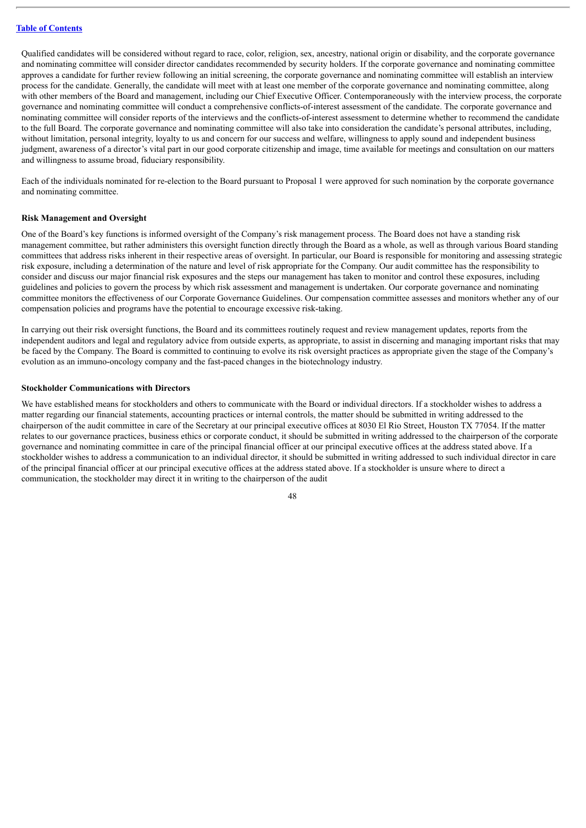Qualified candidates will be considered without regard to race, color, religion, sex, ancestry, national origin or disability, and the corporate governance and nominating committee will consider director candidates recommended by security holders. If the corporate governance and nominating committee approves a candidate for further review following an initial screening, the corporate governance and nominating committee will establish an interview process for the candidate. Generally, the candidate will meet with at least one member of the corporate governance and nominating committee, along with other members of the Board and management, including our Chief Executive Officer. Contemporaneously with the interview process, the corporate governance and nominating committee will conduct a comprehensive conflicts-of-interest assessment of the candidate. The corporate governance and nominating committee will consider reports of the interviews and the conflicts-of-interest assessment to determine whether to recommend the candidate to the full Board. The corporate governance and nominating committee will also take into consideration the candidate's personal attributes, including, without limitation, personal integrity, loyalty to us and concern for our success and welfare, willingness to apply sound and independent business judgment, awareness of a director's vital part in our good corporate citizenship and image, time available for meetings and consultation on our matters and willingness to assume broad, fiduciary responsibility.

Each of the individuals nominated for re-election to the Board pursuant to Proposal 1 were approved for such nomination by the corporate governance and nominating committee.

#### **Risk Management and Oversight**

One of the Board's key functions is informed oversight of the Company's risk management process. The Board does not have a standing risk management committee, but rather administers this oversight function directly through the Board as a whole, as well as through various Board standing committees that address risks inherent in their respective areas of oversight. In particular, our Board is responsible for monitoring and assessing strategic risk exposure, including a determination of the nature and level of risk appropriate for the Company. Our audit committee has the responsibility to consider and discuss our major financial risk exposures and the steps our management has taken to monitor and control these exposures, including guidelines and policies to govern the process by which risk assessment and management is undertaken. Our corporate governance and nominating committee monitors the effectiveness of our Corporate Governance Guidelines. Our compensation committee assesses and monitors whether any of our compensation policies and programs have the potential to encourage excessive risk-taking.

In carrying out their risk oversight functions, the Board and its committees routinely request and review management updates, reports from the independent auditors and legal and regulatory advice from outside experts, as appropriate, to assist in discerning and managing important risks that may be faced by the Company. The Board is committed to continuing to evolve its risk oversight practices as appropriate given the stage of the Company's evolution as an immuno-oncology company and the fast-paced changes in the biotechnology industry.

### **Stockholder Communications with Directors**

We have established means for stockholders and others to communicate with the Board or individual directors. If a stockholder wishes to address a matter regarding our financial statements, accounting practices or internal controls, the matter should be submitted in writing addressed to the chairperson of the audit committee in care of the Secretary at our principal executive offices at 8030 El Rio Street, Houston TX 77054. If the matter relates to our governance practices, business ethics or corporate conduct, it should be submitted in writing addressed to the chairperson of the corporate governance and nominating committee in care of the principal financial officer at our principal executive offices at the address stated above. If a stockholder wishes to address a communication to an individual director, it should be submitted in writing addressed to such individual director in care of the principal financial officer at our principal executive offices at the address stated above. If a stockholder is unsure where to direct a communication, the stockholder may direct it in writing to the chairperson of the audit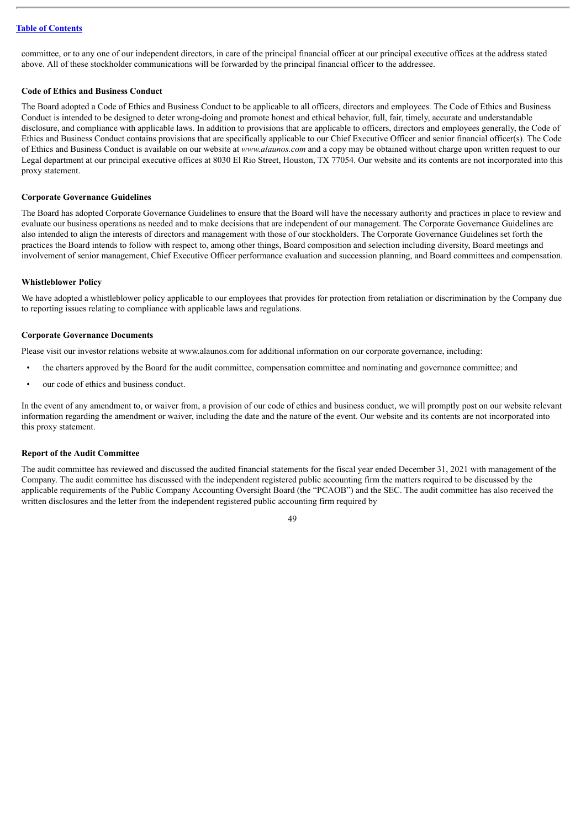committee, or to any one of our independent directors, in care of the principal financial officer at our principal executive offices at the address stated above. All of these stockholder communications will be forwarded by the principal financial officer to the addressee.

### **Code of Ethics and Business Conduct**

The Board adopted a Code of Ethics and Business Conduct to be applicable to all officers, directors and employees. The Code of Ethics and Business Conduct is intended to be designed to deter wrong-doing and promote honest and ethical behavior, full, fair, timely, accurate and understandable disclosure, and compliance with applicable laws. In addition to provisions that are applicable to officers, directors and employees generally, the Code of Ethics and Business Conduct contains provisions that are specifically applicable to our Chief Executive Officer and senior financial officer(s). The Code of Ethics and Business Conduct is available on our website at *www.alaunos.com* and a copy may be obtained without charge upon written request to our Legal department at our principal executive offices at 8030 El Rio Street, Houston, TX 77054. Our website and its contents are not incorporated into this proxy statement.

# **Corporate Governance Guidelines**

The Board has adopted Corporate Governance Guidelines to ensure that the Board will have the necessary authority and practices in place to review and evaluate our business operations as needed and to make decisions that are independent of our management. The Corporate Governance Guidelines are also intended to align the interests of directors and management with those of our stockholders. The Corporate Governance Guidelines set forth the practices the Board intends to follow with respect to, among other things, Board composition and selection including diversity, Board meetings and involvement of senior management, Chief Executive Officer performance evaluation and succession planning, and Board committees and compensation.

#### **Whistleblower Policy**

We have adopted a whistleblower policy applicable to our employees that provides for protection from retaliation or discrimination by the Company due to reporting issues relating to compliance with applicable laws and regulations.

#### **Corporate Governance Documents**

Please visit our investor relations website at www.alaunos.com for additional information on our corporate governance, including:

- the charters approved by the Board for the audit committee, compensation committee and nominating and governance committee; and
- our code of ethics and business conduct.

In the event of any amendment to, or waiver from, a provision of our code of ethics and business conduct, we will promptly post on our website relevant information regarding the amendment or waiver, including the date and the nature of the event. Our website and its contents are not incorporated into this proxy statement.

#### **Report of the Audit Committee**

The audit committee has reviewed and discussed the audited financial statements for the fiscal year ended December 31, 2021 with management of the Company. The audit committee has discussed with the independent registered public accounting firm the matters required to be discussed by the applicable requirements of the Public Company Accounting Oversight Board (the "PCAOB") and the SEC. The audit committee has also received the written disclosures and the letter from the independent registered public accounting firm required by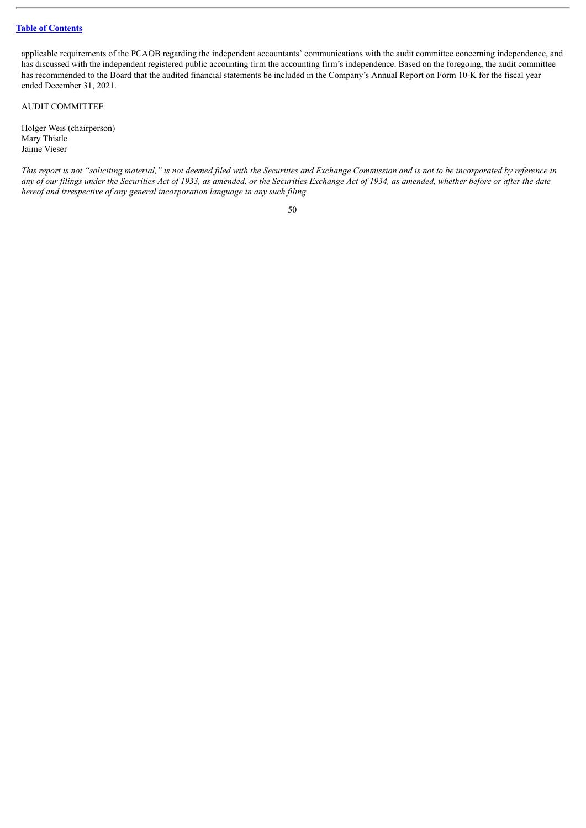applicable requirements of the PCAOB regarding the independent accountants' communications with the audit committee concerning independence, and has discussed with the independent registered public accounting firm the accounting firm's independence. Based on the foregoing, the audit committee has recommended to the Board that the audited financial statements be included in the Company's Annual Report on Form 10-K for the fiscal year ended December 31, 2021.

AUDIT COMMITTEE

Holger Weis (chairperson) Mary Thistle Jaime Vieser

This report is not "soliciting material," is not deemed filed with the Securities and Exchange Commission and is not to be incorporated by reference in any of our filings under the Securities Act of 1933, as amended, or the Securities Exchange Act of 1934, as amended, whether before or after the date *hereof and irrespective of any general incorporation language in any such filing.*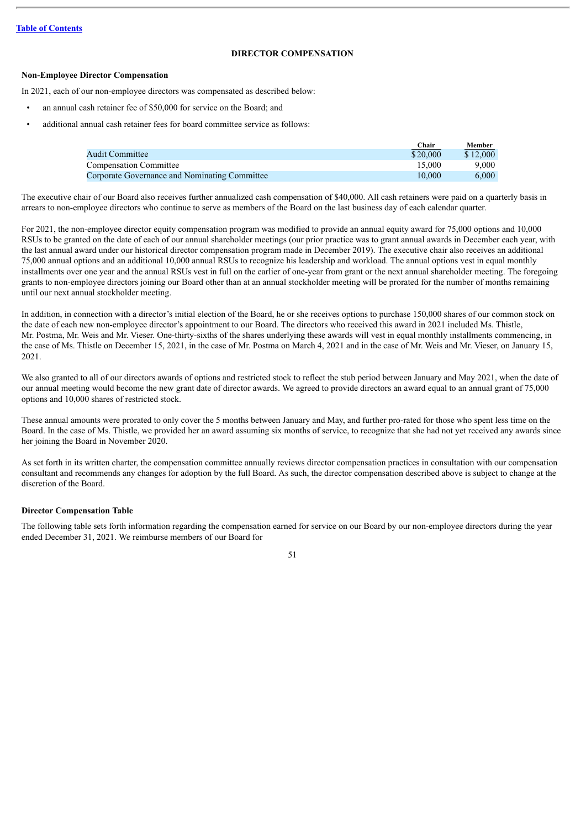## **DIRECTOR COMPENSATION**

### **Non-Employee Director Compensation**

In 2021, each of our non-employee directors was compensated as described below:

- an annual cash retainer fee of \$50,000 for service on the Board; and
- additional annual cash retainer fees for board committee service as follows:

|                                               | Chair    | Member   |
|-----------------------------------------------|----------|----------|
| <b>Audit Committee</b>                        | \$20.000 | \$12,000 |
| <b>Compensation Committee</b>                 | 15.000   | 9.000    |
| Corporate Governance and Nominating Committee | 10.000   | 6.000    |

The executive chair of our Board also receives further annualized cash compensation of \$40,000. All cash retainers were paid on a quarterly basis in arrears to non-employee directors who continue to serve as members of the Board on the last business day of each calendar quarter.

For 2021, the non-employee director equity compensation program was modified to provide an annual equity award for 75,000 options and 10,000 RSUs to be granted on the date of each of our annual shareholder meetings (our prior practice was to grant annual awards in December each year, with the last annual award under our historical director compensation program made in December 2019). The executive chair also receives an additional 75,000 annual options and an additional 10,000 annual RSUs to recognize his leadership and workload. The annual options vest in equal monthly installments over one year and the annual RSUs vest in full on the earlier of one-year from grant or the next annual shareholder meeting. The foregoing grants to non-employee directors joining our Board other than at an annual stockholder meeting will be prorated for the number of months remaining until our next annual stockholder meeting.

In addition, in connection with a director's initial election of the Board, he or she receives options to purchase 150,000 shares of our common stock on the date of each new non-employee director's appointment to our Board. The directors who received this award in 2021 included Ms. Thistle, Mr. Postma, Mr. Weis and Mr. Vieser. One-thirty-sixths of the shares underlying these awards will vest in equal monthly installments commencing, in the case of Ms. Thistle on December 15, 2021, in the case of Mr. Postma on March 4, 2021 and in the case of Mr. Weis and Mr. Vieser, on January 15, 2021.

We also granted to all of our directors awards of options and restricted stock to reflect the stub period between January and May 2021, when the date of our annual meeting would become the new grant date of director awards. We agreed to provide directors an award equal to an annual grant of 75,000 options and 10,000 shares of restricted stock.

These annual amounts were prorated to only cover the 5 months between January and May, and further pro-rated for those who spent less time on the Board. In the case of Ms. Thistle, we provided her an award assuming six months of service, to recognize that she had not vet received any awards since her joining the Board in November 2020.

As set forth in its written charter, the compensation committee annually reviews director compensation practices in consultation with our compensation consultant and recommends any changes for adoption by the full Board. As such, the director compensation described above is subject to change at the discretion of the Board.

### **Director Compensation Table**

The following table sets forth information regarding the compensation earned for service on our Board by our non-employee directors during the year ended December 31, 2021. We reimburse members of our Board for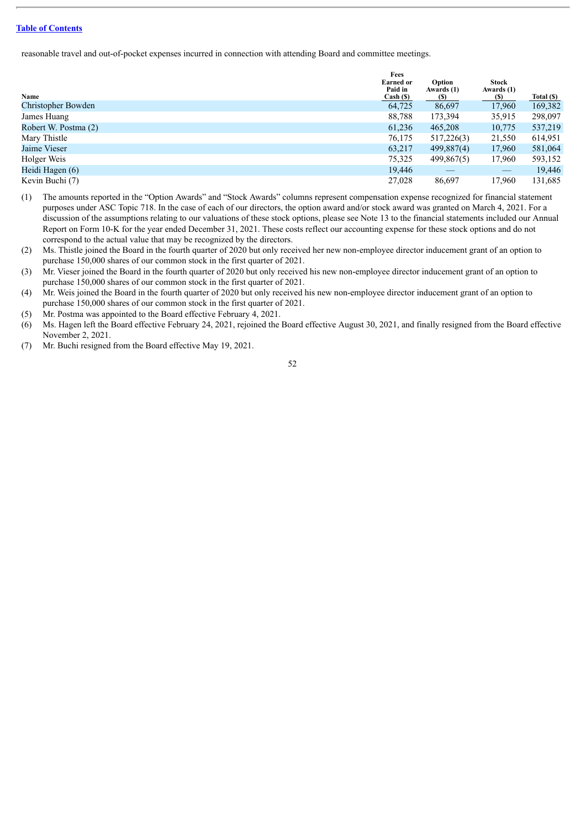reasonable travel and out-of-pocket expenses incurred in connection with attending Board and committee meetings.

|                      | Fees<br><b>Earned or</b><br>Paid in | Option<br>Awards (1) | <b>Stock</b><br>Awards (1) |            |
|----------------------|-------------------------------------|----------------------|----------------------------|------------|
| Name                 | Cash (S)                            | (S)                  | (S)                        | Total (\$) |
| Christopher Bowden   | 64,725                              | 86,697               | 17.960                     | 169,382    |
| James Huang          | 88,788                              | 173,394              | 35,915                     | 298,097    |
| Robert W. Postma (2) | 61.236                              | 465,208              | 10,775                     | 537,219    |
| Mary Thistle         | 76,175                              | 517,226(3)           | 21,550                     | 614,951    |
| Jaime Vieser         | 63,217                              | 499,887(4)           | 17,960                     | 581,064    |
| Holger Weis          | 75,325                              | 499,867(5)           | 17,960                     | 593,152    |
| Heidi Hagen (6)      | 19,446                              |                      |                            | 19,446     |
| Kevin Buchi (7)      | 27,028                              | 86,697               | 17,960                     | 131,685    |

- (1) The amounts reported in the "Option Awards" and "Stock Awards" columns represent compensation expense recognized for financial statement purposes under ASC Topic 718. In the case of each of our directors, the option award and/or stock award was granted on March 4, 2021. For a discussion of the assumptions relating to our valuations of these stock options, please see Note 13 to the financial statements included our Annual Report on Form 10-K for the year ended December 31, 2021. These costs reflect our accounting expense for these stock options and do not correspond to the actual value that may be recognized by the directors.
- (2) Ms. Thistle joined the Board in the fourth quarter of 2020 but only received her new non-employee director inducement grant of an option to purchase 150,000 shares of our common stock in the first quarter of 2021.
- (3) Mr. Vieser joined the Board in the fourth quarter of 2020 but only received his new non-employee director inducement grant of an option to purchase 150,000 shares of our common stock in the first quarter of 2021.
- (4) Mr. Weis joined the Board in the fourth quarter of 2020 but only received his new non-employee director inducement grant of an option to purchase 150,000 shares of our common stock in the first quarter of 2021.
- (5) Mr. Postma was appointed to the Board effective February 4, 2021.
- (6) Ms. Hagen left the Board effective February 24, 2021, rejoined the Board effective August 30, 2021, and finally resigned from the Board effective November 2, 2021.
- (7) Mr. Buchi resigned from the Board effective May 19, 2021.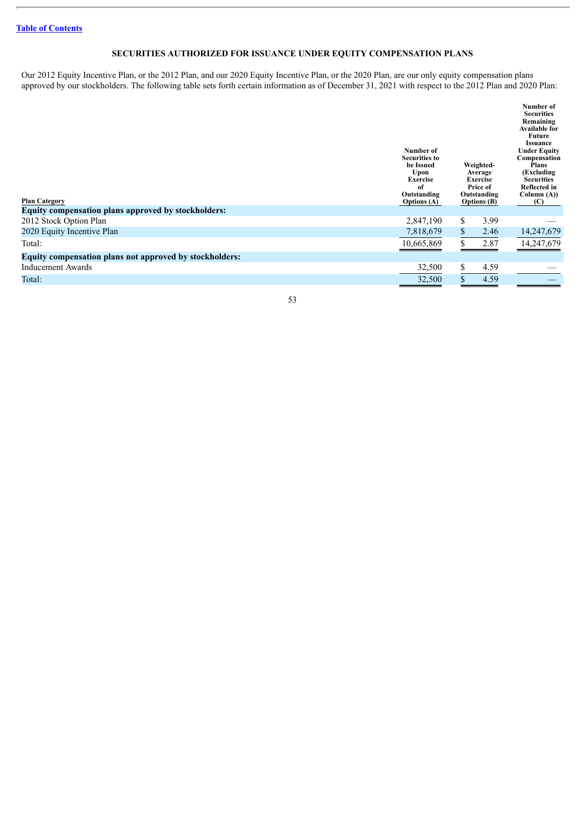# **SECURITIES AUTHORIZED FOR ISSUANCE UNDER EQUITY COMPENSATION PLANS**

Our 2012 Equity Incentive Plan, or the 2012 Plan, and our 2020 Equity Incentive Plan, or the 2020 Plan, are our only equity compensation plans approved by our stockholders. The following table sets forth certain information as of December 31, 2021 with respect to the 2012 Plan and 2020 Plan:

| <b>Plan Category</b>                                    | Number of<br><b>Securities to</b><br>be Issued<br>Upon<br><b>Exercise</b><br>of<br>Outstanding<br><b>Options</b> (A) |              | Weighted-<br>Average<br><b>Exercise</b><br>Price of<br>Outstanding<br><b>Options</b> (B) | Number of<br><b>Securities</b><br>Remaining<br><b>Available for</b><br>Future<br><b>Issuance</b><br><b>Under Equity</b><br>Compensation<br><b>Plans</b><br>(Excluding)<br><b>Securities</b><br><b>Reflected in</b><br>Column $(A)$ )<br>(C) |
|---------------------------------------------------------|----------------------------------------------------------------------------------------------------------------------|--------------|------------------------------------------------------------------------------------------|---------------------------------------------------------------------------------------------------------------------------------------------------------------------------------------------------------------------------------------------|
| Equity compensation plans approved by stockholders:     |                                                                                                                      |              |                                                                                          |                                                                                                                                                                                                                                             |
| 2012 Stock Option Plan                                  | 2,847,190                                                                                                            | \$           | 3.99                                                                                     |                                                                                                                                                                                                                                             |
| 2020 Equity Incentive Plan                              | 7,818,679                                                                                                            | $\mathbf{s}$ | 2.46                                                                                     | 14,247,679                                                                                                                                                                                                                                  |
| Total:                                                  | 10,665,869                                                                                                           |              | 2.87                                                                                     | 14,247,679                                                                                                                                                                                                                                  |
| Equity compensation plans not approved by stockholders: |                                                                                                                      |              |                                                                                          |                                                                                                                                                                                                                                             |
| Inducement Awards                                       | 32,500                                                                                                               | S            | 4.59                                                                                     |                                                                                                                                                                                                                                             |
| Total:                                                  | 32,500                                                                                                               |              | 4.59                                                                                     |                                                                                                                                                                                                                                             |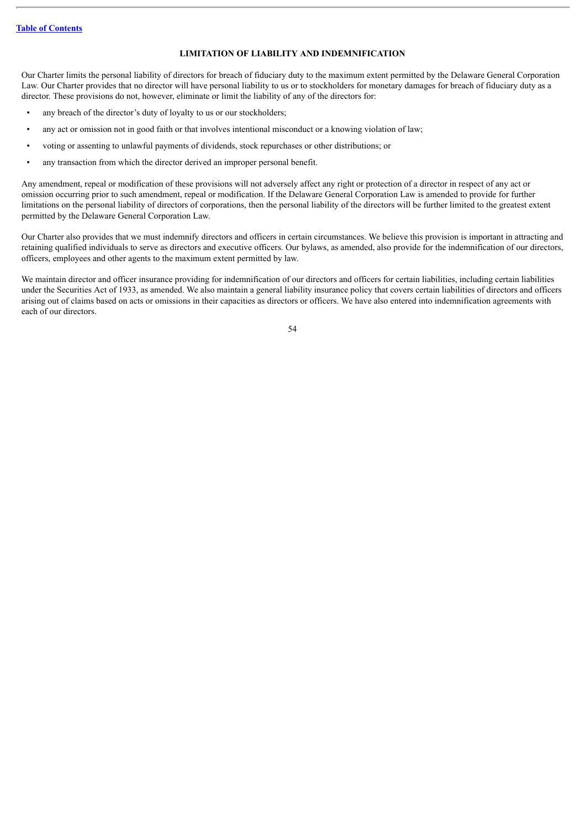### **LIMITATION OF LIABILITY AND INDEMNIFICATION**

Our Charter limits the personal liability of directors for breach of fiduciary duty to the maximum extent permitted by the Delaware General Corporation Law. Our Charter provides that no director will have personal liability to us or to stockholders for monetary damages for breach of fiduciary duty as a director. These provisions do not, however, eliminate or limit the liability of any of the directors for:

- any breach of the director's duty of loyalty to us or our stockholders;
- any act or omission not in good faith or that involves intentional misconduct or a knowing violation of law;
- voting or assenting to unlawful payments of dividends, stock repurchases or other distributions; or
- any transaction from which the director derived an improper personal benefit.

Any amendment, repeal or modification of these provisions will not adversely affect any right or protection of a director in respect of any act or omission occurring prior to such amendment, repeal or modification. If the Delaware General Corporation Law is amended to provide for further limitations on the personal liability of directors of corporations, then the personal liability of the directors will be further limited to the greatest extent permitted by the Delaware General Corporation Law.

Our Charter also provides that we must indemnify directors and officers in certain circumstances. We believe this provision is important in attracting and retaining qualified individuals to serve as directors and executive officers. Our bylaws, as amended, also provide for the indemnification of our directors, officers, employees and other agents to the maximum extent permitted by law.

We maintain director and officer insurance providing for indemnification of our directors and officers for certain liabilities, including certain liabilities under the Securities Act of 1933, as amended. We also maintain a general liability insurance policy that covers certain liabilities of directors and officers arising out of claims based on acts or omissions in their capacities as directors or officers. We have also entered into indemnification agreements with each of our directors.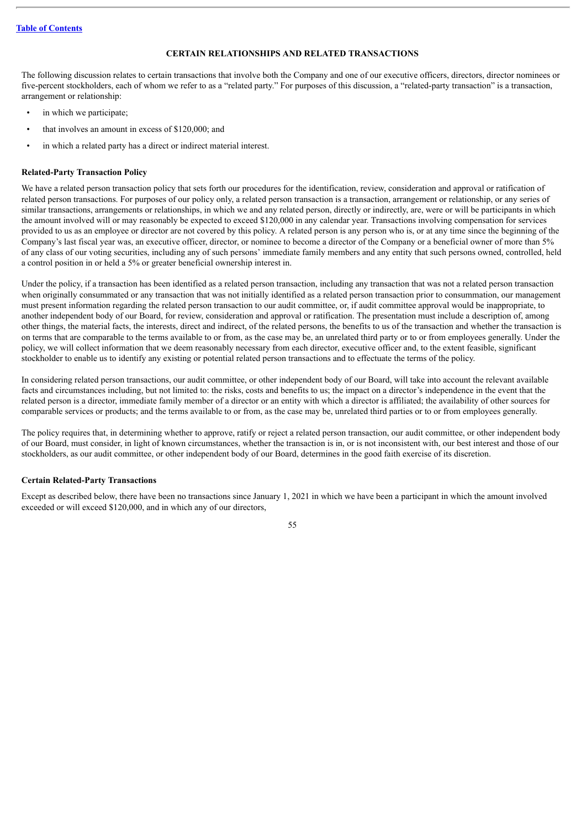# **CERTAIN RELATIONSHIPS AND RELATED TRANSACTIONS**

The following discussion relates to certain transactions that involve both the Company and one of our executive officers, directors, director nominees or five-percent stockholders, each of whom we refer to as a "related party." For purposes of this discussion, a "related-party transaction" is a transaction, arrangement or relationship:

- in which we participate;
- that involves an amount in excess of \$120,000; and
- in which a related party has a direct or indirect material interest.

### **Related-Party Transaction Policy**

We have a related person transaction policy that sets forth our procedures for the identification, review, consideration and approval or ratification of related person transactions. For purposes of our policy only, a related person transaction is a transaction, arrangement or relationship, or any series of similar transactions, arrangements or relationships, in which we and any related person, directly or indirectly, are, were or will be participants in which the amount involved will or may reasonably be expected to exceed \$120,000 in any calendar year. Transactions involving compensation for services provided to us as an employee or director are not covered by this policy. A related person is any person who is, or at any time since the beginning of the Company's last fiscal year was, an executive officer, director, or nominee to become a director of the Company or a beneficial owner of more than 5% of any class of our voting securities, including any of such persons' immediate family members and any entity that such persons owned, controlled, held a control position in or held a 5% or greater beneficial ownership interest in.

Under the policy, if a transaction has been identified as a related person transaction, including any transaction that was not a related person transaction when originally consummated or any transaction that was not initially identified as a related person transaction prior to consummation, our management must present information regarding the related person transaction to our audit committee, or, if audit committee approval would be inappropriate, to another independent body of our Board, for review, consideration and approval or ratification. The presentation must include a description of, among other things, the material facts, the interests, direct and indirect, of the related persons, the benefits to us of the transaction and whether the transaction is on terms that are comparable to the terms available to or from, as the case may be, an unrelated third party or to or from employees generally. Under the policy, we will collect information that we deem reasonably necessary from each director, executive officer and, to the extent feasible, significant stockholder to enable us to identify any existing or potential related person transactions and to effectuate the terms of the policy.

In considering related person transactions, our audit committee, or other independent body of our Board, will take into account the relevant available facts and circumstances including, but not limited to: the risks, costs and benefits to us; the impact on a director's independence in the event that the related person is a director, immediate family member of a director or an entity with which a director is affiliated; the availability of other sources for comparable services or products; and the terms available to or from, as the case may be, unrelated third parties or to or from employees generally.

The policy requires that, in determining whether to approve, ratify or reject a related person transaction, our audit committee, or other independent body of our Board, must consider, in light of known circumstances, whether the transaction is in, or is not inconsistent with, our best interest and those of our stockholders, as our audit committee, or other independent body of our Board, determines in the good faith exercise of its discretion.

### **Certain Related-Party Transactions**

Except as described below, there have been no transactions since January 1, 2021 in which we have been a participant in which the amount involved exceeded or will exceed \$120,000, and in which any of our directors,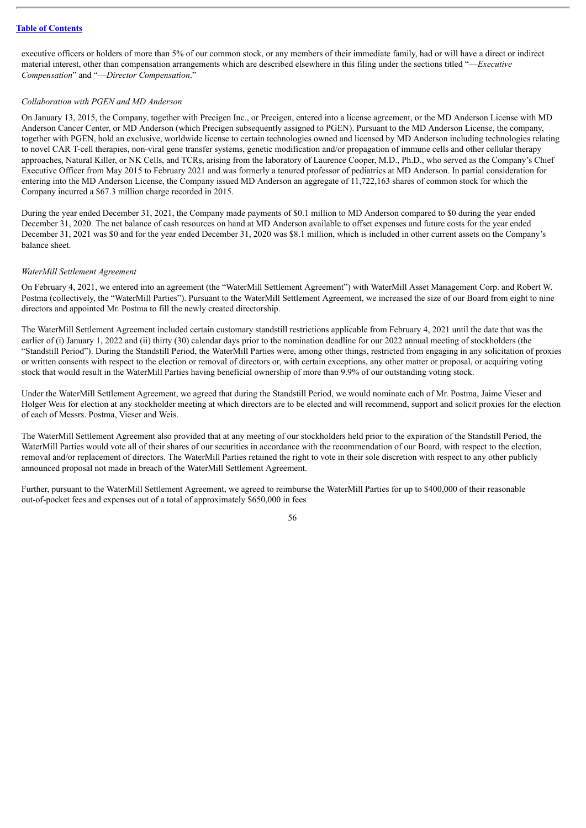executive officers or holders of more than 5% of our common stock, or any members of their immediate family, had or will have a direct or indirect material interest, other than compensation arrangements which are described elsewhere in this filing under the sections titled "—*Executive Compensation*" and "—*Director Compensation*."

#### *Collaboration with PGEN and MD Anderson*

On January 13, 2015, the Company, together with Precigen Inc., or Precigen, entered into a license agreement, or the MD Anderson License with MD Anderson Cancer Center, or MD Anderson (which Precigen subsequently assigned to PGEN). Pursuant to the MD Anderson License, the company, together with PGEN, hold an exclusive, worldwide license to certain technologies owned and licensed by MD Anderson including technologies relating to novel CAR T-cell therapies, non-viral gene transfer systems, genetic modification and/or propagation of immune cells and other cellular therapy approaches, Natural Killer, or NK Cells, and TCRs, arising from the laboratory of Laurence Cooper, M.D., Ph.D., who served as the Company's Chief Executive Officer from May 2015 to February 2021 and was formerly a tenured professor of pediatrics at MD Anderson. In partial consideration for entering into the MD Anderson License, the Company issued MD Anderson an aggregate of 11,722,163 shares of common stock for which the Company incurred a \$67.3 million charge recorded in 2015.

During the year ended December 31, 2021, the Company made payments of \$0.1 million to MD Anderson compared to \$0 during the year ended December 31, 2020. The net balance of cash resources on hand at MD Anderson available to offset expenses and future costs for the year ended December 31, 2021 was \$0 and for the year ended December 31, 2020 was \$8.1 million, which is included in other current assets on the Company's balance sheet.

### *WaterMill Settlement Agreement*

On February 4, 2021, we entered into an agreement (the "WaterMill Settlement Agreement") with WaterMill Asset Management Corp. and Robert W. Postma (collectively, the "WaterMill Parties"). Pursuant to the WaterMill Settlement Agreement, we increased the size of our Board from eight to nine directors and appointed Mr. Postma to fill the newly created directorship.

The WaterMill Settlement Agreement included certain customary standstill restrictions applicable from February 4, 2021 until the date that was the earlier of (i) January 1, 2022 and (ii) thirty (30) calendar days prior to the nomination deadline for our 2022 annual meeting of stockholders (the "Standstill Period"). During the Standstill Period, the WaterMill Parties were, among other things, restricted from engaging in any solicitation of proxies or written consents with respect to the election or removal of directors or, with certain exceptions, any other matter or proposal, or acquiring voting stock that would result in the WaterMill Parties having beneficial ownership of more than 9.9% of our outstanding voting stock.

Under the WaterMill Settlement Agreement, we agreed that during the Standstill Period, we would nominate each of Mr. Postma, Jaime Vieser and Holger Weis for election at any stockholder meeting at which directors are to be elected and will recommend, support and solicit proxies for the election of each of Messrs. Postma, Vieser and Weis.

The WaterMill Settlement Agreement also provided that at any meeting of our stockholders held prior to the expiration of the Standstill Period, the WaterMill Parties would vote all of their shares of our securities in accordance with the recommendation of our Board, with respect to the election, removal and/or replacement of directors. The WaterMill Parties retained the right to vote in their sole discretion with respect to any other publicly announced proposal not made in breach of the WaterMill Settlement Agreement.

Further, pursuant to the WaterMill Settlement Agreement, we agreed to reimburse the WaterMill Parties for up to \$400,000 of their reasonable out-of-pocket fees and expenses out of a total of approximately \$650,000 in fees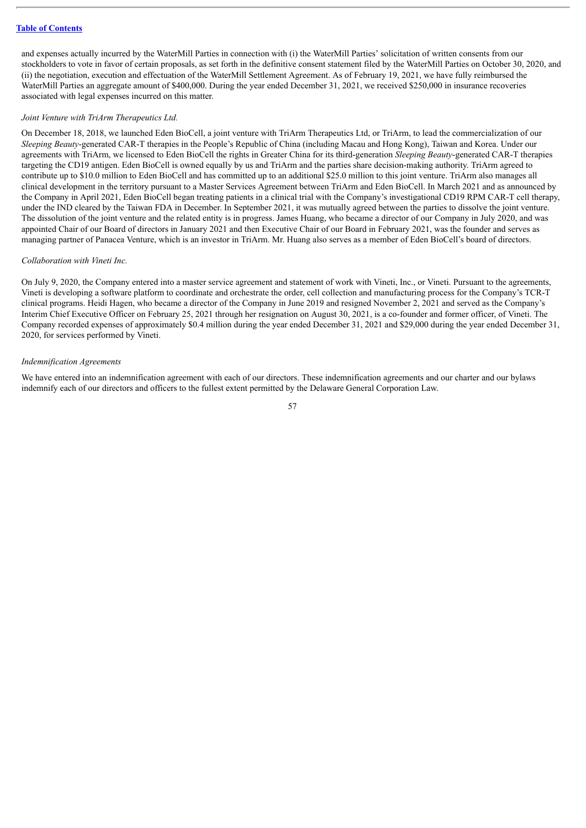and expenses actually incurred by the WaterMill Parties in connection with (i) the WaterMill Parties' solicitation of written consents from our stockholders to vote in favor of certain proposals, as set forth in the definitive consent statement filed by the WaterMill Parties on October 30, 2020, and (ii) the negotiation, execution and effectuation of the WaterMill Settlement Agreement. As of February 19, 2021, we have fully reimbursed the WaterMill Parties an aggregate amount of \$400,000. During the year ended December 31, 2021, we received \$250,000 in insurance recoveries associated with legal expenses incurred on this matter.

#### *Joint Venture with TriArm Therapeutics Ltd.*

On December 18, 2018, we launched Eden BioCell, a joint venture with TriArm Therapeutics Ltd, or TriArm, to lead the commercialization of our *Sleeping Beauty*-generated CAR-T therapies in the People's Republic of China (including Macau and Hong Kong), Taiwan and Korea. Under our agreements with TriArm, we licensed to Eden BioCell the rights in Greater China for its third-generation *Sleeping Beauty*-generated CAR-T therapies targeting the CD19 antigen. Eden BioCell is owned equally by us and TriArm and the parties share decision-making authority. TriArm agreed to contribute up to \$10.0 million to Eden BioCell and has committed up to an additional \$25.0 million to this joint venture. TriArm also manages all clinical development in the territory pursuant to a Master Services Agreement between TriArm and Eden BioCell. In March 2021 and as announced by the Company in April 2021, Eden BioCell began treating patients in a clinical trial with the Company's investigational CD19 RPM CAR-T cell therapy, under the IND cleared by the Taiwan FDA in December. In September 2021, it was mutually agreed between the parties to dissolve the joint venture. The dissolution of the joint venture and the related entity is in progress. James Huang, who became a director of our Company in July 2020, and was appointed Chair of our Board of directors in January 2021 and then Executive Chair of our Board in February 2021, was the founder and serves as managing partner of Panacea Venture, which is an investor in TriArm. Mr. Huang also serves as a member of Eden BioCell's board of directors.

#### *Collaboration with Vineti Inc.*

On July 9, 2020, the Company entered into a master service agreement and statement of work with Vineti, Inc., or Vineti. Pursuant to the agreements, Vineti is developing a software platform to coordinate and orchestrate the order, cell collection and manufacturing process for the Company's TCR-T clinical programs. Heidi Hagen, who became a director of the Company in June 2019 and resigned November 2, 2021 and served as the Company's Interim Chief Executive Officer on February 25, 2021 through her resignation on August 30, 2021, is a co-founder and former officer, of Vineti. The Company recorded expenses of approximately \$0.4 million during the year ended December 31, 2021 and \$29,000 during the year ended December 31, 2020, for services performed by Vineti.

#### *Indemnification Agreements*

We have entered into an indemnification agreement with each of our directors. These indemnification agreements and our charter and our bylaws indemnify each of our directors and officers to the fullest extent permitted by the Delaware General Corporation Law.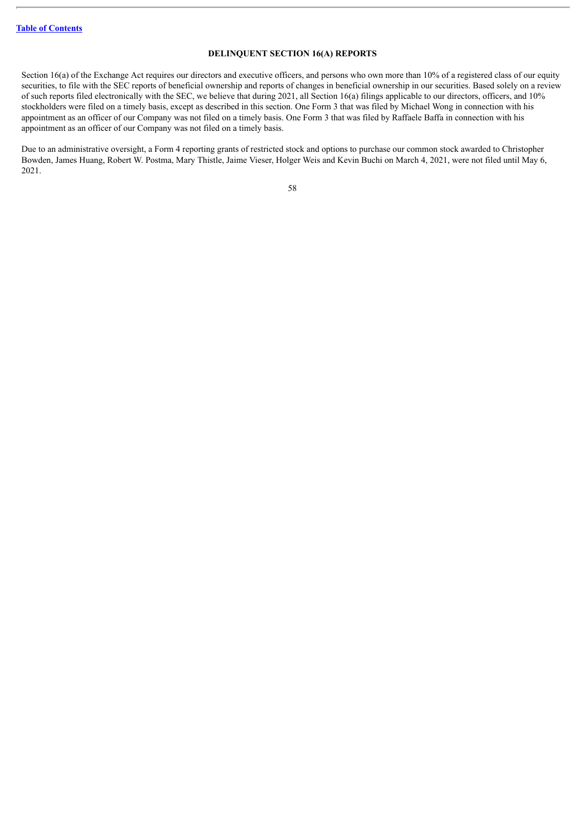### **DELINQUENT SECTION 16(A) REPORTS**

Section 16(a) of the Exchange Act requires our directors and executive officers, and persons who own more than 10% of a registered class of our equity securities, to file with the SEC reports of beneficial ownership and reports of changes in beneficial ownership in our securities. Based solely on a review of such reports filed electronically with the SEC, we believe that during 2021, all Section 16(a) filings applicable to our directors, officers, and 10% stockholders were filed on a timely basis, except as described in this section. One Form 3 that was filed by Michael Wong in connection with his appointment as an officer of our Company was not filed on a timely basis. One Form 3 that was filed by Raffaele Baffa in connection with his appointment as an officer of our Company was not filed on a timely basis.

Due to an administrative oversight, a Form 4 reporting grants of restricted stock and options to purchase our common stock awarded to Christopher Bowden, James Huang, Robert W. Postma, Mary Thistle, Jaime Vieser, Holger Weis and Kevin Buchi on March 4, 2021, were not filed until May 6, 2021.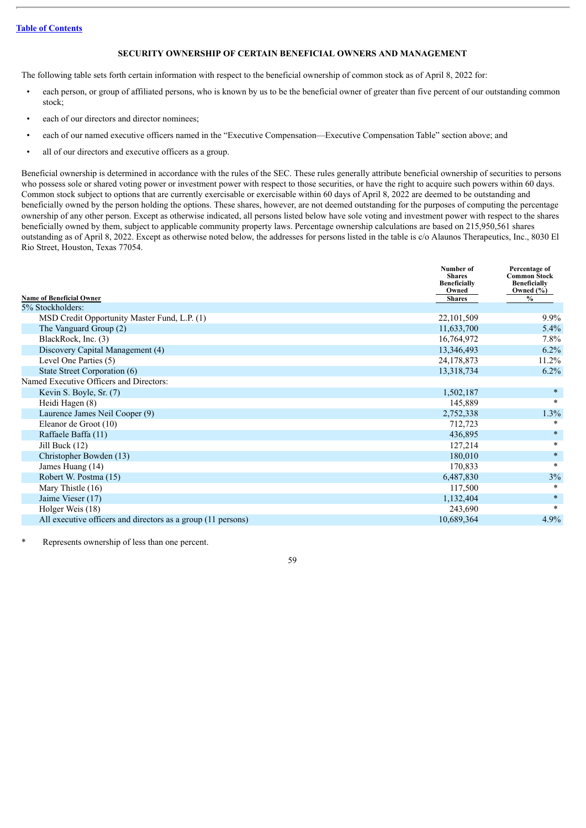# **SECURITY OWNERSHIP OF CERTAIN BENEFICIAL OWNERS AND MANAGEMENT**

The following table sets forth certain information with respect to the beneficial ownership of common stock as of April 8, 2022 for:

- each person, or group of affiliated persons, who is known by us to be the beneficial owner of greater than five percent of our outstanding common stock;
- each of our directors and director nominees;
- each of our named executive officers named in the "Executive Compensation—Executive Compensation Table" section above; and
- all of our directors and executive officers as a group.

Beneficial ownership is determined in accordance with the rules of the SEC. These rules generally attribute beneficial ownership of securities to persons who possess sole or shared voting power or investment power with respect to those securities, or have the right to acquire such powers within 60 days. Common stock subject to options that are currently exercisable or exercisable within 60 days of April 8, 2022 are deemed to be outstanding and beneficially owned by the person holding the options. These shares, however, are not deemed outstanding for the purposes of computing the percentage ownership of any other person. Except as otherwise indicated, all persons listed below have sole voting and investment power with respect to the shares beneficially owned by them, subject to applicable community property laws. Percentage ownership calculations are based on 215,950,561 shares outstanding as of April 8, 2022. Except as otherwise noted below, the addresses for persons listed in the table is c/o Alaunos Therapeutics, Inc., 8030 El Rio Street, Houston, Texas 77054.

|                                                              | Number of<br><b>Shares</b><br><b>Beneficially</b><br>Owned | Percentage of<br><b>Common Stock</b><br><b>Beneficially</b><br>Owned $(\% )$ |
|--------------------------------------------------------------|------------------------------------------------------------|------------------------------------------------------------------------------|
| <b>Name of Beneficial Owner</b>                              | <b>Shares</b>                                              | $\frac{0}{0}$                                                                |
| 5% Stockholders:                                             |                                                            |                                                                              |
| MSD Credit Opportunity Master Fund, L.P. (1)                 | 22,101,509                                                 | $9.9\%$                                                                      |
| The Vanguard Group (2)                                       | 11,633,700                                                 | $5.4\%$                                                                      |
| BlackRock, Inc. (3)                                          | 16,764,972                                                 | $7.8\%$                                                                      |
| Discovery Capital Management (4)                             | 13,346,493                                                 | $6.2\%$                                                                      |
| Level One Parties (5)                                        | 24,178,873                                                 | $11.2\%$                                                                     |
| State Street Corporation (6)                                 | 13,318,734                                                 | $6.2\%$                                                                      |
| Named Executive Officers and Directors:                      |                                                            |                                                                              |
| Kevin S. Boyle, Sr. (7)                                      | 1,502,187                                                  | $*$                                                                          |
| Heidi Hagen (8)                                              | 145,889                                                    | *                                                                            |
| Laurence James Neil Cooper (9)                               | 2,752,338                                                  | 1.3%                                                                         |
| Eleanor de Groot (10)                                        | 712,723                                                    | ∗                                                                            |
| Raffaele Baffa (11)                                          | 436,895                                                    | $\ast$                                                                       |
| Jill Buck $(12)$                                             | 127,214                                                    | $\ast$                                                                       |
| Christopher Bowden (13)                                      | 180,010                                                    | $*$                                                                          |
| James Huang (14)                                             | 170,833                                                    | $\ast$                                                                       |
| Robert W. Postma (15)                                        | 6,487,830                                                  | 3%                                                                           |
| Mary Thistle (16)                                            | 117,500                                                    | $\ast$                                                                       |
| Jaime Vieser (17)                                            | 1,132,404                                                  | $\ast$                                                                       |
| Holger Weis (18)                                             | 243,690                                                    | $\ast$                                                                       |
| All executive officers and directors as a group (11 persons) | 10,689,364                                                 | 4.9%                                                                         |

Represents ownership of less than one percent.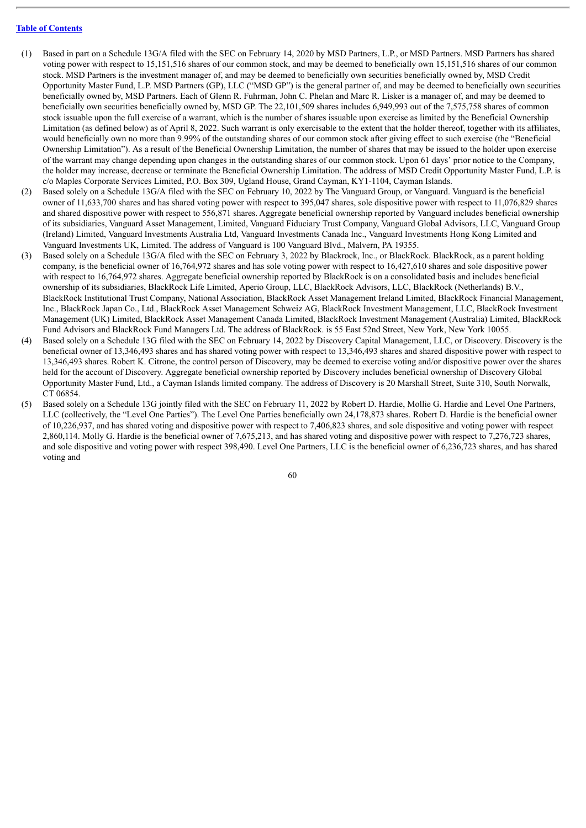- (1) Based in part on a Schedule 13G/A filed with the SEC on February 14, 2020 by MSD Partners, L.P., or MSD Partners. MSD Partners has shared voting power with respect to 15,151,516 shares of our common stock, and may be deemed to beneficially own 15,151,516 shares of our common stock. MSD Partners is the investment manager of, and may be deemed to beneficially own securities beneficially owned by, MSD Credit Opportunity Master Fund, L.P. MSD Partners (GP), LLC ("MSD GP") is the general partner of, and may be deemed to beneficially own securities beneficially owned by, MSD Partners. Each of Glenn R. Fuhrman, John C. Phelan and Marc R. Lisker is a manager of, and may be deemed to beneficially own securities beneficially owned by, MSD GP. The 22,101,509 shares includes 6,949,993 out of the 7,575,758 shares of common stock issuable upon the full exercise of a warrant, which is the number of shares issuable upon exercise as limited by the Beneficial Ownership Limitation (as defined below) as of April 8, 2022. Such warrant is only exercisable to the extent that the holder thereof, together with its affiliates, would beneficially own no more than 9.99% of the outstanding shares of our common stock after giving effect to such exercise (the "Beneficial Ownership Limitation"). As a result of the Beneficial Ownership Limitation, the number of shares that may be issued to the holder upon exercise of the warrant may change depending upon changes in the outstanding shares of our common stock. Upon 61 days' prior notice to the Company, the holder may increase, decrease or terminate the Beneficial Ownership Limitation. The address of MSD Credit Opportunity Master Fund, L.P. is c/o Maples Corporate Services Limited, P.O. Box 309, Ugland House, Grand Cayman, KY1-1104, Cayman Islands.
- (2) Based solely on a Schedule 13G/A filed with the SEC on February 10, 2022 by The Vanguard Group, or Vanguard. Vanguard is the beneficial owner of 11,633,700 shares and has shared voting power with respect to 395,047 shares, sole dispositive power with respect to 11,076,829 shares and shared dispositive power with respect to 556,871 shares. Aggregate beneficial ownership reported by Vanguard includes beneficial ownership of its subsidiaries, Vanguard Asset Management, Limited, Vanguard Fiduciary Trust Company, Vanguard Global Advisors, LLC, Vanguard Group (Ireland) Limited, Vanguard Investments Australia Ltd, Vanguard Investments Canada Inc., Vanguard Investments Hong Kong Limited and Vanguard Investments UK, Limited. The address of Vanguard is 100 Vanguard Blvd., Malvern, PA 19355.
- (3) Based solely on a Schedule 13G/A filed with the SEC on February 3, 2022 by Blackrock, Inc., or BlackRock. BlackRock, as a parent holding company, is the beneficial owner of 16,764,972 shares and has sole voting power with respect to 16,427,610 shares and sole dispositive power with respect to 16,764,972 shares. Aggregate beneficial ownership reported by BlackRock is on a consolidated basis and includes beneficial ownership of its subsidiaries, BlackRock Life Limited, Aperio Group, LLC, BlackRock Advisors, LLC, BlackRock (Netherlands) B.V., BlackRock Institutional Trust Company, National Association, BlackRock Asset Management Ireland Limited, BlackRock Financial Management, Inc., BlackRock Japan Co., Ltd., BlackRock Asset Management Schweiz AG, BlackRock Investment Management, LLC, BlackRock Investment Management (UK) Limited, BlackRock Asset Management Canada Limited, BlackRock Investment Management (Australia) Limited, BlackRock Fund Advisors and BlackRock Fund Managers Ltd. The address of BlackRock. is 55 East 52nd Street, New York, New York 10055.
- (4) Based solely on a Schedule 13G filed with the SEC on February 14, 2022 by Discovery Capital Management, LLC, or Discovery. Discovery is the beneficial owner of 13,346,493 shares and has shared voting power with respect to 13,346,493 shares and shared dispositive power with respect to 13,346,493 shares. Robert K. Citrone, the control person of Discovery, may be deemed to exercise voting and/or dispositive power over the shares held for the account of Discovery. Aggregate beneficial ownership reported by Discovery includes beneficial ownership of Discovery Global Opportunity Master Fund, Ltd., a Cayman Islands limited company. The address of Discovery is 20 Marshall Street, Suite 310, South Norwalk, CT 06854.
- (5) Based solely on a Schedule 13G jointly filed with the SEC on February 11, 2022 by Robert D. Hardie, Mollie G. Hardie and Level One Partners, LLC (collectively, the "Level One Parties"). The Level One Parties beneficially own 24,178,873 shares. Robert D. Hardie is the beneficial owner of 10,226,937, and has shared voting and dispositive power with respect to 7,406,823 shares, and sole dispositive and voting power with respect 2,860,114. Molly G. Hardie is the beneficial owner of 7,675,213, and has shared voting and dispositive power with respect to 7,276,723 shares, and sole dispositive and voting power with respect 398,490. Level One Partners, LLC is the beneficial owner of 6,236,723 shares, and has shared voting and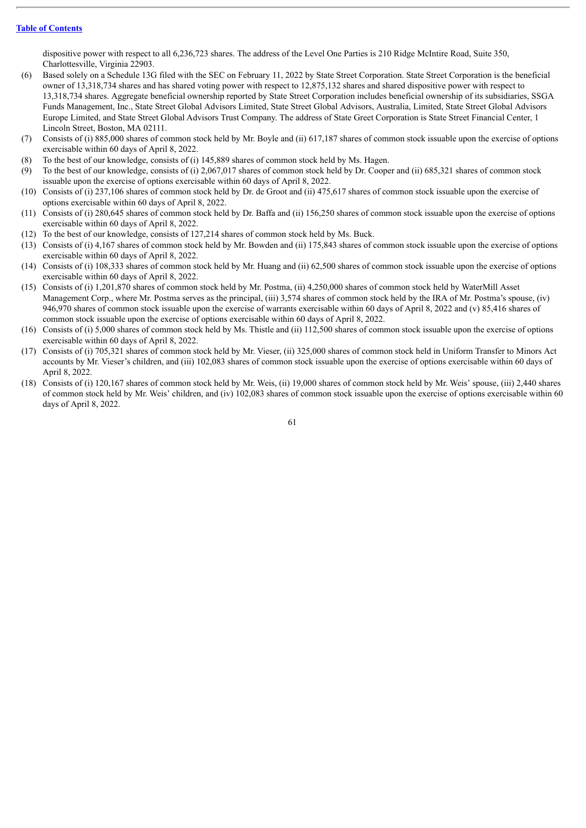dispositive power with respect to all 6,236,723 shares. The address of the Level One Parties is 210 Ridge McIntire Road, Suite 350, Charlottesville, Virginia 22903.

- (6) Based solely on a Schedule 13G filed with the SEC on February 11, 2022 by State Street Corporation. State Street Corporation is the beneficial owner of 13,318,734 shares and has shared voting power with respect to 12,875,132 shares and shared dispositive power with respect to 13,318,734 shares. Aggregate beneficial ownership reported by State Street Corporation includes beneficial ownership of its subsidiaries, SSGA Funds Management, Inc., State Street Global Advisors Limited, State Street Global Advisors, Australia, Limited, State Street Global Advisors Europe Limited, and State Street Global Advisors Trust Company. The address of State Greet Corporation is State Street Financial Center, 1 Lincoln Street, Boston, MA 02111.
- (7) Consists of (i) 885,000 shares of common stock held by Mr. Boyle and (ii) 617,187 shares of common stock issuable upon the exercise of options exercisable within 60 days of April 8, 2022.
- (8) To the best of our knowledge, consists of (i) 145,889 shares of common stock held by Ms. Hagen.
- (9) To the best of our knowledge, consists of (i) 2,067,017 shares of common stock held by Dr. Cooper and (ii) 685,321 shares of common stock issuable upon the exercise of options exercisable within 60 days of April 8, 2022.
- (10) Consists of (i) 237,106 shares of common stock held by Dr. de Groot and (ii) 475,617 shares of common stock issuable upon the exercise of options exercisable within 60 days of April 8, 2022.
- (11) Consists of (i) 280,645 shares of common stock held by Dr. Baffa and (ii) 156,250 shares of common stock issuable upon the exercise of options exercisable within 60 days of April 8, 2022.
- (12) To the best of our knowledge, consists of 127,214 shares of common stock held by Ms. Buck.
- (13) Consists of (i) 4,167 shares of common stock held by Mr. Bowden and (ii) 175,843 shares of common stock issuable upon the exercise of options exercisable within 60 days of April 8, 2022.
- (14) Consists of (i) 108,333 shares of common stock held by Mr. Huang and (ii) 62,500 shares of common stock issuable upon the exercise of options exercisable within 60 days of April 8, 2022.
- (15) Consists of (i) 1,201,870 shares of common stock held by Mr. Postma, (ii) 4,250,000 shares of common stock held by WaterMill Asset Management Corp., where Mr. Postma serves as the principal, (iii) 3,574 shares of common stock held by the IRA of Mr. Postma's spouse, (iv) 946,970 shares of common stock issuable upon the exercise of warrants exercisable within 60 days of April 8, 2022 and (v) 85,416 shares of common stock issuable upon the exercise of options exercisable within 60 days of April 8, 2022.
- (16) Consists of (i) 5,000 shares of common stock held by Ms. Thistle and (ii) 112,500 shares of common stock issuable upon the exercise of options exercisable within 60 days of April 8, 2022.
- (17) Consists of (i) 705,321 shares of common stock held by Mr. Vieser, (ii) 325,000 shares of common stock held in Uniform Transfer to Minors Act accounts by Mr. Vieser's children, and (iii) 102,083 shares of common stock issuable upon the exercise of options exercisable within 60 days of April 8, 2022.
- (18) Consists of (i) 120,167 shares of common stock held by Mr. Weis, (ii) 19,000 shares of common stock held by Mr. Weis' spouse, (iii) 2,440 shares of common stock held by Mr. Weis' children, and (iv) 102,083 shares of common stock issuable upon the exercise of options exercisable within 60 days of April 8, 2022.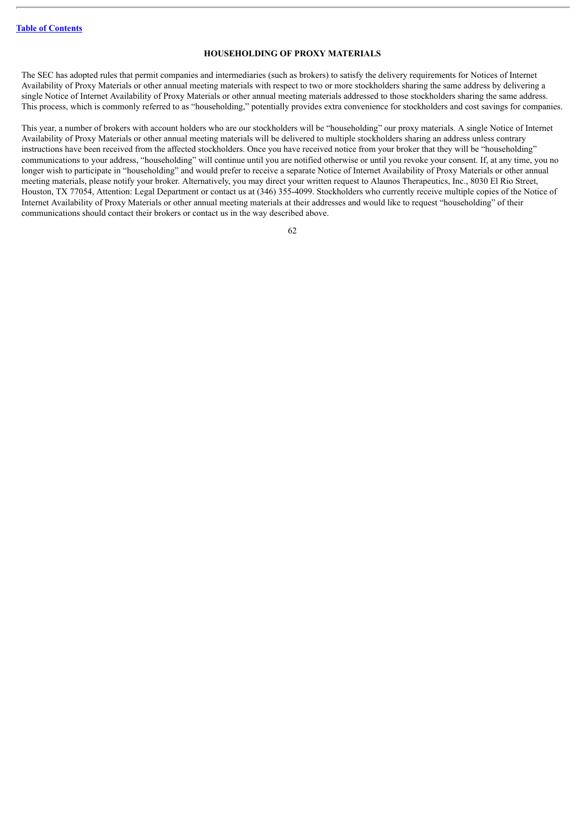## **HOUSEHOLDING OF PROXY MATERIALS**

The SEC has adopted rules that permit companies and intermediaries (such as brokers) to satisfy the delivery requirements for Notices of Internet Availability of Proxy Materials or other annual meeting materials with respect to two or more stockholders sharing the same address by delivering a single Notice of Internet Availability of Proxy Materials or other annual meeting materials addressed to those stockholders sharing the same address. This process, which is commonly referred to as "householding," potentially provides extra convenience for stockholders and cost savings for companies.

This year, a number of brokers with account holders who are our stockholders will be "householding" our proxy materials. A single Notice of Internet Availability of Proxy Materials or other annual meeting materials will be delivered to multiple stockholders sharing an address unless contrary instructions have been received from the affected stockholders. Once you have received notice from your broker that they will be "householding" communications to your address, "householding" will continue until you are notified otherwise or until you revoke your consent. If, at any time, you no longer wish to participate in "householding" and would prefer to receive a separate Notice of Internet Availability of Proxy Materials or other annual meeting materials, please notify your broker. Alternatively, you may direct your written request to Alaunos Therapeutics, Inc., 8030 El Rio Street, Houston, TX 77054, Attention: Legal Department or contact us at (346) 355-4099. Stockholders who currently receive multiple copies of the Notice of Internet Availability of Proxy Materials or other annual meeting materials at their addresses and would like to request "householding" of their communications should contact their brokers or contact us in the way described above.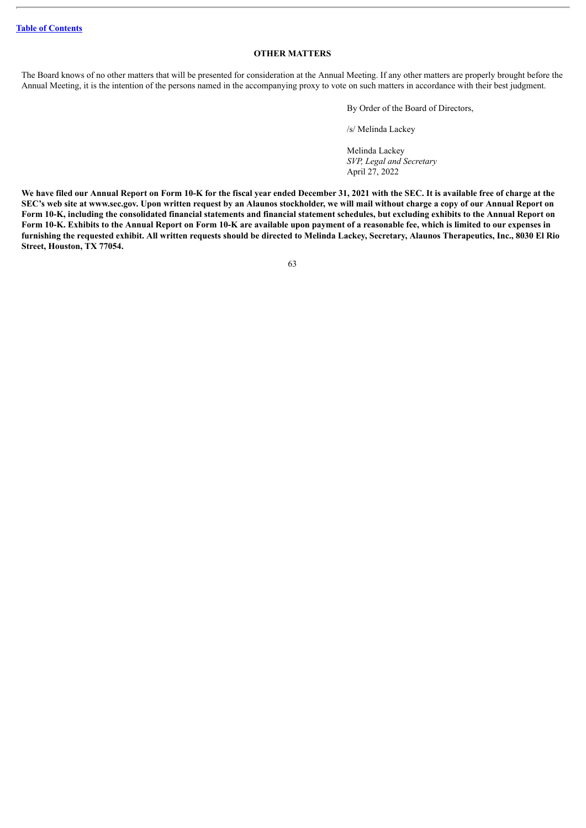### **OTHER MATTERS**

The Board knows of no other matters that will be presented for consideration at the Annual Meeting. If any other matters are properly brought before the Annual Meeting, it is the intention of the persons named in the accompanying proxy to vote on such matters in accordance with their best judgment.

By Order of the Board of Directors,

/s/ Melinda Lackey

Melinda Lackey *SVP, Legal and Secretary* April 27, 2022

We have filed our Annual Report on Form 10-K for the fiscal year ended December 31, 2021 with the SEC. It is available free of charge at the SEC's web site at www.sec.gov. Upon written request by an Alaunos stockholder, we will mail without charge a copy of our Annual Report on Form 10-K, including the consolidated financial statements and financial statement schedules, but excluding exhibits to the Annual Report on Form 10-K. Exhibits to the Annual Report on Form 10-K are available upon payment of a reasonable fee, which is limited to our expenses in furnishing the requested exhibit. All written requests should be directed to Melinda Lackey, Secretary, Alaunos Therapeutics, Inc., 8030 El Rio **Street, Houston, TX 77054.**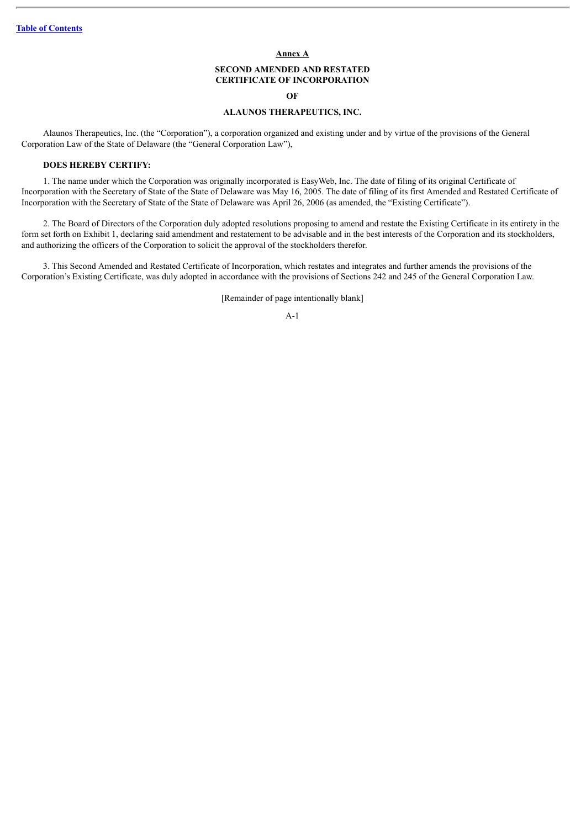#### **Annex A**

# **SECOND AMENDED AND RESTATED CERTIFICATE OF INCORPORATION**

#### **OF**

# **ALAUNOS THERAPEUTICS, INC.**

Alaunos Therapeutics, Inc. (the "Corporation"), a corporation organized and existing under and by virtue of the provisions of the General Corporation Law of the State of Delaware (the "General Corporation Law"),

### **DOES HEREBY CERTIFY:**

1. The name under which the Corporation was originally incorporated is EasyWeb, Inc. The date of filing of its original Certificate of Incorporation with the Secretary of State of the State of Delaware was May 16, 2005. The date of filing of its first Amended and Restated Certificate of Incorporation with the Secretary of State of the State of Delaware was April 26, 2006 (as amended, the "Existing Certificate").

2. The Board of Directors of the Corporation duly adopted resolutions proposing to amend and restate the Existing Certificate in its entirety in the form set forth on Exhibit 1, declaring said amendment and restatement to be advisable and in the best interests of the Corporation and its stockholders, and authorizing the officers of the Corporation to solicit the approval of the stockholders therefor.

3. This Second Amended and Restated Certificate of Incorporation, which restates and integrates and further amends the provisions of the Corporation's Existing Certificate, was duly adopted in accordance with the provisions of Sections 242 and 245 of the General Corporation Law.

[Remainder of page intentionally blank]

A-1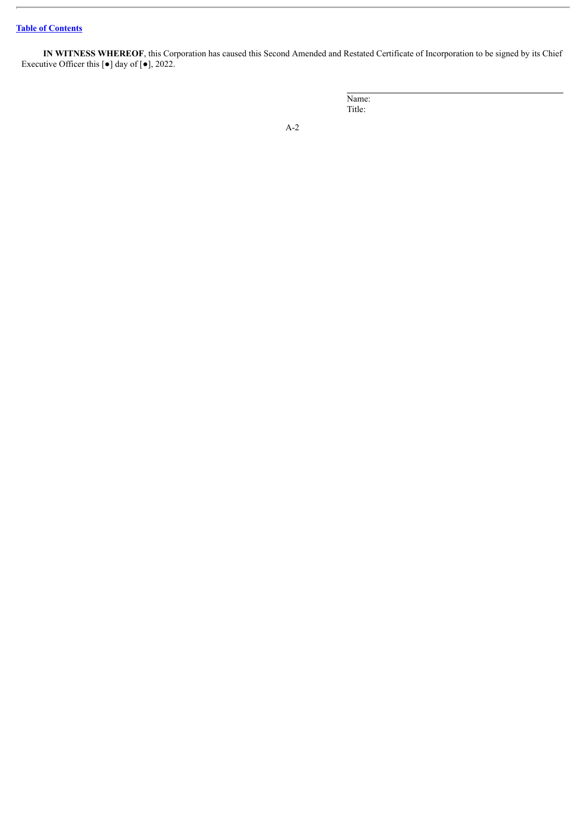**IN WITNESS WHEREOF**, this Corporation has caused this Second Amended and Restated Certificate of Incorporation to be signed by its Chief Executive Officer this  $\lceil \bullet \rceil$  day of  $\lceil \bullet \rceil$ , 2022.

> Name: Title: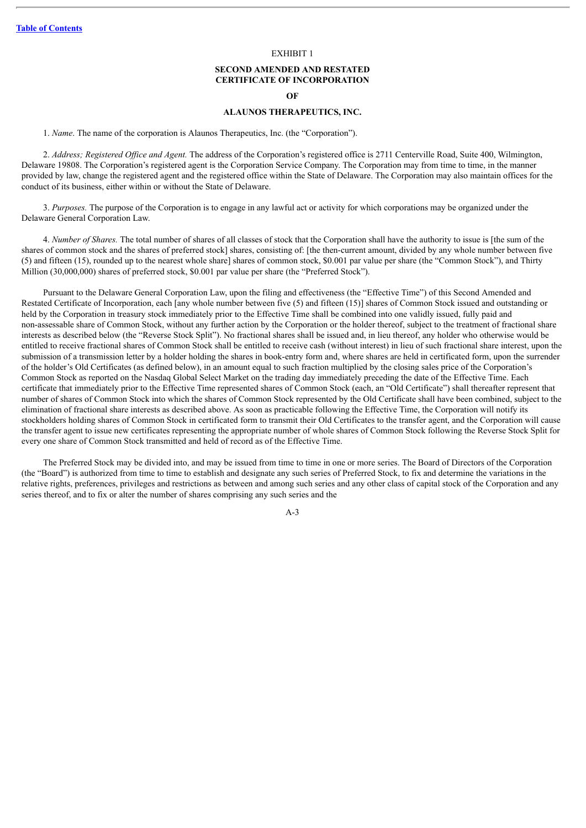#### EXHIBIT 1

# **SECOND AMENDED AND RESTATED CERTIFICATE OF INCORPORATION OF**

#### **ALAUNOS THERAPEUTICS, INC.**

1. *Name*. The name of the corporation is Alaunos Therapeutics, Inc. (the "Corporation").

2. *Address; Registered Of ice and Agent.* The address of the Corporation's registered office is 2711 Centerville Road, Suite 400, Wilmington, Delaware 19808. The Corporation's registered agent is the Corporation Service Company. The Corporation may from time to time, in the manner provided by law, change the registered agent and the registered office within the State of Delaware. The Corporation may also maintain offices for the conduct of its business, either within or without the State of Delaware.

3. *Purposes.* The purpose of the Corporation is to engage in any lawful act or activity for which corporations may be organized under the Delaware General Corporation Law.

4. *Number of Shares.* The total number of shares of all classes of stock that the Corporation shall have the authority to issue is [the sum of the shares of common stock and the shares of preferred stock] shares, consisting of: [the then-current amount, divided by any whole number between five (5) and fifteen (15), rounded up to the nearest whole share] shares of common stock, \$0.001 par value per share (the "Common Stock"), and Thirty Million (30,000,000) shares of preferred stock, \$0.001 par value per share (the "Preferred Stock").

Pursuant to the Delaware General Corporation Law, upon the filing and effectiveness (the "Effective Time") of this Second Amended and Restated Certificate of Incorporation, each [any whole number between five (5) and fifteen (15)] shares of Common Stock issued and outstanding or held by the Corporation in treasury stock immediately prior to the Effective Time shall be combined into one validly issued, fully paid and non-assessable share of Common Stock, without any further action by the Corporation or the holder thereof, subject to the treatment of fractional share interests as described below (the "Reverse Stock Split"). No fractional shares shall be issued and, in lieu thereof, any holder who otherwise would be entitled to receive fractional shares of Common Stock shall be entitled to receive cash (without interest) in lieu of such fractional share interest, upon the submission of a transmission letter by a holder holding the shares in book-entry form and, where shares are held in certificated form, upon the surrender of the holder's Old Certificates (as defined below), in an amount equal to such fraction multiplied by the closing sales price of the Corporation's Common Stock as reported on the Nasdaq Global Select Market on the trading day immediately preceding the date of the Effective Time. Each certificate that immediately prior to the Effective Time represented shares of Common Stock (each, an "Old Certificate") shall thereafter represent that number of shares of Common Stock into which the shares of Common Stock represented by the Old Certificate shall have been combined, subject to the elimination of fractional share interests as described above. As soon as practicable following the Effective Time, the Corporation will notify its stockholders holding shares of Common Stock in certificated form to transmit their Old Certificates to the transfer agent, and the Corporation will cause the transfer agent to issue new certificates representing the appropriate number of whole shares of Common Stock following the Reverse Stock Split for every one share of Common Stock transmitted and held of record as of the Effective Time.

The Preferred Stock may be divided into, and may be issued from time to time in one or more series. The Board of Directors of the Corporation (the "Board") is authorized from time to time to establish and designate any such series of Preferred Stock, to fix and determine the variations in the relative rights, preferences, privileges and restrictions as between and among such series and any other class of capital stock of the Corporation and any series thereof, and to fix or alter the number of shares comprising any such series and the

 $A-3$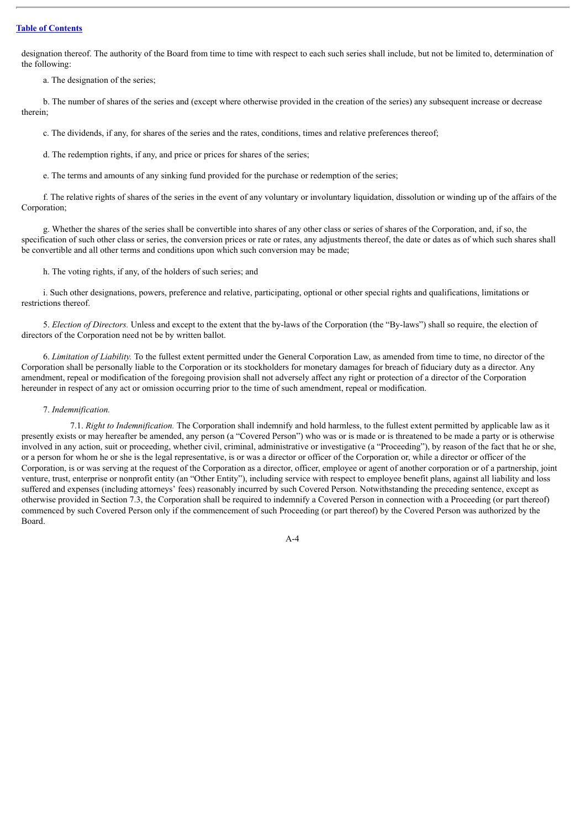designation thereof. The authority of the Board from time to time with respect to each such series shall include, but not be limited to, determination of the following:

a. The designation of the series;

b. The number of shares of the series and (except where otherwise provided in the creation of the series) any subsequent increase or decrease therein;

c. The dividends, if any, for shares of the series and the rates, conditions, times and relative preferences thereof;

d. The redemption rights, if any, and price or prices for shares of the series;

e. The terms and amounts of any sinking fund provided for the purchase or redemption of the series;

f. The relative rights of shares of the series in the event of any voluntary or involuntary liquidation, dissolution or winding up of the affairs of the Corporation;

g. Whether the shares of the series shall be convertible into shares of any other class or series of shares of the Corporation, and, if so, the specification of such other class or series, the conversion prices or rate or rates, any adjustments thereof, the date or dates as of which such shares shall be convertible and all other terms and conditions upon which such conversion may be made;

h. The voting rights, if any, of the holders of such series; and

i. Such other designations, powers, preference and relative, participating, optional or other special rights and qualifications, limitations or restrictions thereof.

5. *Election of Directors.* Unless and except to the extent that the by-laws of the Corporation (the "By-laws") shall so require, the election of directors of the Corporation need not be by written ballot.

6. *Limitation of Liability.* To the fullest extent permitted under the General Corporation Law, as amended from time to time, no director of the Corporation shall be personally liable to the Corporation or its stockholders for monetary damages for breach of fiduciary duty as a director. Any amendment, repeal or modification of the foregoing provision shall not adversely affect any right or protection of a director of the Corporation hereunder in respect of any act or omission occurring prior to the time of such amendment, repeal or modification.

#### 7. *Indemnification.*

7.1. *Right to Indemnification.* The Corporation shall indemnify and hold harmless, to the fullest extent permitted by applicable law as it presently exists or may hereafter be amended, any person (a "Covered Person") who was or is made or is threatened to be made a party or is otherwise involved in any action, suit or proceeding, whether civil, criminal, administrative or investigative (a "Proceeding"), by reason of the fact that he or she, or a person for whom he or she is the legal representative, is or was a director or officer of the Corporation or, while a director or officer of the Corporation, is or was serving at the request of the Corporation as a director, officer, employee or agent of another corporation or of a partnership, joint venture, trust, enterprise or nonprofit entity (an "Other Entity"), including service with respect to employee benefit plans, against all liability and loss suffered and expenses (including attorneys' fees) reasonably incurred by such Covered Person. Notwithstanding the preceding sentence, except as otherwise provided in Section 7.3, the Corporation shall be required to indemnify a Covered Person in connection with a Proceeding (or part thereof) commenced by such Covered Person only if the commencement of such Proceeding (or part thereof) by the Covered Person was authorized by the Board.

 $A-4$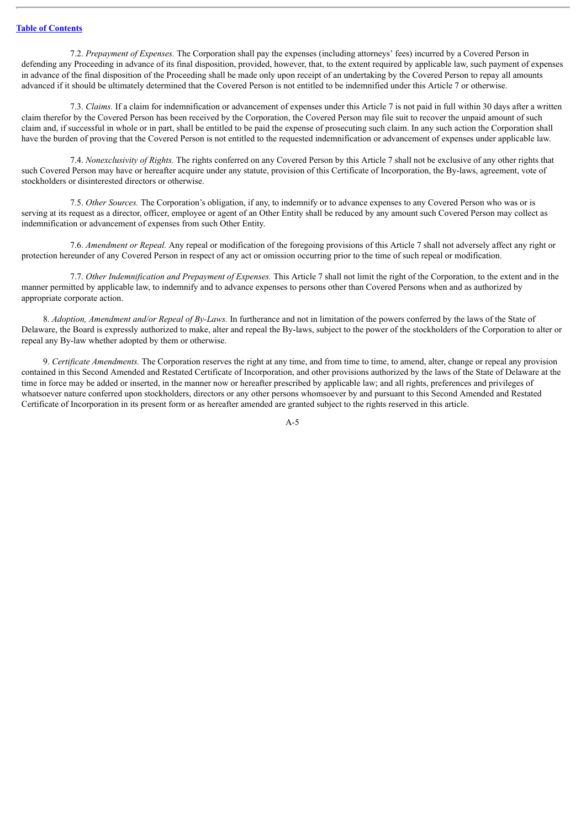7.2. *Prepayment of Expenses.* The Corporation shall pay the expenses (including attorneys' fees) incurred by a Covered Person in defending any Proceeding in advance of its final disposition, provided, however, that, to the extent required by applicable law, such payment of expenses in advance of the final disposition of the Proceeding shall be made only upon receipt of an undertaking by the Covered Person to repay all amounts advanced if it should be ultimately determined that the Covered Person is not entitled to be indemnified under this Article 7 or otherwise.

7.3. *Claims.* If a claim for indemnification or advancement of expenses under this Article 7 is not paid in full within 30 days after a written claim therefor by the Covered Person has been received by the Corporation, the Covered Person may file suit to recover the unpaid amount of such claim and, if successful in whole or in part, shall be entitled to be paid the expense of prosecuting such claim. In any such action the Corporation shall have the burden of proving that the Covered Person is not entitled to the requested indemnification or advancement of expenses under applicable law.

7.4. *Nonexclusivity of Rights.* The rights conferred on any Covered Person by this Article 7 shall not be exclusive of any other rights that such Covered Person may have or hereafter acquire under any statute, provision of this Certificate of Incorporation, the By-laws, agreement, vote of stockholders or disinterested directors or otherwise.

7.5. *Other Sources.* The Corporation's obligation, if any, to indemnify or to advance expenses to any Covered Person who was or is serving at its request as a director, officer, employee or agent of an Other Entity shall be reduced by any amount such Covered Person may collect as indemnification or advancement of expenses from such Other Entity.

7.6. *Amendment or Repeal.* Any repeal or modification of the foregoing provisions of this Article 7 shall not adversely affect any right or protection hereunder of any Covered Person in respect of any act or omission occurring prior to the time of such repeal or modification.

7.7. *Other Indemnification and Prepayment of Expenses.* This Article 7 shall not limit the right of the Corporation, to the extent and in the manner permitted by applicable law, to indemnify and to advance expenses to persons other than Covered Persons when and as authorized by appropriate corporate action.

8. *Adoption, Amendment and/or Repeal of By-Laws.* In furtherance and not in limitation of the powers conferred by the laws of the State of Delaware, the Board is expressly authorized to make, alter and repeal the By-laws, subject to the power of the stockholders of the Corporation to alter or repeal any By-law whether adopted by them or otherwise.

9. *Certificate Amendments.* The Corporation reserves the right at any time, and from time to time, to amend, alter, change or repeal any provision contained in this Second Amended and Restated Certificate of Incorporation, and other provisions authorized by the laws of the State of Delaware at the time in force may be added or inserted, in the manner now or hereafter prescribed by applicable law; and all rights, preferences and privileges of whatsoever nature conferred upon stockholders, directors or any other persons whomsoever by and pursuant to this Second Amended and Restated Certificate of Incorporation in its present form or as hereafter amended are granted subject to the rights reserved in this article.

A-5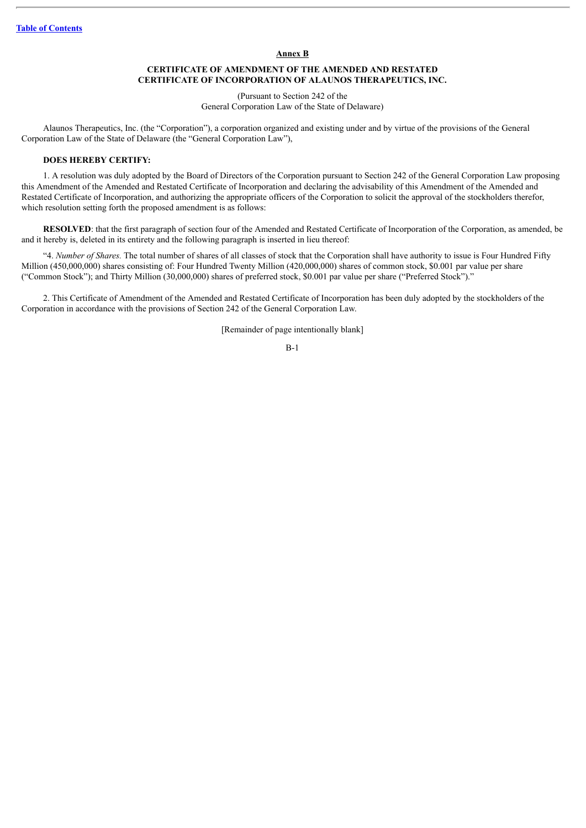#### **Annex B**

## **CERTIFICATE OF AMENDMENT OF THE AMENDED AND RESTATED CERTIFICATE OF INCORPORATION OF ALAUNOS THERAPEUTICS, INC.**

(Pursuant to Section 242 of the General Corporation Law of the State of Delaware)

Alaunos Therapeutics, Inc. (the "Corporation"), a corporation organized and existing under and by virtue of the provisions of the General Corporation Law of the State of Delaware (the "General Corporation Law"),

### **DOES HEREBY CERTIFY:**

1. A resolution was duly adopted by the Board of Directors of the Corporation pursuant to Section 242 of the General Corporation Law proposing this Amendment of the Amended and Restated Certificate of Incorporation and declaring the advisability of this Amendment of the Amended and Restated Certificate of Incorporation, and authorizing the appropriate officers of the Corporation to solicit the approval of the stockholders therefor, which resolution setting forth the proposed amendment is as follows:

**RESOLVED**: that the first paragraph of section four of the Amended and Restated Certificate of Incorporation of the Corporation, as amended, be and it hereby is, deleted in its entirety and the following paragraph is inserted in lieu thereof:

"4. *Number of Shares.* The total number of shares of all classes of stock that the Corporation shall have authority to issue is Four Hundred Fifty Million (450,000,000) shares consisting of: Four Hundred Twenty Million (420,000,000) shares of common stock, \$0.001 par value per share ("Common Stock"); and Thirty Million (30,000,000) shares of preferred stock, \$0.001 par value per share ("Preferred Stock")."

2. This Certificate of Amendment of the Amended and Restated Certificate of Incorporation has been duly adopted by the stockholders of the Corporation in accordance with the provisions of Section 242 of the General Corporation Law.

[Remainder of page intentionally blank]

B-1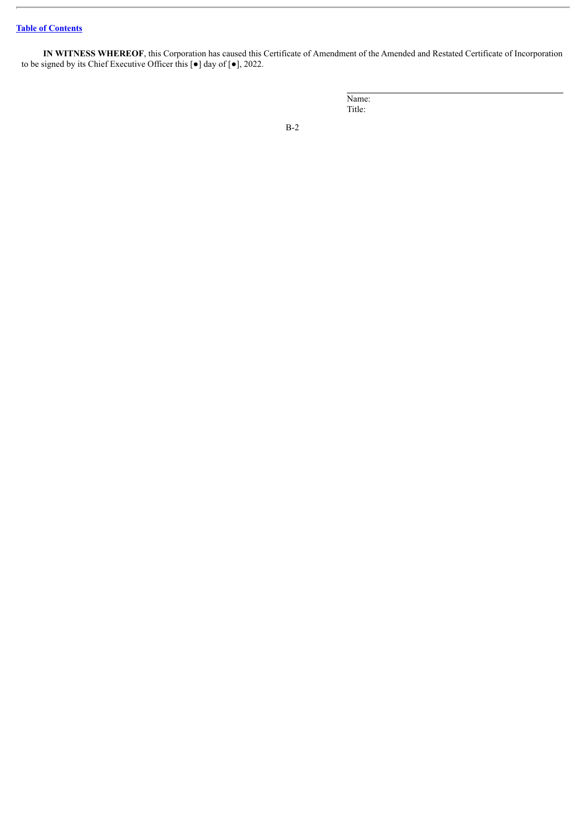# **Table of [Contents](#page-3-0)**

**IN WITNESS WHEREOF**, this Corporation has caused this Certificate of Amendment of the Amended and Restated Certificate of Incorporation to be signed by its Chief Executive Officer this  $\lceil \bullet \rceil$  day of  $\lceil \bullet \rceil$ , 2022.

| Name:  |  |  |  |
|--------|--|--|--|
| Title: |  |  |  |
|        |  |  |  |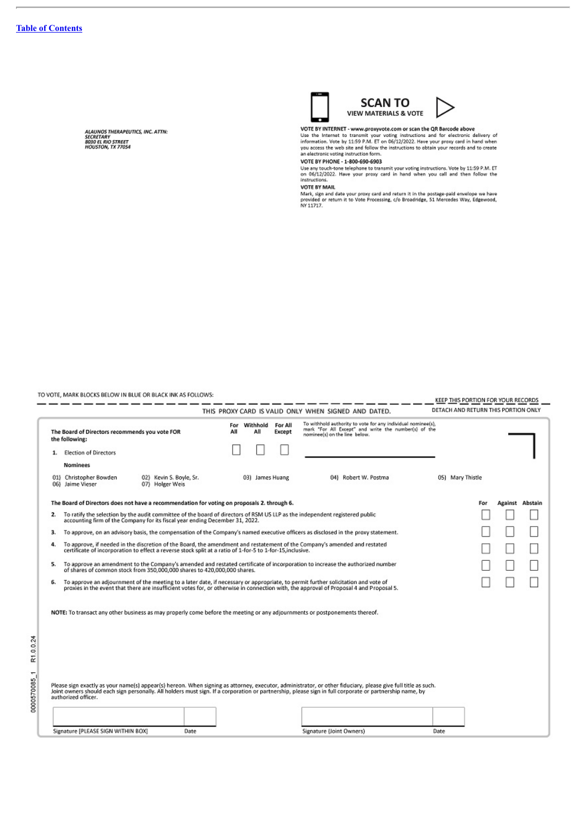H

0000570085\_1 R1.0.0.24

ALAUNOS THERAPEUTICS, INC. ATTH:<br>SECRETARY<br>8030 EL RIO STREET<br>HOUSTON, TX 77054



VOTE BY INTERNET - www.proxyvote.com or scan the QR Barcode above<br>Use the Internet to transmit your voting instructions and for electronic delivery of<br>information. Vote by 11:59 P.M. ET on 06/12/2022. Have your proxy card

matructions.<br>MOTE BY MAIL<br>Mark, sign and date your proxy card and return it in the postage-paid envelope we have<br>provided or return it to Vote Processing, c/o Broadridge, 51 Mercedes Way, Edgewood,<br>NY 11717.

TO VOTE, MARK BLOCKS BELOW IN BLUE OR BLACK INK AS FOLLOWS:

| DETACH AND RETURN THIS PORTION ONLY<br>THIS PROXY CARD IS VALID ONLY WHEN SIGNED AND DATED.<br>To withhold authority to vote for any individual nominee(s),<br>Withhold<br>For All<br>For<br>mark "For All Except" and write the number(s) of the<br>The Board of Directors recommends you vote FOR<br>All<br>Αll<br>Except<br>nominee(s) on the line below.<br>the following:<br>Election of Directors<br><b>Nominees</b><br>01) Christopher Bowden<br>02) Kevin S. Boyle, Sr.<br>04) Robert W. Postma<br>05) Mary Thistle<br>03) James Huang<br>06) Jaime Vieser<br>07) Holger Weis<br>The Board of Directors does not have a recommendation for voting on proposals 2. through 6.<br>Against Abstain<br>For<br>To ratify the selection by the audit committee of the board of directors of RSM US LLP as the independent registered public<br>2.<br>accounting firm of the Company for its fiscal year ending December 31, 2022.<br>To approve, on an advisory basis, the compensation of the Company's named executive officers as disclosed in the proxy statement.<br>з.<br>To approve, if needed in the discretion of the Board, the amendment and restatement of the Company's amended and restated<br>4.<br>certificate of incorporation to effect a reverse stock split at a ratio of 1-for-5 to 1-for-15 inclusive.<br>To approve an amendment to the Company's amended and restated certificate of incorporation to increase the authorized number<br>5.<br>of shares of common stock from 350,000,000 shares to 420,000,000 shares.<br>To approve an adjournment of the meeting to a later date, if necessary or appropriate, to permit further solicitation and vote of<br>б.<br>proxies in the event that there are insufficient votes for, or otherwise in connection with, the approval of Proposal 4 and Proposal 5.<br>NOTE: To transact any other business as may properly come before the meeting or any adjournments or postponements thereof.<br>Please sign exactly as your name(s) appear(s) hereon. When signing as attorney, executor, administrator, or other fiduciary, please give full title as such.<br>Joint owners should each sign personally. All holders must sign.<br>authorized officer. |  |                                    |  |      |  |  | KEEP THIS PORTION FOR YOUR RECORDS |                          |      |  |  |  |
|---------------------------------------------------------------------------------------------------------------------------------------------------------------------------------------------------------------------------------------------------------------------------------------------------------------------------------------------------------------------------------------------------------------------------------------------------------------------------------------------------------------------------------------------------------------------------------------------------------------------------------------------------------------------------------------------------------------------------------------------------------------------------------------------------------------------------------------------------------------------------------------------------------------------------------------------------------------------------------------------------------------------------------------------------------------------------------------------------------------------------------------------------------------------------------------------------------------------------------------------------------------------------------------------------------------------------------------------------------------------------------------------------------------------------------------------------------------------------------------------------------------------------------------------------------------------------------------------------------------------------------------------------------------------------------------------------------------------------------------------------------------------------------------------------------------------------------------------------------------------------------------------------------------------------------------------------------------------------------------------------------------------------------------------------------------------------------------------------------------------------------------------------------------------------------------------------------------------------------|--|------------------------------------|--|------|--|--|------------------------------------|--------------------------|------|--|--|--|
|                                                                                                                                                                                                                                                                                                                                                                                                                                                                                                                                                                                                                                                                                                                                                                                                                                                                                                                                                                                                                                                                                                                                                                                                                                                                                                                                                                                                                                                                                                                                                                                                                                                                                                                                                                                                                                                                                                                                                                                                                                                                                                                                                                                                                                 |  |                                    |  |      |  |  |                                    |                          |      |  |  |  |
|                                                                                                                                                                                                                                                                                                                                                                                                                                                                                                                                                                                                                                                                                                                                                                                                                                                                                                                                                                                                                                                                                                                                                                                                                                                                                                                                                                                                                                                                                                                                                                                                                                                                                                                                                                                                                                                                                                                                                                                                                                                                                                                                                                                                                                 |  |                                    |  |      |  |  |                                    |                          |      |  |  |  |
|                                                                                                                                                                                                                                                                                                                                                                                                                                                                                                                                                                                                                                                                                                                                                                                                                                                                                                                                                                                                                                                                                                                                                                                                                                                                                                                                                                                                                                                                                                                                                                                                                                                                                                                                                                                                                                                                                                                                                                                                                                                                                                                                                                                                                                 |  |                                    |  |      |  |  |                                    |                          |      |  |  |  |
|                                                                                                                                                                                                                                                                                                                                                                                                                                                                                                                                                                                                                                                                                                                                                                                                                                                                                                                                                                                                                                                                                                                                                                                                                                                                                                                                                                                                                                                                                                                                                                                                                                                                                                                                                                                                                                                                                                                                                                                                                                                                                                                                                                                                                                 |  |                                    |  |      |  |  |                                    |                          |      |  |  |  |
|                                                                                                                                                                                                                                                                                                                                                                                                                                                                                                                                                                                                                                                                                                                                                                                                                                                                                                                                                                                                                                                                                                                                                                                                                                                                                                                                                                                                                                                                                                                                                                                                                                                                                                                                                                                                                                                                                                                                                                                                                                                                                                                                                                                                                                 |  |                                    |  |      |  |  |                                    |                          |      |  |  |  |
|                                                                                                                                                                                                                                                                                                                                                                                                                                                                                                                                                                                                                                                                                                                                                                                                                                                                                                                                                                                                                                                                                                                                                                                                                                                                                                                                                                                                                                                                                                                                                                                                                                                                                                                                                                                                                                                                                                                                                                                                                                                                                                                                                                                                                                 |  |                                    |  |      |  |  |                                    |                          |      |  |  |  |
|                                                                                                                                                                                                                                                                                                                                                                                                                                                                                                                                                                                                                                                                                                                                                                                                                                                                                                                                                                                                                                                                                                                                                                                                                                                                                                                                                                                                                                                                                                                                                                                                                                                                                                                                                                                                                                                                                                                                                                                                                                                                                                                                                                                                                                 |  |                                    |  |      |  |  |                                    |                          |      |  |  |  |
|                                                                                                                                                                                                                                                                                                                                                                                                                                                                                                                                                                                                                                                                                                                                                                                                                                                                                                                                                                                                                                                                                                                                                                                                                                                                                                                                                                                                                                                                                                                                                                                                                                                                                                                                                                                                                                                                                                                                                                                                                                                                                                                                                                                                                                 |  |                                    |  |      |  |  |                                    |                          |      |  |  |  |
|                                                                                                                                                                                                                                                                                                                                                                                                                                                                                                                                                                                                                                                                                                                                                                                                                                                                                                                                                                                                                                                                                                                                                                                                                                                                                                                                                                                                                                                                                                                                                                                                                                                                                                                                                                                                                                                                                                                                                                                                                                                                                                                                                                                                                                 |  |                                    |  |      |  |  |                                    |                          |      |  |  |  |
|                                                                                                                                                                                                                                                                                                                                                                                                                                                                                                                                                                                                                                                                                                                                                                                                                                                                                                                                                                                                                                                                                                                                                                                                                                                                                                                                                                                                                                                                                                                                                                                                                                                                                                                                                                                                                                                                                                                                                                                                                                                                                                                                                                                                                                 |  |                                    |  |      |  |  |                                    |                          |      |  |  |  |
|                                                                                                                                                                                                                                                                                                                                                                                                                                                                                                                                                                                                                                                                                                                                                                                                                                                                                                                                                                                                                                                                                                                                                                                                                                                                                                                                                                                                                                                                                                                                                                                                                                                                                                                                                                                                                                                                                                                                                                                                                                                                                                                                                                                                                                 |  |                                    |  |      |  |  |                                    |                          |      |  |  |  |
|                                                                                                                                                                                                                                                                                                                                                                                                                                                                                                                                                                                                                                                                                                                                                                                                                                                                                                                                                                                                                                                                                                                                                                                                                                                                                                                                                                                                                                                                                                                                                                                                                                                                                                                                                                                                                                                                                                                                                                                                                                                                                                                                                                                                                                 |  |                                    |  |      |  |  |                                    |                          |      |  |  |  |
|                                                                                                                                                                                                                                                                                                                                                                                                                                                                                                                                                                                                                                                                                                                                                                                                                                                                                                                                                                                                                                                                                                                                                                                                                                                                                                                                                                                                                                                                                                                                                                                                                                                                                                                                                                                                                                                                                                                                                                                                                                                                                                                                                                                                                                 |  |                                    |  |      |  |  |                                    |                          |      |  |  |  |
|                                                                                                                                                                                                                                                                                                                                                                                                                                                                                                                                                                                                                                                                                                                                                                                                                                                                                                                                                                                                                                                                                                                                                                                                                                                                                                                                                                                                                                                                                                                                                                                                                                                                                                                                                                                                                                                                                                                                                                                                                                                                                                                                                                                                                                 |  | Signature [PLEASE SIGN WITHIN BOX] |  | Date |  |  |                                    | Signature (Joint Owners) | Date |  |  |  |